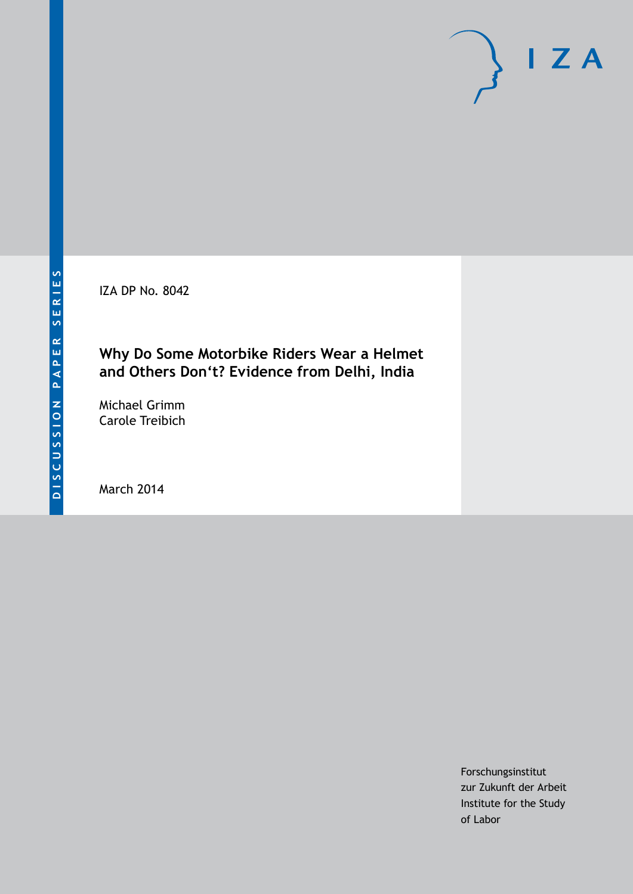IZA DP No. 8042

## **Why Do Some Motorbike Riders Wear a Helmet and Others Don't? Evidence from Delhi, India**

Michael Grimm Carole Treibich

March 2014

Forschungsinstitut zur Zukunft der Arbeit Institute for the Study of Labor

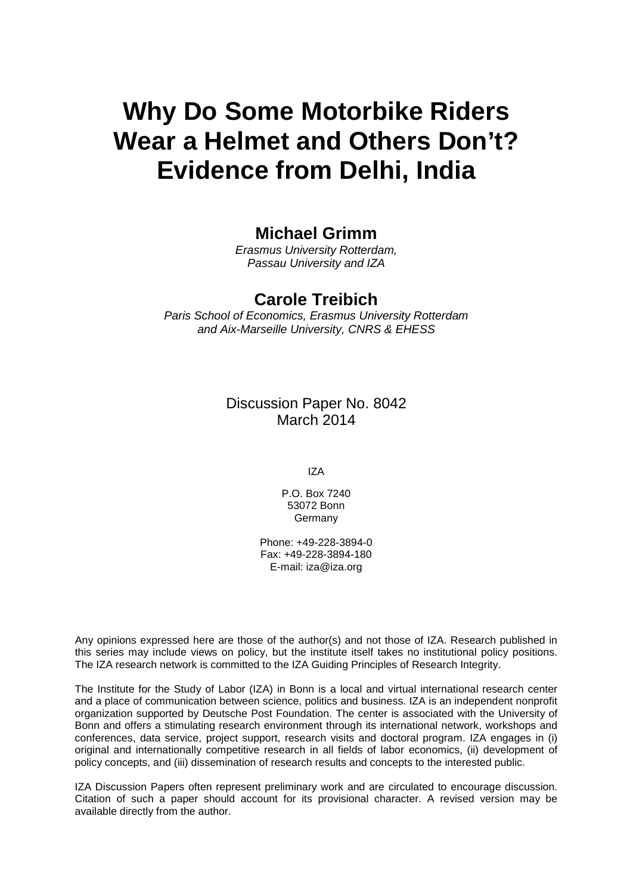# **Why Do Some Motorbike Riders Wear a Helmet and Others Don't? Evidence from Delhi, India**

### **Michael Grimm**

*Erasmus University Rotterdam, Passau University and IZA*

### **Carole Treibich**

*Paris School of Economics, Erasmus University Rotterdam and Aix-Marseille University, CNRS & EHESS*

> Discussion Paper No. 8042 March 2014

> > IZA

P.O. Box 7240 53072 Bonn Germany

Phone: +49-228-3894-0 Fax: +49-228-3894-180 E-mail: [iza@iza.org](mailto:iza@iza.org)

Any opinions expressed here are those of the author(s) and not those of IZA. Research published in this series may include views on policy, but the institute itself takes no institutional policy positions. The IZA research network is committed to the IZA Guiding Principles of Research Integrity.

The Institute for the Study of Labor (IZA) in Bonn is a local and virtual international research center and a place of communication between science, politics and business. IZA is an independent nonprofit organization supported by Deutsche Post Foundation. The center is associated with the University of Bonn and offers a stimulating research environment through its international network, workshops and conferences, data service, project support, research visits and doctoral program. IZA engages in (i) original and internationally competitive research in all fields of labor economics, (ii) development of policy concepts, and (iii) dissemination of research results and concepts to the interested public.

IZA Discussion Papers often represent preliminary work and are circulated to encourage discussion. Citation of such a paper should account for its provisional character. A revised version may be available directly from the author.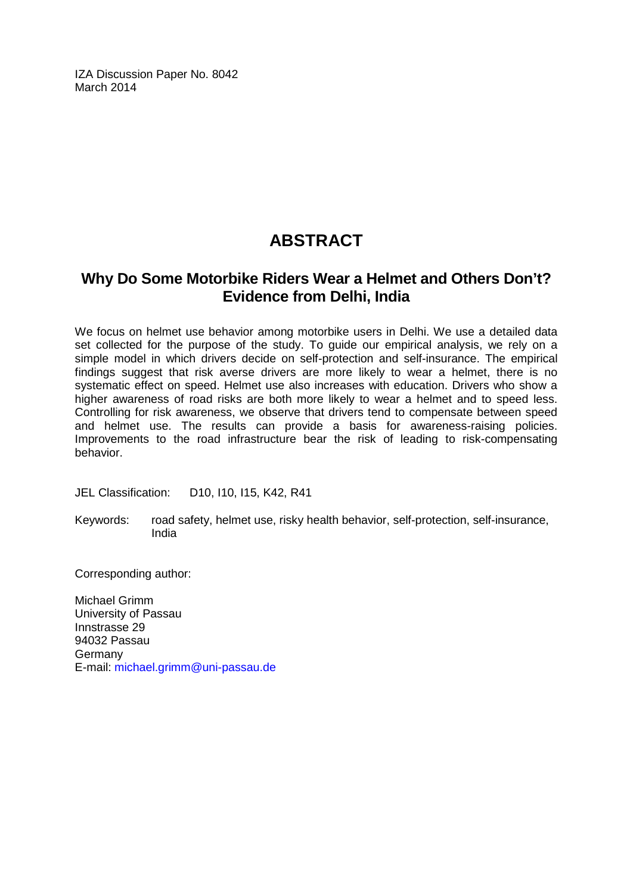IZA Discussion Paper No. 8042 March 2014

# **ABSTRACT**

### **Why Do Some Motorbike Riders Wear a Helmet and Others Don't? Evidence from Delhi, India**

We focus on helmet use behavior among motorbike users in Delhi. We use a detailed data set collected for the purpose of the study. To guide our empirical analysis, we rely on a simple model in which drivers decide on self-protection and self-insurance. The empirical findings suggest that risk averse drivers are more likely to wear a helmet, there is no systematic effect on speed. Helmet use also increases with education. Drivers who show a higher awareness of road risks are both more likely to wear a helmet and to speed less. Controlling for risk awareness, we observe that drivers tend to compensate between speed and helmet use. The results can provide a basis for awareness-raising policies. Improvements to the road infrastructure bear the risk of leading to risk-compensating behavior.

JEL Classification: D10, I10, I15, K42, R41

Keywords: road safety, helmet use, risky health behavior, self-protection, self-insurance, India

Corresponding author:

Michael Grimm University of Passau Innstrasse 29 94032 Passau **Germany** E-mail: [michael.grimm@uni-passau.de](mailto:michael.grimm@uni-passau.de)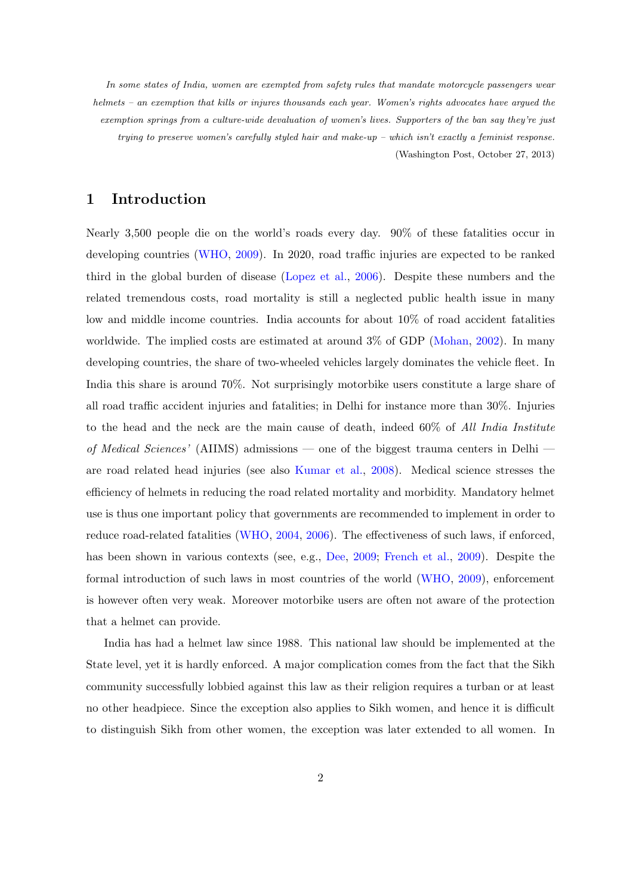In some states of India, women are exempted from safety rules that mandate motorcycle passengers wear helmets – an exemption that kills or injures thousands each year. Women's rights advocates have argued the exemption springs from a culture-wide devaluation of women's lives. Supporters of the ban say they're just trying to preserve women's carefully styled hair and make-up – which isn't exactly a feminist response. (Washington Post, October 27, 2013)

#### 1 Introduction

Nearly 3,500 people die on the world's roads every day. 90% of these fatalities occur in developing countries [\(WHO,](#page-33-0) [2009\)](#page-33-0). In 2020, road traffic injuries are expected to be ranked third in the global burden of disease [\(Lopez et al.,](#page-32-0) [2006\)](#page-32-0). Despite these numbers and the related tremendous costs, road mortality is still a neglected public health issue in many low and middle income countries. India accounts for about 10% of road accident fatalities worldwide. The implied costs are estimated at around 3% of GDP [\(Mohan,](#page-33-1) [2002\)](#page-33-1). In many developing countries, the share of two-wheeled vehicles largely dominates the vehicle fleet. In India this share is around 70%. Not surprisingly motorbike users constitute a large share of all road traffic accident injuries and fatalities; in Delhi for instance more than 30%. Injuries to the head and the neck are the main cause of death, indeed 60% of All India Institute of Medical Sciences' (AIIMS) admissions — one of the biggest trauma centers in Delhi are road related head injuries (see also [Kumar et al.,](#page-32-1) [2008\)](#page-32-1). Medical science stresses the efficiency of helmets in reducing the road related mortality and morbidity. Mandatory helmet use is thus one important policy that governments are recommended to implement in order to reduce road-related fatalities [\(WHO,](#page-33-2) [2004,](#page-33-2) [2006\)](#page-33-3). The effectiveness of such laws, if enforced, has been shown in various contexts (see, e.g., [Dee,](#page-31-0) [2009;](#page-31-0) [French et al.,](#page-31-1) [2009\)](#page-31-1). Despite the formal introduction of such laws in most countries of the world [\(WHO,](#page-33-0) [2009\)](#page-33-0), enforcement is however often very weak. Moreover motorbike users are often not aware of the protection that a helmet can provide.

India has had a helmet law since 1988. This national law should be implemented at the State level, yet it is hardly enforced. A major complication comes from the fact that the Sikh community successfully lobbied against this law as their religion requires a turban or at least no other headpiece. Since the exception also applies to Sikh women, and hence it is difficult to distinguish Sikh from other women, the exception was later extended to all women. In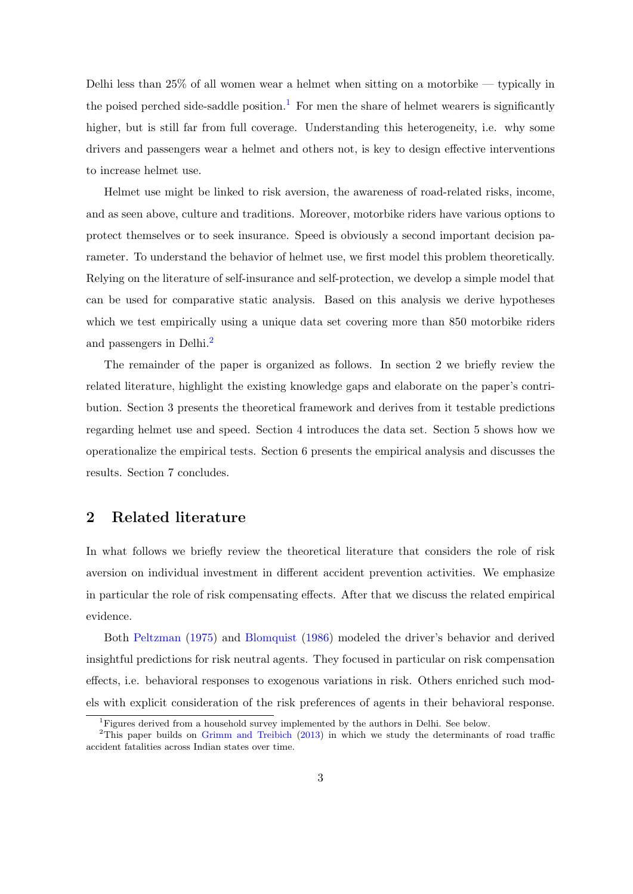Delhi less than  $25\%$  of all women wear a helmet when sitting on a motorbike — typically in the poised perched side-saddle position.<sup>[1](#page-4-0)</sup> For men the share of helmet wearers is significantly higher, but is still far from full coverage. Understanding this heterogeneity, i.e. why some drivers and passengers wear a helmet and others not, is key to design effective interventions to increase helmet use.

Helmet use might be linked to risk aversion, the awareness of road-related risks, income, and as seen above, culture and traditions. Moreover, motorbike riders have various options to protect themselves or to seek insurance. Speed is obviously a second important decision parameter. To understand the behavior of helmet use, we first model this problem theoretically. Relying on the literature of self-insurance and self-protection, we develop a simple model that can be used for comparative static analysis. Based on this analysis we derive hypotheses which we test empirically using a unique data set covering more than 850 motorbike riders and passengers in Delhi.[2](#page-4-1)

The remainder of the paper is organized as follows. In section 2 we briefly review the related literature, highlight the existing knowledge gaps and elaborate on the paper's contribution. Section 3 presents the theoretical framework and derives from it testable predictions regarding helmet use and speed. Section 4 introduces the data set. Section 5 shows how we operationalize the empirical tests. Section 6 presents the empirical analysis and discusses the results. Section 7 concludes.

### 2 Related literature

In what follows we briefly review the theoretical literature that considers the role of risk aversion on individual investment in different accident prevention activities. We emphasize in particular the role of risk compensating effects. After that we discuss the related empirical evidence.

Both [Peltzman](#page-33-4) [\(1975\)](#page-33-4) and [Blomquist](#page-31-2) [\(1986\)](#page-31-2) modeled the driver's behavior and derived insightful predictions for risk neutral agents. They focused in particular on risk compensation effects, i.e. behavioral responses to exogenous variations in risk. Others enriched such models with explicit consideration of the risk preferences of agents in their behavioral response.

<span id="page-4-1"></span><span id="page-4-0"></span><sup>1</sup>Figures derived from a household survey implemented by the authors in Delhi. See below.

<sup>&</sup>lt;sup>2</sup>This paper builds on [Grimm and Treibich](#page-32-2) [\(2013\)](#page-32-2) in which we study the determinants of road traffic accident fatalities across Indian states over time.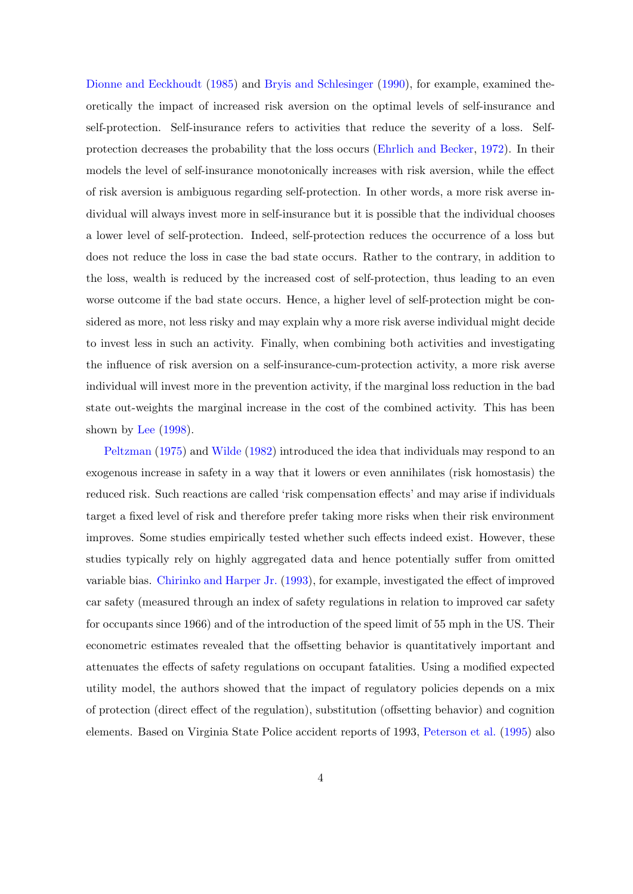[Dionne and Eeckhoudt](#page-31-3) [\(1985\)](#page-31-3) and [Bryis and Schlesinger](#page-31-4) [\(1990\)](#page-31-4), for example, examined theoretically the impact of increased risk aversion on the optimal levels of self-insurance and self-protection. Self-insurance refers to activities that reduce the severity of a loss. Selfprotection decreases the probability that the loss occurs [\(Ehrlich and Becker,](#page-31-5) [1972\)](#page-31-5). In their models the level of self-insurance monotonically increases with risk aversion, while the effect of risk aversion is ambiguous regarding self-protection. In other words, a more risk averse individual will always invest more in self-insurance but it is possible that the individual chooses a lower level of self-protection. Indeed, self-protection reduces the occurrence of a loss but does not reduce the loss in case the bad state occurs. Rather to the contrary, in addition to the loss, wealth is reduced by the increased cost of self-protection, thus leading to an even worse outcome if the bad state occurs. Hence, a higher level of self-protection might be considered as more, not less risky and may explain why a more risk averse individual might decide to invest less in such an activity. Finally, when combining both activities and investigating the influence of risk aversion on a self-insurance-cum-protection activity, a more risk averse individual will invest more in the prevention activity, if the marginal loss reduction in the bad state out-weights the marginal increase in the cost of the combined activity. This has been shown by [Lee](#page-32-3) [\(1998\)](#page-32-3).

[Peltzman](#page-33-4) [\(1975\)](#page-33-4) and [Wilde](#page-34-0) [\(1982\)](#page-34-0) introduced the idea that individuals may respond to an exogenous increase in safety in a way that it lowers or even annihilates (risk homostasis) the reduced risk. Such reactions are called 'risk compensation effects' and may arise if individuals target a fixed level of risk and therefore prefer taking more risks when their risk environment improves. Some studies empirically tested whether such effects indeed exist. However, these studies typically rely on highly aggregated data and hence potentially suffer from omitted variable bias. [Chirinko and Harper Jr.](#page-31-6) [\(1993\)](#page-31-6), for example, investigated the effect of improved car safety (measured through an index of safety regulations in relation to improved car safety for occupants since 1966) and of the introduction of the speed limit of 55 mph in the US. Their econometric estimates revealed that the offsetting behavior is quantitatively important and attenuates the effects of safety regulations on occupant fatalities. Using a modified expected utility model, the authors showed that the impact of regulatory policies depends on a mix of protection (direct effect of the regulation), substitution (offsetting behavior) and cognition elements. Based on Virginia State Police accident reports of 1993, [Peterson et al.](#page-33-5) [\(1995\)](#page-33-5) also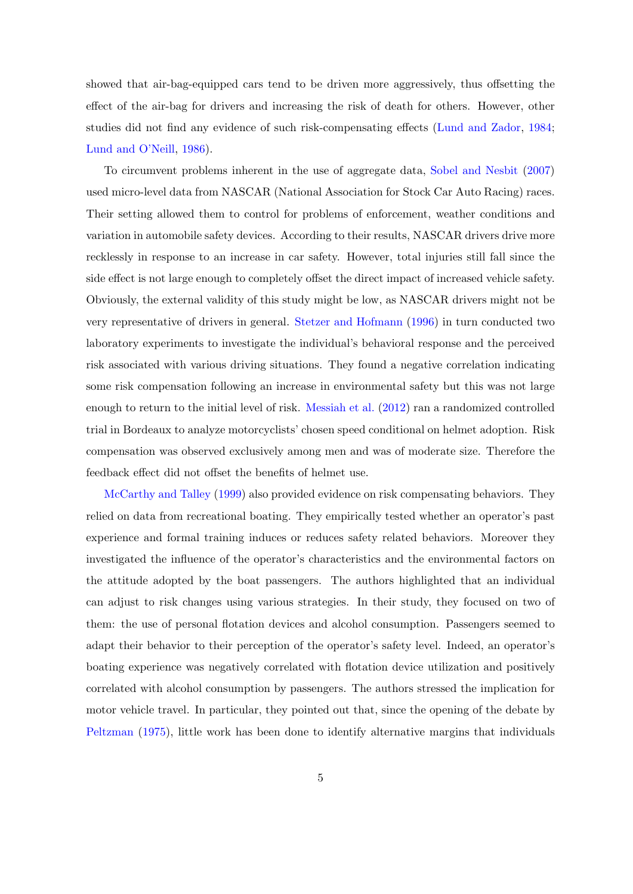showed that air-bag-equipped cars tend to be driven more aggressively, thus offsetting the effect of the air-bag for drivers and increasing the risk of death for others. However, other studies did not find any evidence of such risk-compensating effects [\(Lund and Zador,](#page-32-4) [1984;](#page-32-4) [Lund and O'Neill,](#page-32-5) [1986\)](#page-32-5).

To circumvent problems inherent in the use of aggregate data, [Sobel and Nesbit](#page-33-6) [\(2007\)](#page-33-6) used micro-level data from NASCAR (National Association for Stock Car Auto Racing) races. Their setting allowed them to control for problems of enforcement, weather conditions and variation in automobile safety devices. According to their results, NASCAR drivers drive more recklessly in response to an increase in car safety. However, total injuries still fall since the side effect is not large enough to completely offset the direct impact of increased vehicle safety. Obviously, the external validity of this study might be low, as NASCAR drivers might not be very representative of drivers in general. [Stetzer and Hofmann](#page-33-7) [\(1996\)](#page-33-7) in turn conducted two laboratory experiments to investigate the individual's behavioral response and the perceived risk associated with various driving situations. They found a negative correlation indicating some risk compensation following an increase in environmental safety but this was not large enough to return to the initial level of risk. [Messiah et al.](#page-33-8) [\(2012\)](#page-33-8) ran a randomized controlled trial in Bordeaux to analyze motorcyclists' chosen speed conditional on helmet adoption. Risk compensation was observed exclusively among men and was of moderate size. Therefore the feedback effect did not offset the benefits of helmet use.

[McCarthy and Talley](#page-32-6) [\(1999\)](#page-32-6) also provided evidence on risk compensating behaviors. They relied on data from recreational boating. They empirically tested whether an operator's past experience and formal training induces or reduces safety related behaviors. Moreover they investigated the influence of the operator's characteristics and the environmental factors on the attitude adopted by the boat passengers. The authors highlighted that an individual can adjust to risk changes using various strategies. In their study, they focused on two of them: the use of personal flotation devices and alcohol consumption. Passengers seemed to adapt their behavior to their perception of the operator's safety level. Indeed, an operator's boating experience was negatively correlated with flotation device utilization and positively correlated with alcohol consumption by passengers. The authors stressed the implication for motor vehicle travel. In particular, they pointed out that, since the opening of the debate by [Peltzman](#page-33-4) [\(1975\)](#page-33-4), little work has been done to identify alternative margins that individuals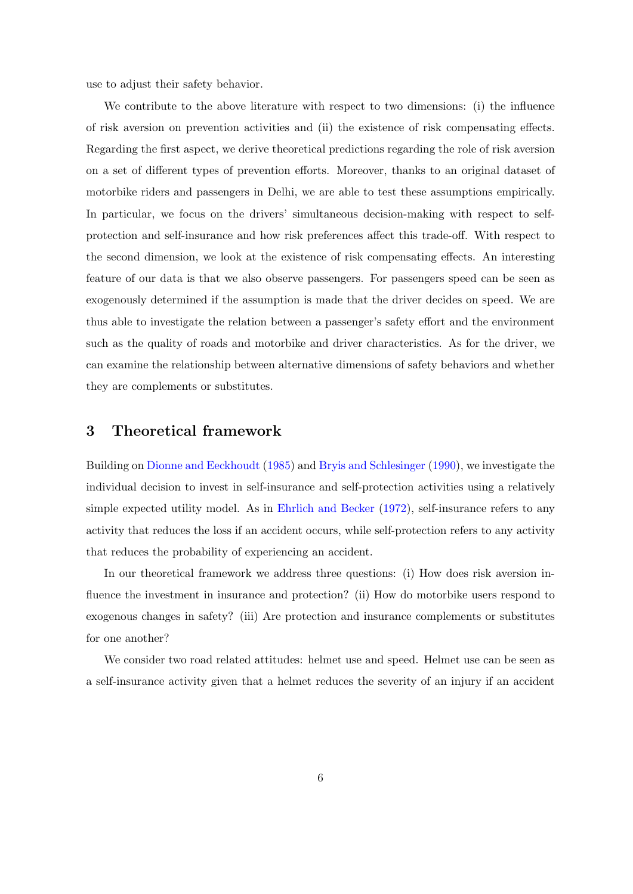use to adjust their safety behavior.

We contribute to the above literature with respect to two dimensions: (i) the influence of risk aversion on prevention activities and (ii) the existence of risk compensating effects. Regarding the first aspect, we derive theoretical predictions regarding the role of risk aversion on a set of different types of prevention efforts. Moreover, thanks to an original dataset of motorbike riders and passengers in Delhi, we are able to test these assumptions empirically. In particular, we focus on the drivers' simultaneous decision-making with respect to selfprotection and self-insurance and how risk preferences affect this trade-off. With respect to the second dimension, we look at the existence of risk compensating effects. An interesting feature of our data is that we also observe passengers. For passengers speed can be seen as exogenously determined if the assumption is made that the driver decides on speed. We are thus able to investigate the relation between a passenger's safety effort and the environment such as the quality of roads and motorbike and driver characteristics. As for the driver, we can examine the relationship between alternative dimensions of safety behaviors and whether they are complements or substitutes.

#### 3 Theoretical framework

Building on [Dionne and Eeckhoudt](#page-31-3) [\(1985\)](#page-31-3) and [Bryis and Schlesinger](#page-31-4) [\(1990\)](#page-31-4), we investigate the individual decision to invest in self-insurance and self-protection activities using a relatively simple expected utility model. As in [Ehrlich and Becker](#page-31-5) [\(1972\)](#page-31-5), self-insurance refers to any activity that reduces the loss if an accident occurs, while self-protection refers to any activity that reduces the probability of experiencing an accident.

In our theoretical framework we address three questions: (i) How does risk aversion influence the investment in insurance and protection? (ii) How do motorbike users respond to exogenous changes in safety? (iii) Are protection and insurance complements or substitutes for one another?

We consider two road related attitudes: helmet use and speed. Helmet use can be seen as a self-insurance activity given that a helmet reduces the severity of an injury if an accident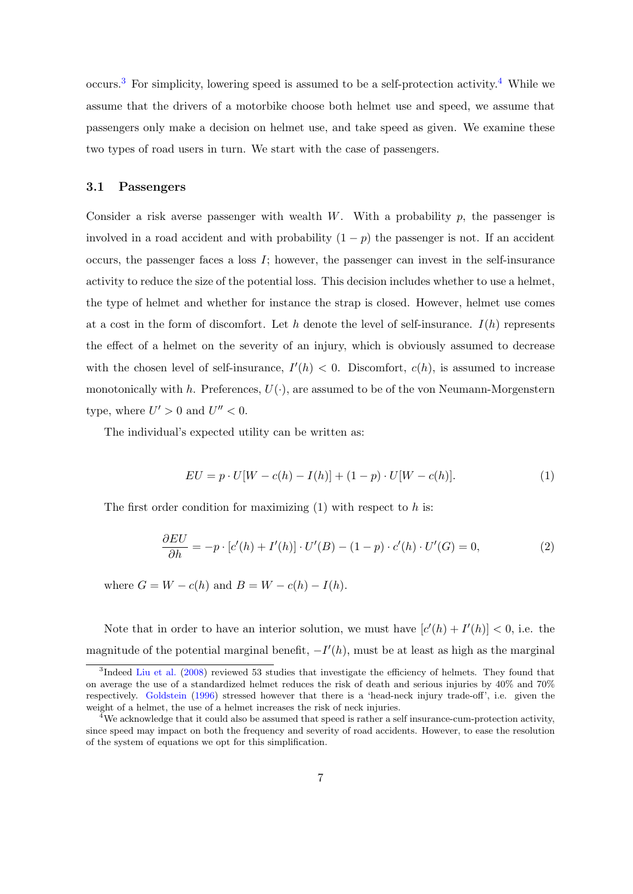occurs.<sup>[3](#page-8-0)</sup> For simplicity, lowering speed is assumed to be a self-protection activity.<sup>[4](#page-8-1)</sup> While we assume that the drivers of a motorbike choose both helmet use and speed, we assume that passengers only make a decision on helmet use, and take speed as given. We examine these two types of road users in turn. We start with the case of passengers.

#### 3.1 Passengers

Consider a risk averse passenger with wealth W. With a probability p, the passenger is involved in a road accident and with probability  $(1 - p)$  the passenger is not. If an accident occurs, the passenger faces a loss  $I$ ; however, the passenger can invest in the self-insurance activity to reduce the size of the potential loss. This decision includes whether to use a helmet, the type of helmet and whether for instance the strap is closed. However, helmet use comes at a cost in the form of discomfort. Let h denote the level of self-insurance.  $I(h)$  represents the effect of a helmet on the severity of an injury, which is obviously assumed to decrease with the chosen level of self-insurance,  $I'(h) < 0$ . Discomfort,  $c(h)$ , is assumed to increase monotonically with h. Preferences,  $U(\cdot)$ , are assumed to be of the von Neumann-Morgenstern type, where  $U' > 0$  and  $U'' < 0$ .

The individual's expected utility can be written as:

$$
EU = p \cdot U[W - c(h) - I(h)] + (1 - p) \cdot U[W - c(h)]. \tag{1}
$$

The first order condition for maximizing  $(1)$  with respect to h is:

$$
\frac{\partial EU}{\partial h} = -p \cdot [c'(h) + I'(h)] \cdot U'(B) - (1 - p) \cdot c'(h) \cdot U'(G) = 0,\tag{2}
$$

where  $G = W - c(h)$  and  $B = W - c(h) - I(h)$ .

Note that in order to have an interior solution, we must have  $[c'(h) + I'(h)] < 0$ , i.e. the magnitude of the potential marginal benefit,  $-I'(h)$ , must be at least as high as the marginal

<span id="page-8-0"></span><sup>&</sup>lt;sup>3</sup>Indeed [Liu et al.](#page-32-7) [\(2008\)](#page-32-7) reviewed 53 studies that investigate the efficiency of helmets. They found that on average the use of a standardized helmet reduces the risk of death and serious injuries by 40% and 70% respectively. [Goldstein](#page-32-8) [\(1996\)](#page-32-8) stressed however that there is a 'head-neck injury trade-off', i.e. given the weight of a helmet, the use of a helmet increases the risk of neck injuries.

<span id="page-8-1"></span><sup>&</sup>lt;sup>4</sup>We acknowledge that it could also be assumed that speed is rather a self insurance-cum-protection activity, since speed may impact on both the frequency and severity of road accidents. However, to ease the resolution of the system of equations we opt for this simplification.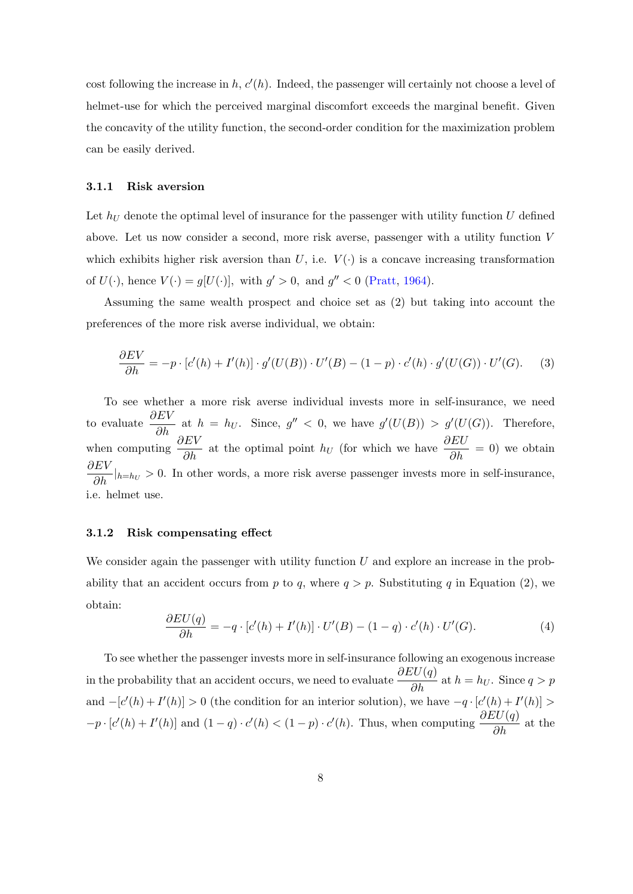cost following the increase in  $h, c'(h)$ . Indeed, the passenger will certainly not choose a level of helmet-use for which the perceived marginal discomfort exceeds the marginal benefit. Given the concavity of the utility function, the second-order condition for the maximization problem can be easily derived.

#### 3.1.1 Risk aversion

Let  $h_U$  denote the optimal level of insurance for the passenger with utility function  $U$  defined above. Let us now consider a second, more risk averse, passenger with a utility function V which exhibits higher risk aversion than  $U$ , i.e.  $V(\cdot)$  is a concave increasing transformation of  $U(\cdot)$ , hence  $V(\cdot) = g[U(\cdot)]$ , with  $g' > 0$ , and  $g'' < 0$  [\(Pratt,](#page-33-9) [1964\)](#page-33-9).

Assuming the same wealth prospect and choice set as (2) but taking into account the preferences of the more risk averse individual, we obtain:

$$
\frac{\partial EV}{\partial h} = -p \cdot [c'(h) + I'(h)] \cdot g'(U(B)) \cdot U'(B) - (1 - p) \cdot c'(h) \cdot g'(U(G)) \cdot U'(G). \tag{3}
$$

To see whether a more risk averse individual invests more in self-insurance, we need to evaluate  $\frac{\partial EV}{\partial h}$  at  $h = h_U$ . Since,  $g'' < 0$ , we have  $g'(U(B)) > g'(U(G))$ . Therefore, when computing  $\frac{\partial EV}{\partial h}$  at the optimal point  $h_U$  (for which we have  $\frac{\partial EU}{\partial h} = 0$ ) we obtain  $\frac{\partial EV}{\partial h}|_{h=h_U} > 0$ . In other words, a more risk averse passenger invests more in self-insurance, i.e. helmet use.

#### 3.1.2 Risk compensating effect

We consider again the passenger with utility function  $U$  and explore an increase in the probability that an accident occurs from p to q, where  $q > p$ . Substituting q in Equation (2), we obtain:

$$
\frac{\partial EU(q)}{\partial h} = -q \cdot [c'(h) + I'(h)] \cdot U'(B) - (1-q) \cdot c'(h) \cdot U'(G). \tag{4}
$$

To see whether the passenger invests more in self-insurance following an exogenous increase in the probability that an accident occurs, we need to evaluate  $\frac{\partial EU(q)}{\partial h}$  at  $h = h_U$ . Since  $q > p$ and  $-[c'(h) + I'(h)] > 0$  (the condition for an interior solution), we have  $-q \cdot [c'(h) + I'(h)] > 0$  $-p \cdot [c'(h) + I'(h)]$  and  $(1-q) \cdot c'(h) < (1-p) \cdot c'(h)$ . Thus, when computing  $\frac{\partial EU(q)}{\partial h}$  at the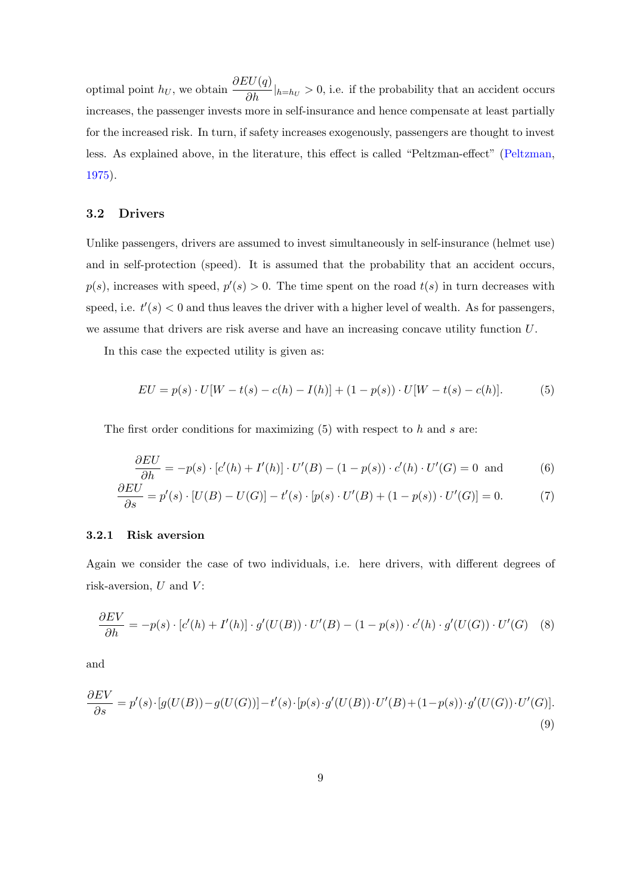optimal point  $h_U$ , we obtain  $\frac{\partial EU(q)}{\partial h}|_{h=h_U} > 0$ , i.e. if the probability that an accident occurs increases, the passenger invests more in self-insurance and hence compensate at least partially for the increased risk. In turn, if safety increases exogenously, passengers are thought to invest less. As explained above, in the literature, this effect is called "Peltzman-effect" [\(Peltzman,](#page-33-4) [1975\)](#page-33-4).

#### 3.2 Drivers

Unlike passengers, drivers are assumed to invest simultaneously in self-insurance (helmet use) and in self-protection (speed). It is assumed that the probability that an accident occurs,  $p(s)$ , increases with speed,  $p'(s) > 0$ . The time spent on the road  $t(s)$  in turn decreases with speed, i.e.  $t'(s) < 0$  and thus leaves the driver with a higher level of wealth. As for passengers, we assume that drivers are risk averse and have an increasing concave utility function U.

In this case the expected utility is given as:

$$
EU = p(s) \cdot U[W - t(s) - c(h) - I(h)] + (1 - p(s)) \cdot U[W - t(s) - c(h)].
$$
 (5)

The first order conditions for maximizing  $(5)$  with respect to h and s are:

$$
\frac{\partial EU}{\partial h} = -p(s) \cdot [c'(h) + I'(h)] \cdot U'(B) - (1 - p(s)) \cdot c'(h) \cdot U'(G) = 0 \text{ and } (6)
$$

$$
\frac{\partial EU}{\partial s} = p'(s) \cdot [U(B) - U(G)] - t'(s) \cdot [p(s) \cdot U'(B) + (1 - p(s)) \cdot U'(G)] = 0. \tag{7}
$$

#### 3.2.1 Risk aversion

Again we consider the case of two individuals, i.e. here drivers, with different degrees of risk-aversion,  $U$  and  $V$ :

$$
\frac{\partial EV}{\partial h} = -p(s) \cdot [c'(h) + I'(h)] \cdot g'(U(B)) \cdot U'(B) - (1 - p(s)) \cdot c'(h) \cdot g'(U(G)) \cdot U'(G)
$$
 (8)

and

$$
\frac{\partial EV}{\partial s} = p'(s) \cdot [g(U(B)) - g(U(G))] - t'(s) \cdot [p(s) \cdot g'(U(B)) \cdot U'(B) + (1 - p(s)) \cdot g'(U(G)) \cdot U'(G)].
$$
\n(9)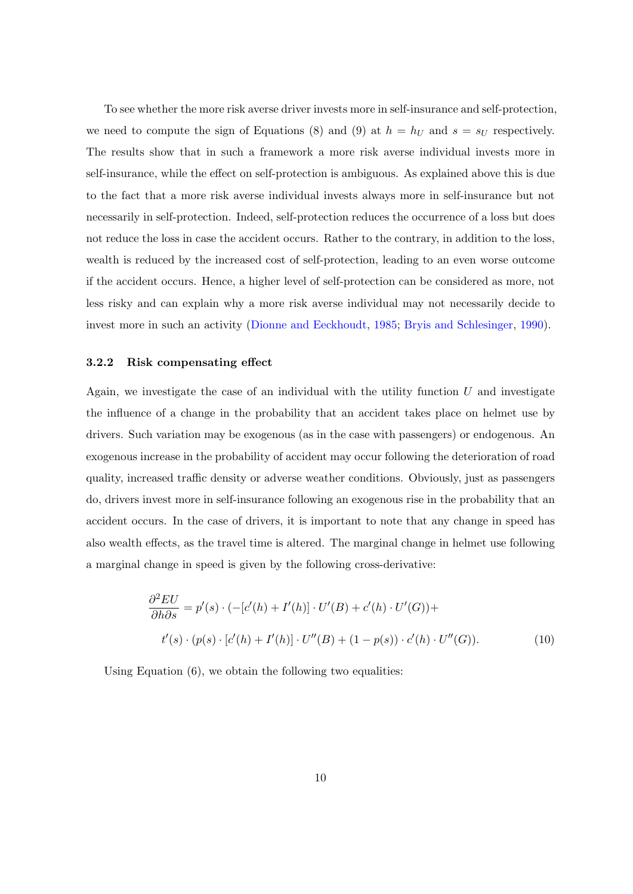To see whether the more risk averse driver invests more in self-insurance and self-protection, we need to compute the sign of Equations (8) and (9) at  $h = h_U$  and  $s = s_U$  respectively. The results show that in such a framework a more risk averse individual invests more in self-insurance, while the effect on self-protection is ambiguous. As explained above this is due to the fact that a more risk averse individual invests always more in self-insurance but not necessarily in self-protection. Indeed, self-protection reduces the occurrence of a loss but does not reduce the loss in case the accident occurs. Rather to the contrary, in addition to the loss, wealth is reduced by the increased cost of self-protection, leading to an even worse outcome if the accident occurs. Hence, a higher level of self-protection can be considered as more, not less risky and can explain why a more risk averse individual may not necessarily decide to invest more in such an activity [\(Dionne and Eeckhoudt,](#page-31-3) [1985;](#page-31-3) [Bryis and Schlesinger,](#page-31-4) [1990\)](#page-31-4).

#### 3.2.2 Risk compensating effect

Again, we investigate the case of an individual with the utility function  $U$  and investigate the influence of a change in the probability that an accident takes place on helmet use by drivers. Such variation may be exogenous (as in the case with passengers) or endogenous. An exogenous increase in the probability of accident may occur following the deterioration of road quality, increased traffic density or adverse weather conditions. Obviously, just as passengers do, drivers invest more in self-insurance following an exogenous rise in the probability that an accident occurs. In the case of drivers, it is important to note that any change in speed has also wealth effects, as the travel time is altered. The marginal change in helmet use following a marginal change in speed is given by the following cross-derivative:

$$
\frac{\partial^2 EU}{\partial h \partial s} = p'(s) \cdot (-[c'(h) + I'(h)] \cdot U'(B) + c'(h) \cdot U'(G)) +
$$
  

$$
t'(s) \cdot (p(s) \cdot [c'(h) + I'(h)] \cdot U''(B) + (1 - p(s)) \cdot c'(h) \cdot U''(G)).
$$
 (10)

Using Equation (6), we obtain the following two equalities: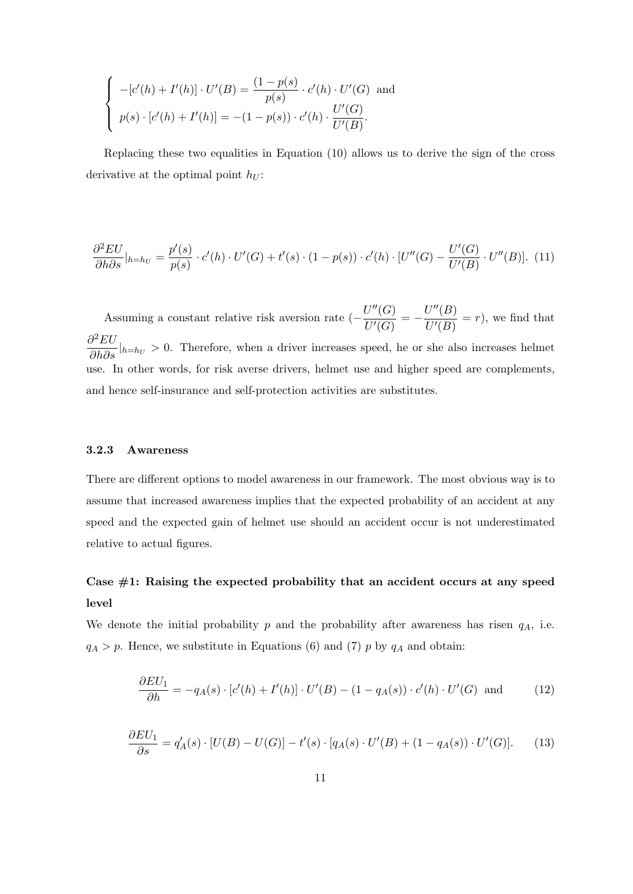$$
\begin{cases}\n-[c'(h) + I'(h)] \cdot U'(B) = \frac{(1 - p(s))}{p(s)} \cdot c'(h) \cdot U'(G) \text{ and} \\
p(s) \cdot [c'(h) + I'(h)] = -(1 - p(s)) \cdot c'(h) \cdot \frac{U'(G)}{U'(B)}.\n\end{cases}
$$

Replacing these two equalities in Equation (10) allows us to derive the sign of the cross derivative at the optimal point  $h_U$ :

$$
\frac{\partial^2 EU}{\partial h \partial s}|_{h=h_U} = \frac{p'(s)}{p(s)} \cdot c'(h) \cdot U'(G) + t'(s) \cdot (1-p(s)) \cdot c'(h) \cdot [U''(G) - \frac{U'(G)}{U'(B)} \cdot U''(B)]. \tag{11}
$$

Assuming a constant relative risk aversion rate  $\left(-\frac{U''(G)}{U'(G)}\right)$  $\frac{U''(G)}{U'(G)} = -\frac{U''(B)}{U'(B)}$  $\frac{\partial^2 (B)}{\partial U'(B)} = r$ , we find that  $\partial^2 EU$  $\frac{\partial E}{\partial h \partial s}|_{h=h_U} > 0$ . Therefore, when a driver increases speed, he or she also increases helmet use. In other words, for risk averse drivers, helmet use and higher speed are complements, and hence self-insurance and self-protection activities are substitutes.

#### 3.2.3 Awareness

There are different options to model awareness in our framework. The most obvious way is to assume that increased awareness implies that the expected probability of an accident at any speed and the expected gain of helmet use should an accident occur is not underestimated relative to actual figures.

### Case #1: Raising the expected probability that an accident occurs at any speed level

We denote the initial probability  $p$  and the probability after awareness has risen  $q_A$ , i.e.  $q_A > p$ . Hence, we substitute in Equations (6) and (7) p by  $q_A$  and obtain:

$$
\frac{\partial EU_1}{\partial h} = -q_A(s) \cdot [c'(h) + I'(h)] \cdot U'(B) - (1 - q_A(s)) \cdot c'(h) \cdot U'(G) \text{ and } (12)
$$

$$
\frac{\partial EU_1}{\partial s} = q'_A(s) \cdot [U(B) - U(G)] - t'(s) \cdot [q_A(s) \cdot U'(B) + (1 - q_A(s)) \cdot U'(G)]. \tag{13}
$$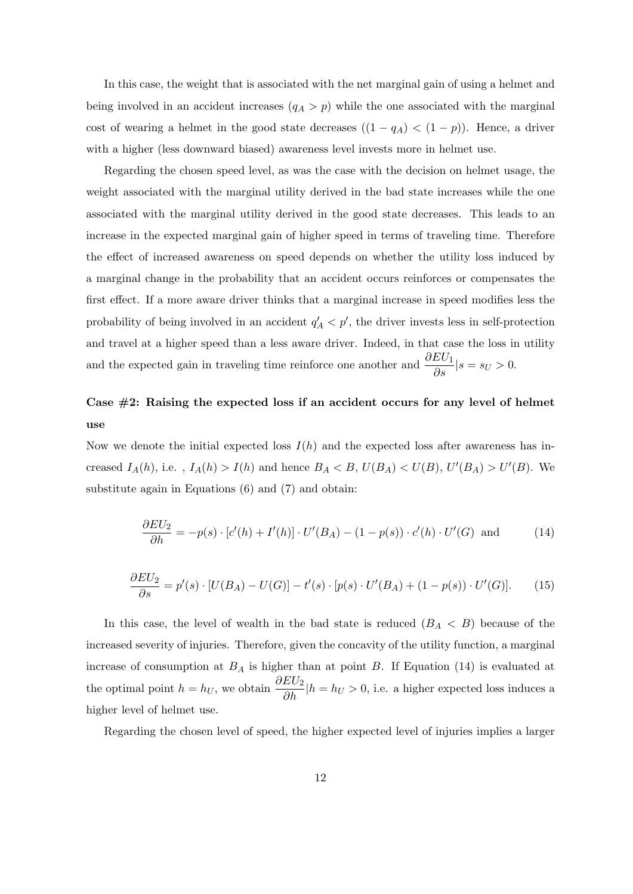In this case, the weight that is associated with the net marginal gain of using a helmet and being involved in an accident increases  $(q_A > p)$  while the one associated with the marginal cost of wearing a helmet in the good state decreases  $((1 - q_A) < (1 - p))$ . Hence, a driver with a higher (less downward biased) awareness level invests more in helmet use.

Regarding the chosen speed level, as was the case with the decision on helmet usage, the weight associated with the marginal utility derived in the bad state increases while the one associated with the marginal utility derived in the good state decreases. This leads to an increase in the expected marginal gain of higher speed in terms of traveling time. Therefore the effect of increased awareness on speed depends on whether the utility loss induced by a marginal change in the probability that an accident occurs reinforces or compensates the first effect. If a more aware driver thinks that a marginal increase in speed modifies less the probability of being involved in an accident  $q'_{A} < p'$ , the driver invests less in self-protection and travel at a higher speed than a less aware driver. Indeed, in that case the loss in utility and the expected gain in traveling time reinforce one another and  $\frac{\partial EU_1}{\partial s}|s = s_U > 0$ .

### Case  $#2$ : Raising the expected loss if an accident occurs for any level of helmet use

Now we denote the initial expected loss  $I(h)$  and the expected loss after awareness has increased  $I_A(h)$ , i.e.,  $I_A(h) > I(h)$  and hence  $B_A < B$ ,  $U(B_A) < U(B)$ ,  $U'(B_A) > U'(B)$ . We substitute again in Equations (6) and (7) and obtain:

$$
\frac{\partial EU_2}{\partial h} = -p(s) \cdot [c'(h) + I'(h)] \cdot U'(B_A) - (1 - p(s)) \cdot c'(h) \cdot U'(G) \text{ and } (14)
$$

$$
\frac{\partial EU_2}{\partial s} = p'(s) \cdot [U(B_A) - U(G)] - t'(s) \cdot [p(s) \cdot U'(B_A) + (1 - p(s)) \cdot U'(G)]. \tag{15}
$$

In this case, the level of wealth in the bad state is reduced  $(B_A < B)$  because of the increased severity of injuries. Therefore, given the concavity of the utility function, a marginal increase of consumption at  $B_A$  is higher than at point B. If Equation (14) is evaluated at the optimal point  $h = h_U$ , we obtain  $\frac{\partial EU_2}{\partial h}|h = h_U > 0$ , i.e. a higher expected loss induces a higher level of helmet use.

Regarding the chosen level of speed, the higher expected level of injuries implies a larger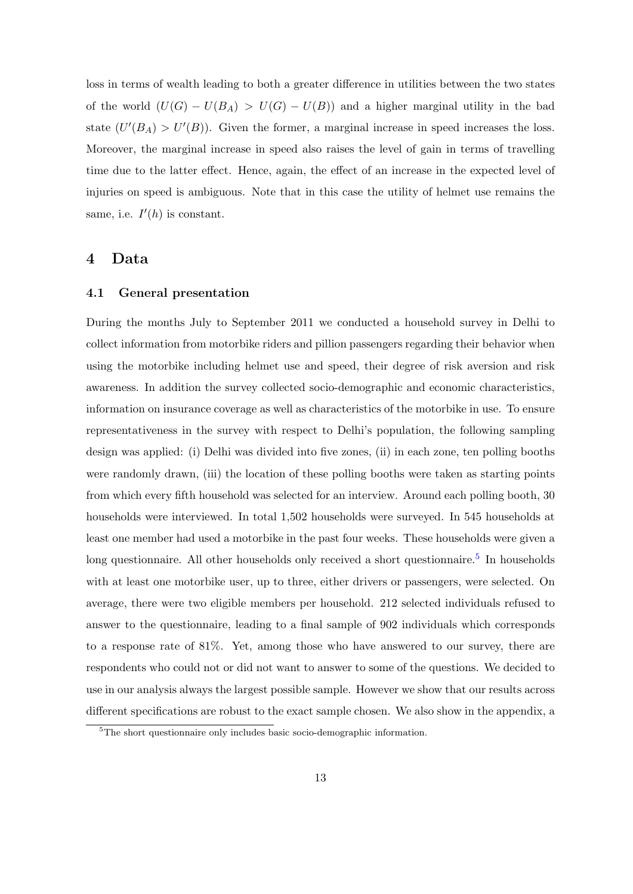loss in terms of wealth leading to both a greater difference in utilities between the two states of the world  $(U(G) - U(B_A) > U(G) - U(B))$  and a higher marginal utility in the bad state  $(U'(B_A) > U'(B))$ . Given the former, a marginal increase in speed increases the loss. Moreover, the marginal increase in speed also raises the level of gain in terms of travelling time due to the latter effect. Hence, again, the effect of an increase in the expected level of injuries on speed is ambiguous. Note that in this case the utility of helmet use remains the same, i.e.  $I'(h)$  is constant.

#### 4 Data

#### 4.1 General presentation

During the months July to September 2011 we conducted a household survey in Delhi to collect information from motorbike riders and pillion passengers regarding their behavior when using the motorbike including helmet use and speed, their degree of risk aversion and risk awareness. In addition the survey collected socio-demographic and economic characteristics, information on insurance coverage as well as characteristics of the motorbike in use. To ensure representativeness in the survey with respect to Delhi's population, the following sampling design was applied: (i) Delhi was divided into five zones, (ii) in each zone, ten polling booths were randomly drawn, (iii) the location of these polling booths were taken as starting points from which every fifth household was selected for an interview. Around each polling booth, 30 households were interviewed. In total 1,502 households were surveyed. In 545 households at least one member had used a motorbike in the past four weeks. These households were given a long questionnaire. All other households only received a short questionnaire.<sup>[5](#page-14-0)</sup> In households with at least one motorbike user, up to three, either drivers or passengers, were selected. On average, there were two eligible members per household. 212 selected individuals refused to answer to the questionnaire, leading to a final sample of 902 individuals which corresponds to a response rate of 81%. Yet, among those who have answered to our survey, there are respondents who could not or did not want to answer to some of the questions. We decided to use in our analysis always the largest possible sample. However we show that our results across different specifications are robust to the exact sample chosen. We also show in the appendix, a

<span id="page-14-0"></span><sup>&</sup>lt;sup>5</sup>The short questionnaire only includes basic socio-demographic information.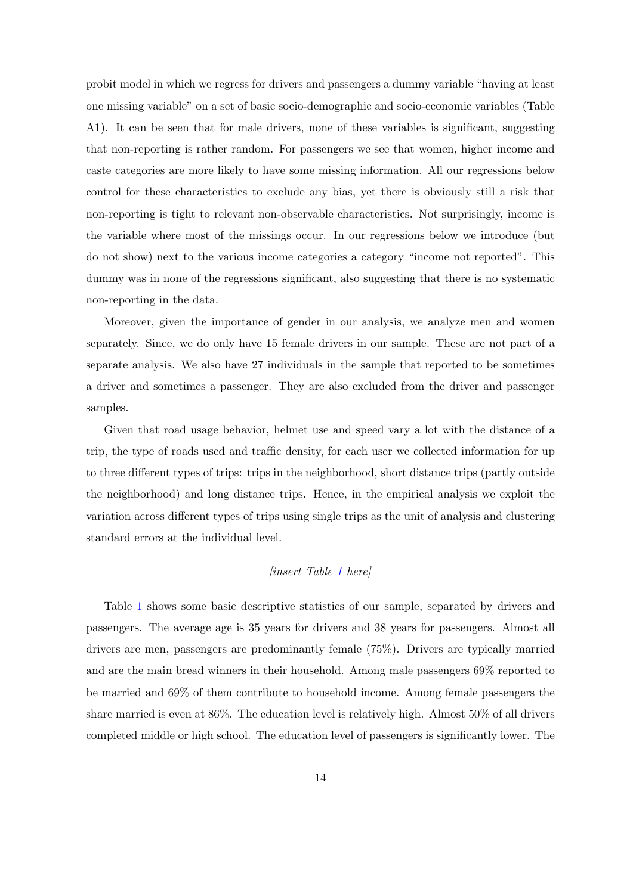probit model in which we regress for drivers and passengers a dummy variable "having at least one missing variable" on a set of basic socio-demographic and socio-economic variables (Table A1). It can be seen that for male drivers, none of these variables is significant, suggesting that non-reporting is rather random. For passengers we see that women, higher income and caste categories are more likely to have some missing information. All our regressions below control for these characteristics to exclude any bias, yet there is obviously still a risk that non-reporting is tight to relevant non-observable characteristics. Not surprisingly, income is the variable where most of the missings occur. In our regressions below we introduce (but do not show) next to the various income categories a category "income not reported". This dummy was in none of the regressions significant, also suggesting that there is no systematic non-reporting in the data.

Moreover, given the importance of gender in our analysis, we analyze men and women separately. Since, we do only have 15 female drivers in our sample. These are not part of a separate analysis. We also have 27 individuals in the sample that reported to be sometimes a driver and sometimes a passenger. They are also excluded from the driver and passenger samples.

Given that road usage behavior, helmet use and speed vary a lot with the distance of a trip, the type of roads used and traffic density, for each user we collected information for up to three different types of trips: trips in the neighborhood, short distance trips (partly outside the neighborhood) and long distance trips. Hence, in the empirical analysis we exploit the variation across different types of trips using single trips as the unit of analysis and clustering standard errors at the individual level.

#### [insert Table [1](#page-35-0) here]

Table [1](#page-35-0) shows some basic descriptive statistics of our sample, separated by drivers and passengers. The average age is 35 years for drivers and 38 years for passengers. Almost all drivers are men, passengers are predominantly female (75%). Drivers are typically married and are the main bread winners in their household. Among male passengers 69% reported to be married and 69% of them contribute to household income. Among female passengers the share married is even at 86%. The education level is relatively high. Almost 50% of all drivers completed middle or high school. The education level of passengers is significantly lower. The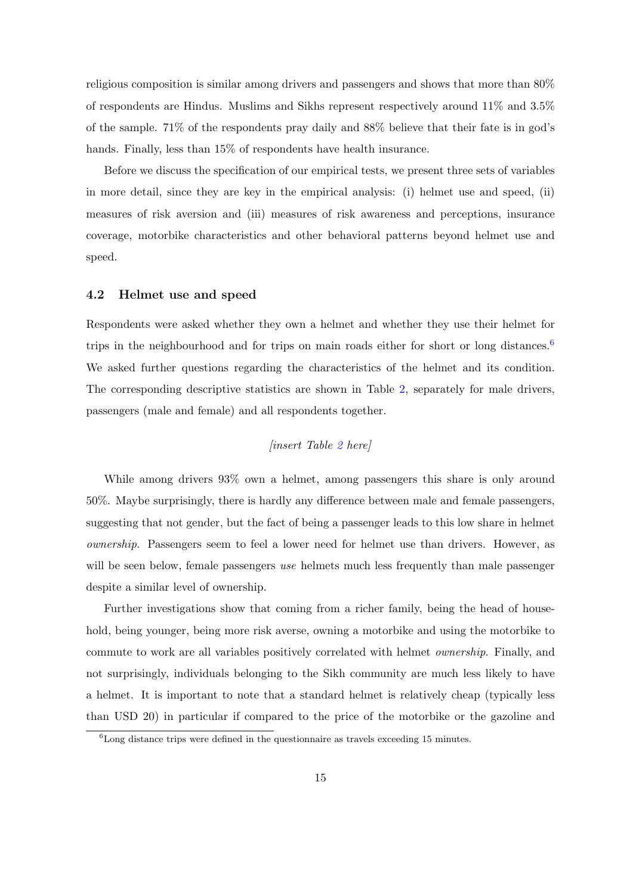religious composition is similar among drivers and passengers and shows that more than 80% of respondents are Hindus. Muslims and Sikhs represent respectively around 11% and 3.5% of the sample. 71% of the respondents pray daily and 88% believe that their fate is in god's hands. Finally, less than 15% of respondents have health insurance.

Before we discuss the specification of our empirical tests, we present three sets of variables in more detail, since they are key in the empirical analysis: (i) helmet use and speed, (ii) measures of risk aversion and (iii) measures of risk awareness and perceptions, insurance coverage, motorbike characteristics and other behavioral patterns beyond helmet use and speed.

#### 4.2 Helmet use and speed

Respondents were asked whether they own a helmet and whether they use their helmet for trips in the neighbourhood and for trips on main roads either for short or long distances.<sup>[6](#page-16-0)</sup> We asked further questions regarding the characteristics of the helmet and its condition. The corresponding descriptive statistics are shown in Table [2,](#page-36-0) separately for male drivers, passengers (male and female) and all respondents together.

#### [insert Table [2](#page-36-0) here]

While among drivers 93% own a helmet, among passengers this share is only around 50%. Maybe surprisingly, there is hardly any difference between male and female passengers, suggesting that not gender, but the fact of being a passenger leads to this low share in helmet ownership. Passengers seem to feel a lower need for helmet use than drivers. However, as will be seen below, female passengers use helmets much less frequently than male passenger despite a similar level of ownership.

Further investigations show that coming from a richer family, being the head of household, being younger, being more risk averse, owning a motorbike and using the motorbike to commute to work are all variables positively correlated with helmet ownership. Finally, and not surprisingly, individuals belonging to the Sikh community are much less likely to have a helmet. It is important to note that a standard helmet is relatively cheap (typically less than USD 20) in particular if compared to the price of the motorbike or the gazoline and

<span id="page-16-0"></span> ${}^{6}$ Long distance trips were defined in the questionnaire as travels exceeding 15 minutes.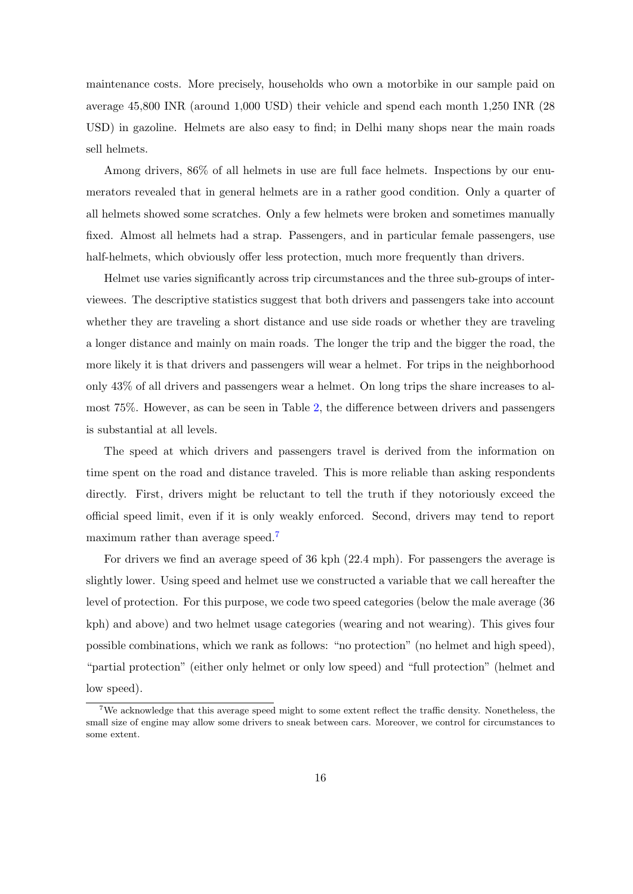maintenance costs. More precisely, households who own a motorbike in our sample paid on average 45,800 INR (around 1,000 USD) their vehicle and spend each month 1,250 INR (28 USD) in gazoline. Helmets are also easy to find; in Delhi many shops near the main roads sell helmets.

Among drivers, 86% of all helmets in use are full face helmets. Inspections by our enumerators revealed that in general helmets are in a rather good condition. Only a quarter of all helmets showed some scratches. Only a few helmets were broken and sometimes manually fixed. Almost all helmets had a strap. Passengers, and in particular female passengers, use half-helmets, which obviously offer less protection, much more frequently than drivers.

Helmet use varies significantly across trip circumstances and the three sub-groups of interviewees. The descriptive statistics suggest that both drivers and passengers take into account whether they are traveling a short distance and use side roads or whether they are traveling a longer distance and mainly on main roads. The longer the trip and the bigger the road, the more likely it is that drivers and passengers will wear a helmet. For trips in the neighborhood only 43% of all drivers and passengers wear a helmet. On long trips the share increases to almost 75%. However, as can be seen in Table [2,](#page-36-0) the difference between drivers and passengers is substantial at all levels.

The speed at which drivers and passengers travel is derived from the information on time spent on the road and distance traveled. This is more reliable than asking respondents directly. First, drivers might be reluctant to tell the truth if they notoriously exceed the official speed limit, even if it is only weakly enforced. Second, drivers may tend to report maximum rather than average speed.<sup>[7](#page-17-0)</sup>

For drivers we find an average speed of 36 kph (22.4 mph). For passengers the average is slightly lower. Using speed and helmet use we constructed a variable that we call hereafter the level of protection. For this purpose, we code two speed categories (below the male average (36 kph) and above) and two helmet usage categories (wearing and not wearing). This gives four possible combinations, which we rank as follows: "no protection" (no helmet and high speed), "partial protection" (either only helmet or only low speed) and "full protection" (helmet and low speed).

<span id="page-17-0"></span><sup>7</sup>We acknowledge that this average speed might to some extent reflect the traffic density. Nonetheless, the small size of engine may allow some drivers to sneak between cars. Moreover, we control for circumstances to some extent.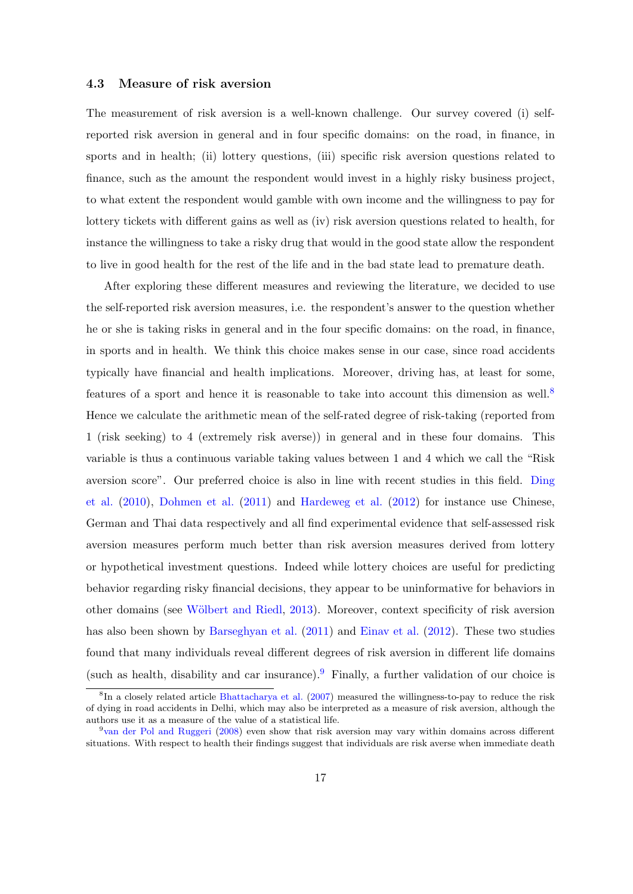#### 4.3 Measure of risk aversion

The measurement of risk aversion is a well-known challenge. Our survey covered (i) selfreported risk aversion in general and in four specific domains: on the road, in finance, in sports and in health; (ii) lottery questions, (iii) specific risk aversion questions related to finance, such as the amount the respondent would invest in a highly risky business project, to what extent the respondent would gamble with own income and the willingness to pay for lottery tickets with different gains as well as (iv) risk aversion questions related to health, for instance the willingness to take a risky drug that would in the good state allow the respondent to live in good health for the rest of the life and in the bad state lead to premature death.

After exploring these different measures and reviewing the literature, we decided to use the self-reported risk aversion measures, i.e. the respondent's answer to the question whether he or she is taking risks in general and in the four specific domains: on the road, in finance, in sports and in health. We think this choice makes sense in our case, since road accidents typically have financial and health implications. Moreover, driving has, at least for some, features of a sport and hence it is reasonable to take into account this dimension as well.<sup>[8](#page-18-0)</sup> Hence we calculate the arithmetic mean of the self-rated degree of risk-taking (reported from 1 (risk seeking) to 4 (extremely risk averse)) in general and in these four domains. This variable is thus a continuous variable taking values between 1 and 4 which we call the "Risk aversion score". Our preferred choice is also in line with recent studies in this field. [Ding](#page-31-7) [et al.](#page-31-7) [\(2010\)](#page-31-7), [Dohmen et al.](#page-31-8) [\(2011\)](#page-31-8) and [Hardeweg et al.](#page-32-9) [\(2012\)](#page-32-9) for instance use Chinese, German and Thai data respectively and all find experimental evidence that self-assessed risk aversion measures perform much better than risk aversion measures derived from lottery or hypothetical investment questions. Indeed while lottery choices are useful for predicting behavior regarding risky financial decisions, they appear to be uninformative for behaviors in other domains (see Wölbert and Riedl, [2013\)](#page-34-1). Moreover, context specificity of risk aversion has also been shown by [Barseghyan et al.](#page-30-0) [\(2011\)](#page-30-0) and [Einav et al.](#page-31-9) [\(2012\)](#page-31-9). These two studies found that many individuals reveal different degrees of risk aversion in different life domains (such as health, disability and car insurance). Finally, a further validation of our choice is

<span id="page-18-0"></span><sup>&</sup>lt;sup>8</sup>In a closely related article [Bhattacharya et al.](#page-30-1) [\(2007\)](#page-30-1) measured the willingness-to-pay to reduce the risk of dying in road accidents in Delhi, which may also be interpreted as a measure of risk aversion, although the authors use it as a measure of the value of a statistical life.

<span id="page-18-1"></span><sup>9</sup> [van der Pol and Ruggeri](#page-33-10) [\(2008\)](#page-33-10) even show that risk aversion may vary within domains across different situations. With respect to health their findings suggest that individuals are risk averse when immediate death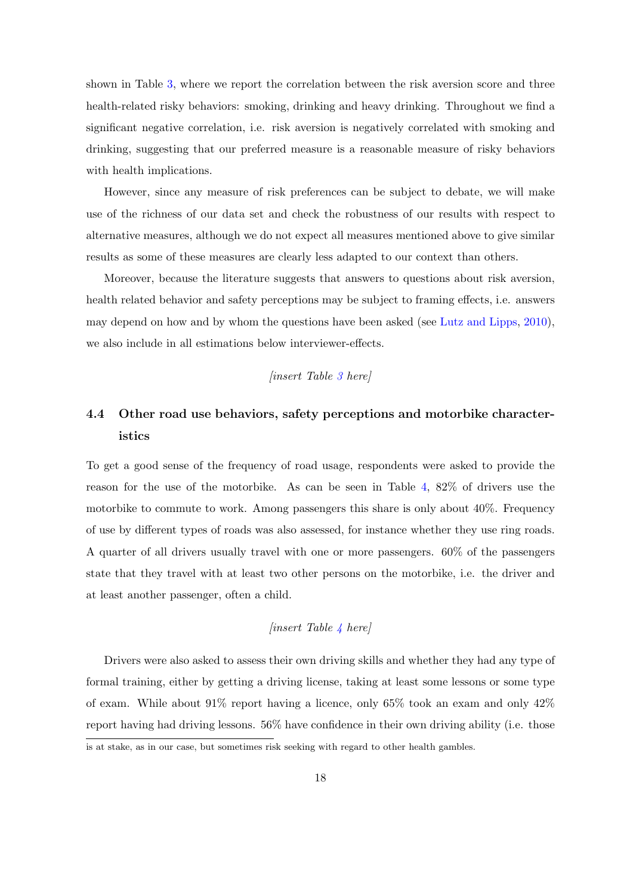shown in Table [3,](#page-37-0) where we report the correlation between the risk aversion score and three health-related risky behaviors: smoking, drinking and heavy drinking. Throughout we find a significant negative correlation, i.e. risk aversion is negatively correlated with smoking and drinking, suggesting that our preferred measure is a reasonable measure of risky behaviors with health implications.

However, since any measure of risk preferences can be subject to debate, we will make use of the richness of our data set and check the robustness of our results with respect to alternative measures, although we do not expect all measures mentioned above to give similar results as some of these measures are clearly less adapted to our context than others.

Moreover, because the literature suggests that answers to questions about risk aversion, health related behavior and safety perceptions may be subject to framing effects, i.e. answers may depend on how and by whom the questions have been asked (see [Lutz and Lipps,](#page-32-10) [2010\)](#page-32-10), we also include in all estimations below interviewer-effects.

#### [insert Table [3](#page-37-0) here]

### 4.4 Other road use behaviors, safety perceptions and motorbike characteristics

To get a good sense of the frequency of road usage, respondents were asked to provide the reason for the use of the motorbike. As can be seen in Table [4,](#page-38-0) 82% of drivers use the motorbike to commute to work. Among passengers this share is only about 40%. Frequency of use by different types of roads was also assessed, for instance whether they use ring roads. A quarter of all drivers usually travel with one or more passengers. 60% of the passengers state that they travel with at least two other persons on the motorbike, i.e. the driver and at least another passenger, often a child.

#### $[insert Table 4 here]$  $[insert Table 4 here]$  $[insert Table 4 here]$

Drivers were also asked to assess their own driving skills and whether they had any type of formal training, either by getting a driving license, taking at least some lessons or some type of exam. While about 91% report having a licence, only 65% took an exam and only  $42\%$ report having had driving lessons. 56% have confidence in their own driving ability (i.e. those is at stake, as in our case, but sometimes risk seeking with regard to other health gambles.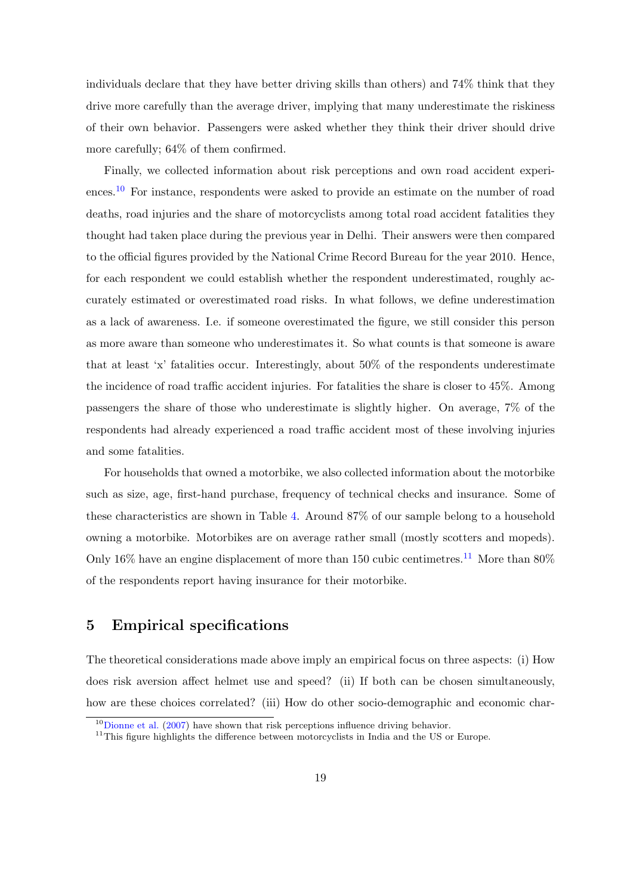individuals declare that they have better driving skills than others) and 74% think that they drive more carefully than the average driver, implying that many underestimate the riskiness of their own behavior. Passengers were asked whether they think their driver should drive more carefully; 64% of them confirmed.

Finally, we collected information about risk perceptions and own road accident experiences.[10](#page-20-0) For instance, respondents were asked to provide an estimate on the number of road deaths, road injuries and the share of motorcyclists among total road accident fatalities they thought had taken place during the previous year in Delhi. Their answers were then compared to the official figures provided by the National Crime Record Bureau for the year 2010. Hence, for each respondent we could establish whether the respondent underestimated, roughly accurately estimated or overestimated road risks. In what follows, we define underestimation as a lack of awareness. I.e. if someone overestimated the figure, we still consider this person as more aware than someone who underestimates it. So what counts is that someone is aware that at least 'x' fatalities occur. Interestingly, about 50% of the respondents underestimate the incidence of road traffic accident injuries. For fatalities the share is closer to 45%. Among passengers the share of those who underestimate is slightly higher. On average, 7% of the respondents had already experienced a road traffic accident most of these involving injuries and some fatalities.

For households that owned a motorbike, we also collected information about the motorbike such as size, age, first-hand purchase, frequency of technical checks and insurance. Some of these characteristics are shown in Table [4.](#page-38-0) Around 87% of our sample belong to a household owning a motorbike. Motorbikes are on average rather small (mostly scotters and mopeds). Only 16% have an engine displacement of more than 150 cubic centimetres.<sup>[11](#page-20-1)</sup> More than 80% of the respondents report having insurance for their motorbike.

### 5 Empirical specifications

The theoretical considerations made above imply an empirical focus on three aspects: (i) How does risk aversion affect helmet use and speed? (ii) If both can be chosen simultaneously, how are these choices correlated? (iii) How do other socio-demographic and economic char-

<span id="page-20-0"></span> $10$ [Dionne et al.](#page-31-10) [\(2007\)](#page-31-10) have shown that risk perceptions influence driving behavior.

<span id="page-20-1"></span><sup>&</sup>lt;sup>11</sup>This figure highlights the difference between motorcyclists in India and the US or Europe.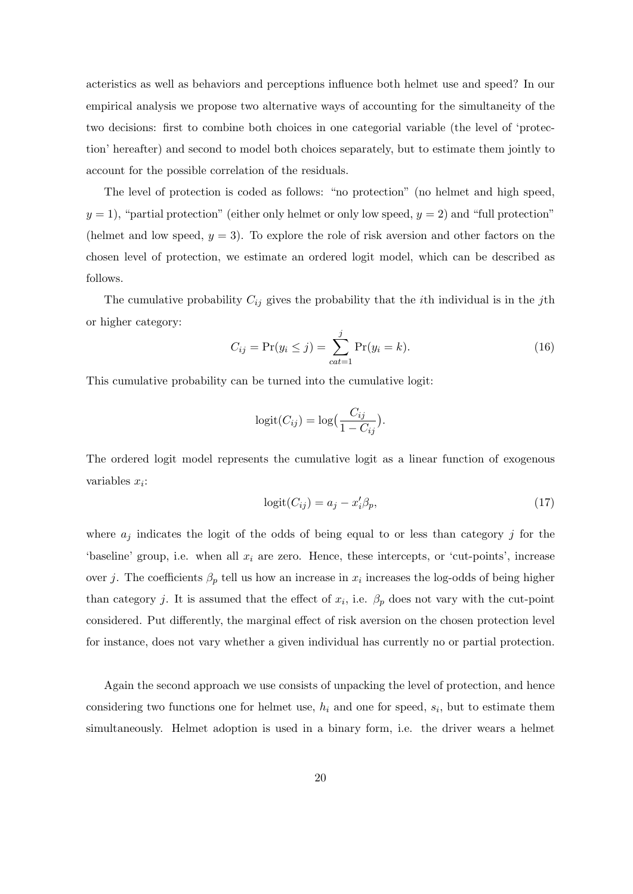acteristics as well as behaviors and perceptions influence both helmet use and speed? In our empirical analysis we propose two alternative ways of accounting for the simultaneity of the two decisions: first to combine both choices in one categorial variable (the level of 'protection' hereafter) and second to model both choices separately, but to estimate them jointly to account for the possible correlation of the residuals.

The level of protection is coded as follows: "no protection" (no helmet and high speed,  $y = 1$ , "partial protection" (either only helmet or only low speed,  $y = 2$ ) and "full protection" (helmet and low speed,  $y = 3$ ). To explore the role of risk aversion and other factors on the chosen level of protection, we estimate an ordered logit model, which can be described as follows.

The cumulative probability  $C_{ij}$  gives the probability that the *i*th individual is in the *j*th or higher category:

$$
C_{ij} = \Pr(y_i \le j) = \sum_{cat=1}^{j} \Pr(y_i = k).
$$
 (16)

This cumulative probability can be turned into the cumulative logit:

$$
logit(C_{ij}) = log(\frac{C_{ij}}{1 - C_{ij}}).
$$

The ordered logit model represents the cumulative logit as a linear function of exogenous variables  $x_i$ :

$$
logit(C_{ij}) = a_j - x_i' \beta_p,\tag{17}
$$

where  $a_j$  indicates the logit of the odds of being equal to or less than category j for the 'baseline' group, i.e. when all  $x_i$  are zero. Hence, these intercepts, or 'cut-points', increase over j. The coefficients  $\beta_p$  tell us how an increase in  $x_i$  increases the log-odds of being higher than category j. It is assumed that the effect of  $x_i$ , i.e.  $\beta_p$  does not vary with the cut-point considered. Put differently, the marginal effect of risk aversion on the chosen protection level for instance, does not vary whether a given individual has currently no or partial protection.

Again the second approach we use consists of unpacking the level of protection, and hence considering two functions one for helmet use,  $h_i$  and one for speed,  $s_i$ , but to estimate them simultaneously. Helmet adoption is used in a binary form, i.e. the driver wears a helmet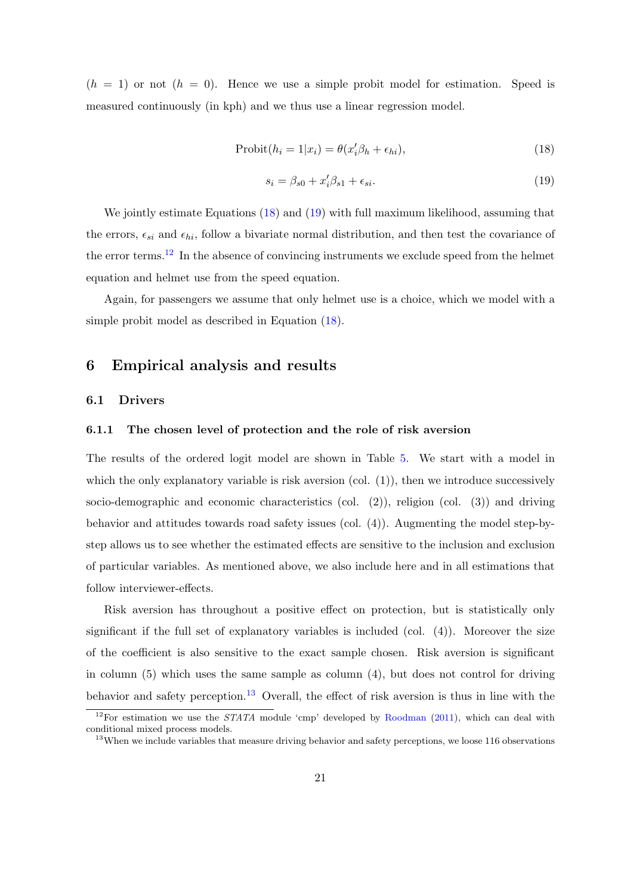$(h = 1)$  or not  $(h = 0)$ . Hence we use a simple probit model for estimation. Speed is measured continuously (in kph) and we thus use a linear regression model.

<span id="page-22-0"></span>
$$
Probability(h_i = 1|x_i) = \theta(x_i'\beta_h + \epsilon_{hi}),
$$
\n(18)

<span id="page-22-1"></span>
$$
s_i = \beta_{s0} + x_i' \beta_{s1} + \epsilon_{si}.
$$
\n<sup>(19)</sup>

We jointly estimate Equations [\(18\)](#page-22-0) and [\(19\)](#page-22-1) with full maximum likelihood, assuming that the errors,  $\epsilon_{si}$  and  $\epsilon_{hi}$ , follow a bivariate normal distribution, and then test the covariance of the error terms.<sup>[12](#page-22-2)</sup> In the absence of convincing instruments we exclude speed from the helmet equation and helmet use from the speed equation.

Again, for passengers we assume that only helmet use is a choice, which we model with a simple probit model as described in Equation [\(18\)](#page-22-0).

#### 6 Empirical analysis and results

#### 6.1 Drivers

#### 6.1.1 The chosen level of protection and the role of risk aversion

The results of the ordered logit model are shown in Table [5.](#page-39-0) We start with a model in which the only explanatory variable is risk aversion (col.  $(1)$ ), then we introduce successively socio-demographic and economic characteristics (col. (2)), religion (col. (3)) and driving behavior and attitudes towards road safety issues (col. (4)). Augmenting the model step-bystep allows us to see whether the estimated effects are sensitive to the inclusion and exclusion of particular variables. As mentioned above, we also include here and in all estimations that follow interviewer-effects.

Risk aversion has throughout a positive effect on protection, but is statistically only significant if the full set of explanatory variables is included (col. (4)). Moreover the size of the coefficient is also sensitive to the exact sample chosen. Risk aversion is significant in column (5) which uses the same sample as column (4), but does not control for driving behavior and safety perception.<sup>[13](#page-22-3)</sup> Overall, the effect of risk aversion is thus in line with the

<span id="page-22-2"></span><sup>&</sup>lt;sup>12</sup>For estimation we use the *STATA* module 'cmp' developed by [Roodman](#page-33-11) [\(2011\)](#page-33-11), which can deal with conditional mixed process models.

<span id="page-22-3"></span><sup>&</sup>lt;sup>13</sup>When we include variables that measure driving behavior and safety perceptions, we loose 116 observations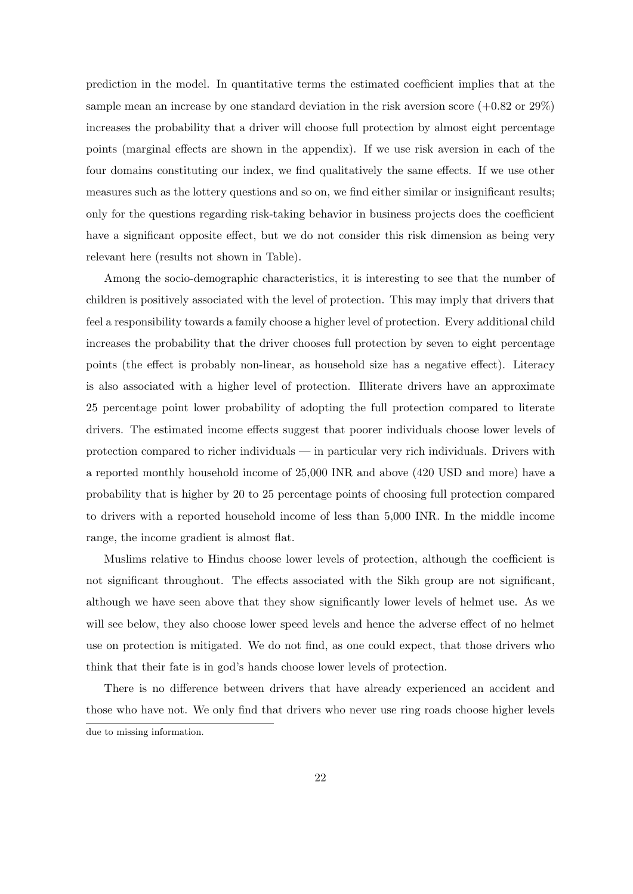prediction in the model. In quantitative terms the estimated coefficient implies that at the sample mean an increase by one standard deviation in the risk aversion score  $(+0.82 \text{ or } 29\%)$ increases the probability that a driver will choose full protection by almost eight percentage points (marginal effects are shown in the appendix). If we use risk aversion in each of the four domains constituting our index, we find qualitatively the same effects. If we use other measures such as the lottery questions and so on, we find either similar or insignificant results; only for the questions regarding risk-taking behavior in business projects does the coefficient have a significant opposite effect, but we do not consider this risk dimension as being very relevant here (results not shown in Table).

Among the socio-demographic characteristics, it is interesting to see that the number of children is positively associated with the level of protection. This may imply that drivers that feel a responsibility towards a family choose a higher level of protection. Every additional child increases the probability that the driver chooses full protection by seven to eight percentage points (the effect is probably non-linear, as household size has a negative effect). Literacy is also associated with a higher level of protection. Illiterate drivers have an approximate 25 percentage point lower probability of adopting the full protection compared to literate drivers. The estimated income effects suggest that poorer individuals choose lower levels of protection compared to richer individuals — in particular very rich individuals. Drivers with a reported monthly household income of 25,000 INR and above (420 USD and more) have a probability that is higher by 20 to 25 percentage points of choosing full protection compared to drivers with a reported household income of less than 5,000 INR. In the middle income range, the income gradient is almost flat.

Muslims relative to Hindus choose lower levels of protection, although the coefficient is not significant throughout. The effects associated with the Sikh group are not significant, although we have seen above that they show significantly lower levels of helmet use. As we will see below, they also choose lower speed levels and hence the adverse effect of no helmet use on protection is mitigated. We do not find, as one could expect, that those drivers who think that their fate is in god's hands choose lower levels of protection.

There is no difference between drivers that have already experienced an accident and those who have not. We only find that drivers who never use ring roads choose higher levels due to missing information.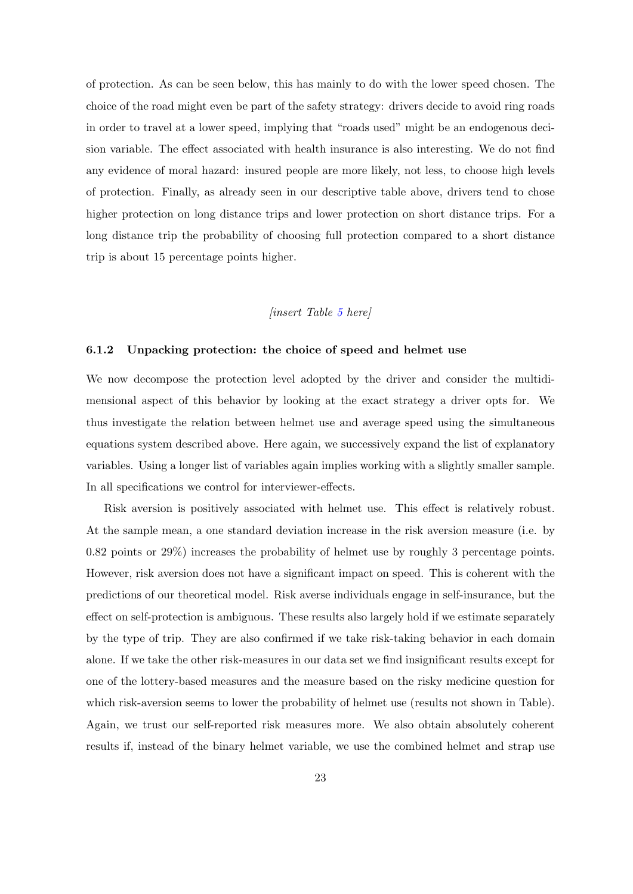of protection. As can be seen below, this has mainly to do with the lower speed chosen. The choice of the road might even be part of the safety strategy: drivers decide to avoid ring roads in order to travel at a lower speed, implying that "roads used" might be an endogenous decision variable. The effect associated with health insurance is also interesting. We do not find any evidence of moral hazard: insured people are more likely, not less, to choose high levels of protection. Finally, as already seen in our descriptive table above, drivers tend to chose higher protection on long distance trips and lower protection on short distance trips. For a long distance trip the probability of choosing full protection compared to a short distance trip is about 15 percentage points higher.

#### $[insert Table 5 here]$  $[insert Table 5 here]$  $[insert Table 5 here]$

#### 6.1.2 Unpacking protection: the choice of speed and helmet use

We now decompose the protection level adopted by the driver and consider the multidimensional aspect of this behavior by looking at the exact strategy a driver opts for. We thus investigate the relation between helmet use and average speed using the simultaneous equations system described above. Here again, we successively expand the list of explanatory variables. Using a longer list of variables again implies working with a slightly smaller sample. In all specifications we control for interviewer-effects.

Risk aversion is positively associated with helmet use. This effect is relatively robust. At the sample mean, a one standard deviation increase in the risk aversion measure (i.e. by 0.82 points or 29%) increases the probability of helmet use by roughly 3 percentage points. However, risk aversion does not have a significant impact on speed. This is coherent with the predictions of our theoretical model. Risk averse individuals engage in self-insurance, but the effect on self-protection is ambiguous. These results also largely hold if we estimate separately by the type of trip. They are also confirmed if we take risk-taking behavior in each domain alone. If we take the other risk-measures in our data set we find insignificant results except for one of the lottery-based measures and the measure based on the risky medicine question for which risk-aversion seems to lower the probability of helmet use (results not shown in Table). Again, we trust our self-reported risk measures more. We also obtain absolutely coherent results if, instead of the binary helmet variable, we use the combined helmet and strap use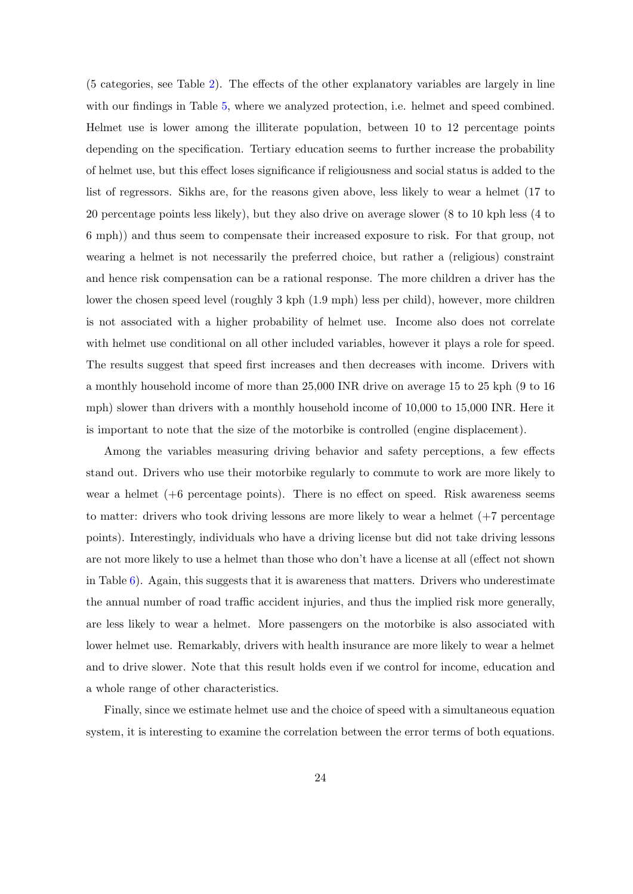(5 categories, see Table [2\)](#page-36-0). The effects of the other explanatory variables are largely in line with our findings in Table [5,](#page-39-0) where we analyzed protection, i.e. helmet and speed combined. Helmet use is lower among the illiterate population, between 10 to 12 percentage points depending on the specification. Tertiary education seems to further increase the probability of helmet use, but this effect loses significance if religiousness and social status is added to the list of regressors. Sikhs are, for the reasons given above, less likely to wear a helmet (17 to 20 percentage points less likely), but they also drive on average slower (8 to 10 kph less (4 to 6 mph)) and thus seem to compensate their increased exposure to risk. For that group, not wearing a helmet is not necessarily the preferred choice, but rather a (religious) constraint and hence risk compensation can be a rational response. The more children a driver has the lower the chosen speed level (roughly 3 kph (1.9 mph) less per child), however, more children is not associated with a higher probability of helmet use. Income also does not correlate with helmet use conditional on all other included variables, however it plays a role for speed. The results suggest that speed first increases and then decreases with income. Drivers with a monthly household income of more than 25,000 INR drive on average 15 to 25 kph (9 to 16 mph) slower than drivers with a monthly household income of 10,000 to 15,000 INR. Here it is important to note that the size of the motorbike is controlled (engine displacement).

Among the variables measuring driving behavior and safety perceptions, a few effects stand out. Drivers who use their motorbike regularly to commute to work are more likely to wear a helmet (+6 percentage points). There is no effect on speed. Risk awareness seems to matter: drivers who took driving lessons are more likely to wear a helmet  $(+7$  percentage points). Interestingly, individuals who have a driving license but did not take driving lessons are not more likely to use a helmet than those who don't have a license at all (effect not shown in Table [6\)](#page-40-0). Again, this suggests that it is awareness that matters. Drivers who underestimate the annual number of road traffic accident injuries, and thus the implied risk more generally, are less likely to wear a helmet. More passengers on the motorbike is also associated with lower helmet use. Remarkably, drivers with health insurance are more likely to wear a helmet and to drive slower. Note that this result holds even if we control for income, education and a whole range of other characteristics.

Finally, since we estimate helmet use and the choice of speed with a simultaneous equation system, it is interesting to examine the correlation between the error terms of both equations.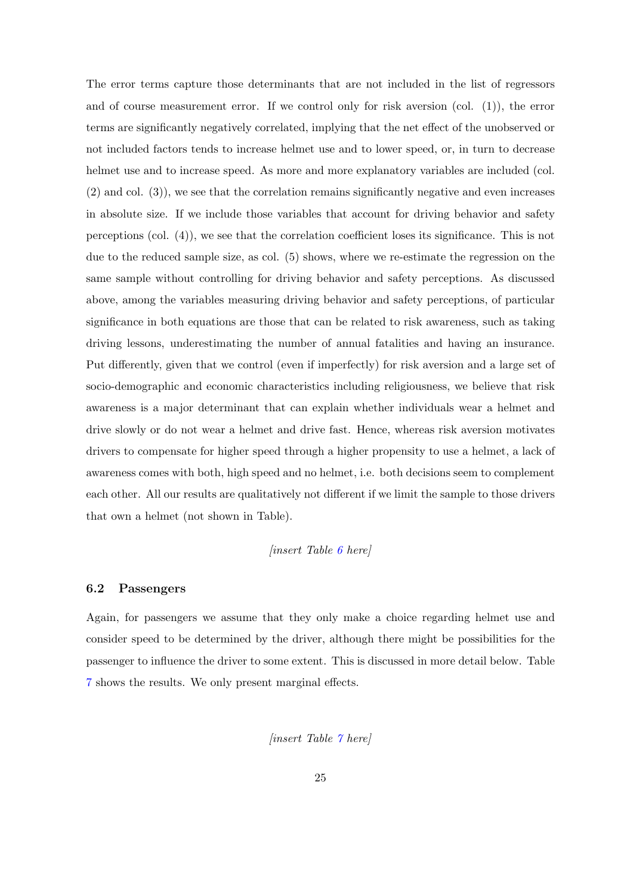The error terms capture those determinants that are not included in the list of regressors and of course measurement error. If we control only for risk aversion (col. (1)), the error terms are significantly negatively correlated, implying that the net effect of the unobserved or not included factors tends to increase helmet use and to lower speed, or, in turn to decrease helmet use and to increase speed. As more and more explanatory variables are included (col. (2) and col. (3)), we see that the correlation remains significantly negative and even increases in absolute size. If we include those variables that account for driving behavior and safety perceptions (col. (4)), we see that the correlation coefficient loses its significance. This is not due to the reduced sample size, as col. (5) shows, where we re-estimate the regression on the same sample without controlling for driving behavior and safety perceptions. As discussed above, among the variables measuring driving behavior and safety perceptions, of particular significance in both equations are those that can be related to risk awareness, such as taking driving lessons, underestimating the number of annual fatalities and having an insurance. Put differently, given that we control (even if imperfectly) for risk aversion and a large set of socio-demographic and economic characteristics including religiousness, we believe that risk awareness is a major determinant that can explain whether individuals wear a helmet and drive slowly or do not wear a helmet and drive fast. Hence, whereas risk aversion motivates drivers to compensate for higher speed through a higher propensity to use a helmet, a lack of awareness comes with both, high speed and no helmet, i.e. both decisions seem to complement each other. All our results are qualitatively not different if we limit the sample to those drivers that own a helmet (not shown in Table).

#### [insert Table [6](#page-40-0) here]

#### 6.2 Passengers

Again, for passengers we assume that they only make a choice regarding helmet use and consider speed to be determined by the driver, although there might be possibilities for the passenger to influence the driver to some extent. This is discussed in more detail below. Table [7](#page-42-0) shows the results. We only present marginal effects.

 $[insert Table 7 here]$  $[insert Table 7 here]$  $[insert Table 7 here]$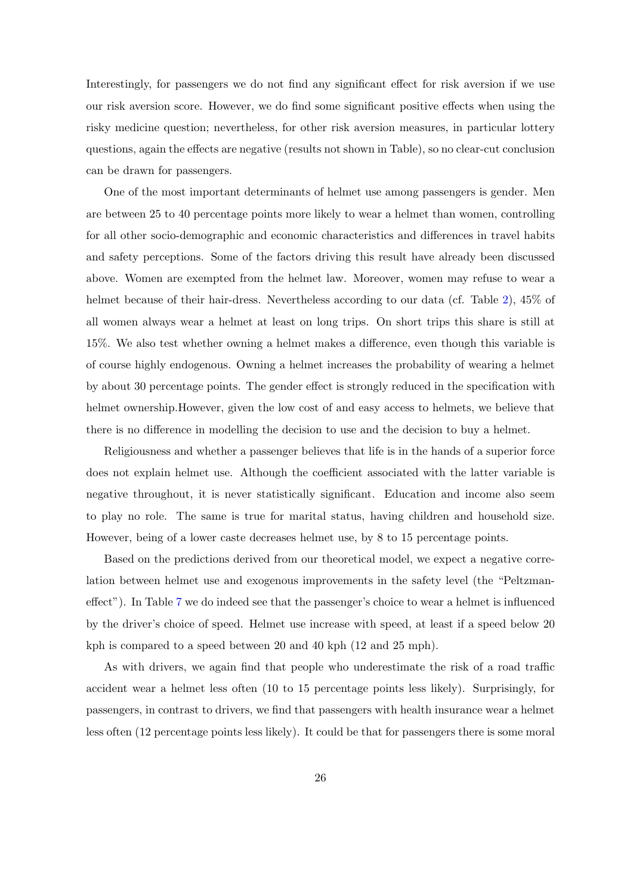Interestingly, for passengers we do not find any significant effect for risk aversion if we use our risk aversion score. However, we do find some significant positive effects when using the risky medicine question; nevertheless, for other risk aversion measures, in particular lottery questions, again the effects are negative (results not shown in Table), so no clear-cut conclusion can be drawn for passengers.

One of the most important determinants of helmet use among passengers is gender. Men are between 25 to 40 percentage points more likely to wear a helmet than women, controlling for all other socio-demographic and economic characteristics and differences in travel habits and safety perceptions. Some of the factors driving this result have already been discussed above. Women are exempted from the helmet law. Moreover, women may refuse to wear a helmet because of their hair-dress. Nevertheless according to our data (cf. Table [2\)](#page-36-0), 45% of all women always wear a helmet at least on long trips. On short trips this share is still at 15%. We also test whether owning a helmet makes a difference, even though this variable is of course highly endogenous. Owning a helmet increases the probability of wearing a helmet by about 30 percentage points. The gender effect is strongly reduced in the specification with helmet ownership.However, given the low cost of and easy access to helmets, we believe that there is no difference in modelling the decision to use and the decision to buy a helmet.

Religiousness and whether a passenger believes that life is in the hands of a superior force does not explain helmet use. Although the coefficient associated with the latter variable is negative throughout, it is never statistically significant. Education and income also seem to play no role. The same is true for marital status, having children and household size. However, being of a lower caste decreases helmet use, by 8 to 15 percentage points.

Based on the predictions derived from our theoretical model, we expect a negative correlation between helmet use and exogenous improvements in the safety level (the "Peltzmaneffect"). In Table [7](#page-42-0) we do indeed see that the passenger's choice to wear a helmet is influenced by the driver's choice of speed. Helmet use increase with speed, at least if a speed below 20 kph is compared to a speed between 20 and 40 kph (12 and 25 mph).

As with drivers, we again find that people who underestimate the risk of a road traffic accident wear a helmet less often (10 to 15 percentage points less likely). Surprisingly, for passengers, in contrast to drivers, we find that passengers with health insurance wear a helmet less often (12 percentage points less likely). It could be that for passengers there is some moral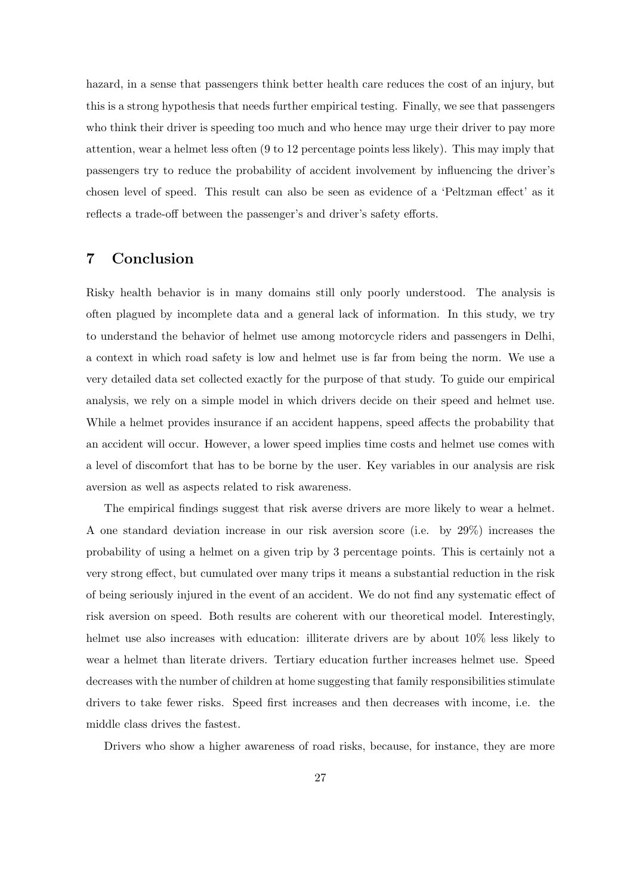hazard, in a sense that passengers think better health care reduces the cost of an injury, but this is a strong hypothesis that needs further empirical testing. Finally, we see that passengers who think their driver is speeding too much and who hence may urge their driver to pay more attention, wear a helmet less often (9 to 12 percentage points less likely). This may imply that passengers try to reduce the probability of accident involvement by influencing the driver's chosen level of speed. This result can also be seen as evidence of a 'Peltzman effect' as it reflects a trade-off between the passenger's and driver's safety efforts.

### 7 Conclusion

Risky health behavior is in many domains still only poorly understood. The analysis is often plagued by incomplete data and a general lack of information. In this study, we try to understand the behavior of helmet use among motorcycle riders and passengers in Delhi, a context in which road safety is low and helmet use is far from being the norm. We use a very detailed data set collected exactly for the purpose of that study. To guide our empirical analysis, we rely on a simple model in which drivers decide on their speed and helmet use. While a helmet provides insurance if an accident happens, speed affects the probability that an accident will occur. However, a lower speed implies time costs and helmet use comes with a level of discomfort that has to be borne by the user. Key variables in our analysis are risk aversion as well as aspects related to risk awareness.

The empirical findings suggest that risk averse drivers are more likely to wear a helmet. A one standard deviation increase in our risk aversion score (i.e. by 29%) increases the probability of using a helmet on a given trip by 3 percentage points. This is certainly not a very strong effect, but cumulated over many trips it means a substantial reduction in the risk of being seriously injured in the event of an accident. We do not find any systematic effect of risk aversion on speed. Both results are coherent with our theoretical model. Interestingly, helmet use also increases with education: illiterate drivers are by about  $10\%$  less likely to wear a helmet than literate drivers. Tertiary education further increases helmet use. Speed decreases with the number of children at home suggesting that family responsibilities stimulate drivers to take fewer risks. Speed first increases and then decreases with income, i.e. the middle class drives the fastest.

Drivers who show a higher awareness of road risks, because, for instance, they are more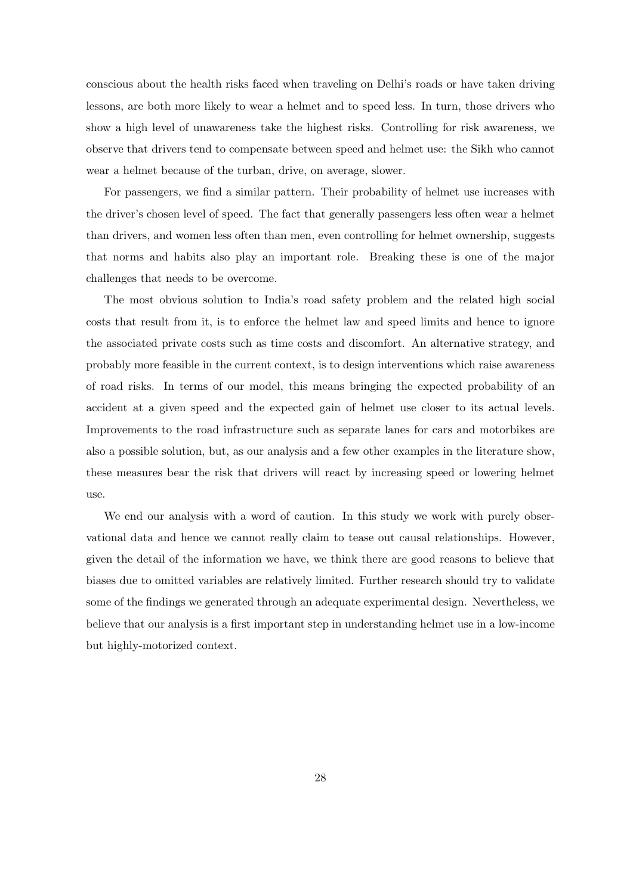conscious about the health risks faced when traveling on Delhi's roads or have taken driving lessons, are both more likely to wear a helmet and to speed less. In turn, those drivers who show a high level of unawareness take the highest risks. Controlling for risk awareness, we observe that drivers tend to compensate between speed and helmet use: the Sikh who cannot wear a helmet because of the turban, drive, on average, slower.

For passengers, we find a similar pattern. Their probability of helmet use increases with the driver's chosen level of speed. The fact that generally passengers less often wear a helmet than drivers, and women less often than men, even controlling for helmet ownership, suggests that norms and habits also play an important role. Breaking these is one of the major challenges that needs to be overcome.

The most obvious solution to India's road safety problem and the related high social costs that result from it, is to enforce the helmet law and speed limits and hence to ignore the associated private costs such as time costs and discomfort. An alternative strategy, and probably more feasible in the current context, is to design interventions which raise awareness of road risks. In terms of our model, this means bringing the expected probability of an accident at a given speed and the expected gain of helmet use closer to its actual levels. Improvements to the road infrastructure such as separate lanes for cars and motorbikes are also a possible solution, but, as our analysis and a few other examples in the literature show, these measures bear the risk that drivers will react by increasing speed or lowering helmet use.

We end our analysis with a word of caution. In this study we work with purely observational data and hence we cannot really claim to tease out causal relationships. However, given the detail of the information we have, we think there are good reasons to believe that biases due to omitted variables are relatively limited. Further research should try to validate some of the findings we generated through an adequate experimental design. Nevertheless, we believe that our analysis is a first important step in understanding helmet use in a low-income but highly-motorized context.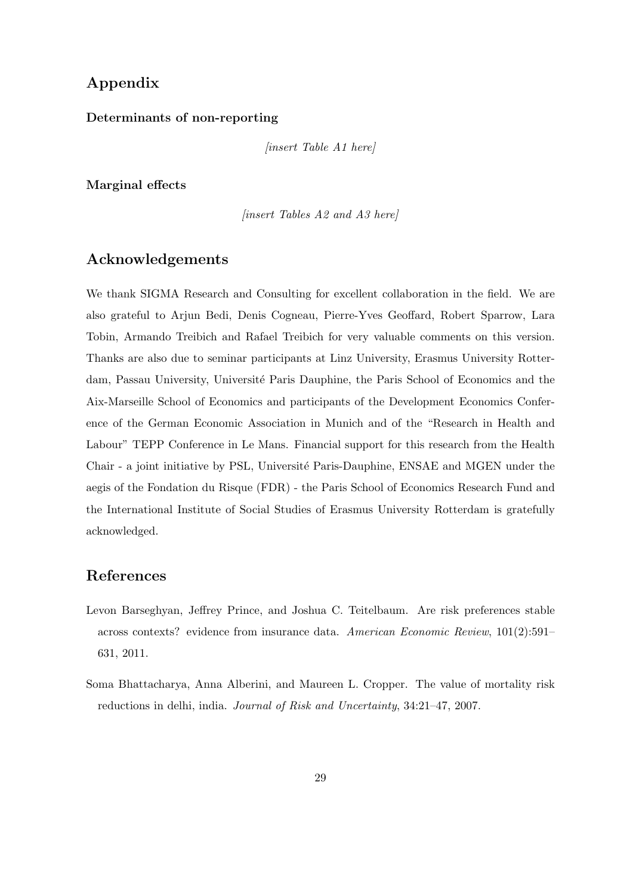### Appendix

#### Determinants of non-reporting

 $[insert Table A1 here]$ 

Marginal effects

 $[insert Tables A2 and A3 here]$ 

### Acknowledgements

We thank SIGMA Research and Consulting for excellent collaboration in the field. We are also grateful to Arjun Bedi, Denis Cogneau, Pierre-Yves Geoffard, Robert Sparrow, Lara Tobin, Armando Treibich and Rafael Treibich for very valuable comments on this version. Thanks are also due to seminar participants at Linz University, Erasmus University Rotterdam, Passau University, Université Paris Dauphine, the Paris School of Economics and the Aix-Marseille School of Economics and participants of the Development Economics Conference of the German Economic Association in Munich and of the "Research in Health and Labour" TEPP Conference in Le Mans. Financial support for this research from the Health Chair - a joint initiative by PSL, Université Paris-Dauphine, ENSAE and MGEN under the aegis of the Fondation du Risque (FDR) - the Paris School of Economics Research Fund and the International Institute of Social Studies of Erasmus University Rotterdam is gratefully acknowledged.

### References

- <span id="page-30-0"></span>Levon Barseghyan, Jeffrey Prince, and Joshua C. Teitelbaum. Are risk preferences stable across contexts? evidence from insurance data. American Economic Review, 101(2):591– 631, 2011.
- <span id="page-30-1"></span>Soma Bhattacharya, Anna Alberini, and Maureen L. Cropper. The value of mortality risk reductions in delhi, india. Journal of Risk and Uncertainty, 34:21–47, 2007.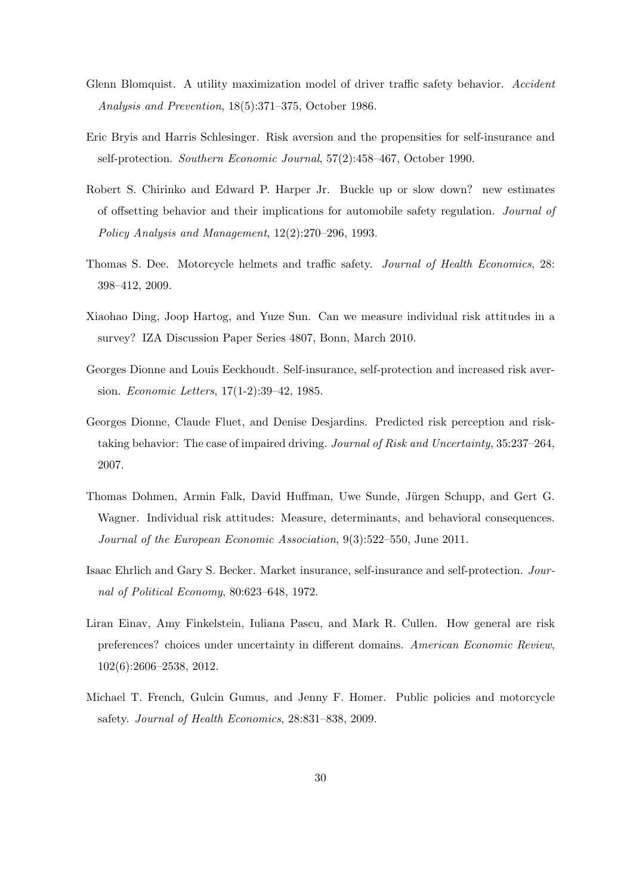- <span id="page-31-2"></span>Glenn Blomquist. A utility maximization model of driver traffic safety behavior. Accident Analysis and Prevention, 18(5):371–375, October 1986.
- <span id="page-31-4"></span>Eric Bryis and Harris Schlesinger. Risk aversion and the propensities for self-insurance and self-protection. Southern Economic Journal, 57(2):458–467, October 1990.
- <span id="page-31-6"></span>Robert S. Chirinko and Edward P. Harper Jr. Buckle up or slow down? new estimates of offsetting behavior and their implications for automobile safety regulation. Journal of Policy Analysis and Management, 12(2):270–296, 1993.
- <span id="page-31-0"></span>Thomas S. Dee. Motorcycle helmets and traffic safety. Journal of Health Economics, 28: 398–412, 2009.
- <span id="page-31-7"></span>Xiaohao Ding, Joop Hartog, and Yuze Sun. Can we measure individual risk attitudes in a survey? IZA Discussion Paper Series 4807, Bonn, March 2010.
- <span id="page-31-3"></span>Georges Dionne and Louis Eeckhoudt. Self-insurance, self-protection and increased risk aversion. Economic Letters, 17(1-2):39–42, 1985.
- <span id="page-31-10"></span>Georges Dionne, Claude Fluet, and Denise Desjardins. Predicted risk perception and risktaking behavior: The case of impaired driving. Journal of Risk and Uncertainty, 35:237–264, 2007.
- <span id="page-31-8"></span>Thomas Dohmen, Armin Falk, David Huffman, Uwe Sunde, Jürgen Schupp, and Gert G. Wagner. Individual risk attitudes: Measure, determinants, and behavioral consequences. Journal of the European Economic Association, 9(3):522–550, June 2011.
- <span id="page-31-5"></span>Isaac Ehrlich and Gary S. Becker. Market insurance, self-insurance and self-protection. Journal of Political Economy, 80:623–648, 1972.
- <span id="page-31-9"></span>Liran Einav, Amy Finkelstein, Iuliana Pascu, and Mark R. Cullen. How general are risk preferences? choices under uncertainty in different domains. American Economic Review, 102(6):2606–2538, 2012.
- <span id="page-31-1"></span>Michael T. French, Gulcin Gumus, and Jenny F. Homer. Public policies and motorcycle safety. Journal of Health Economics, 28:831–838, 2009.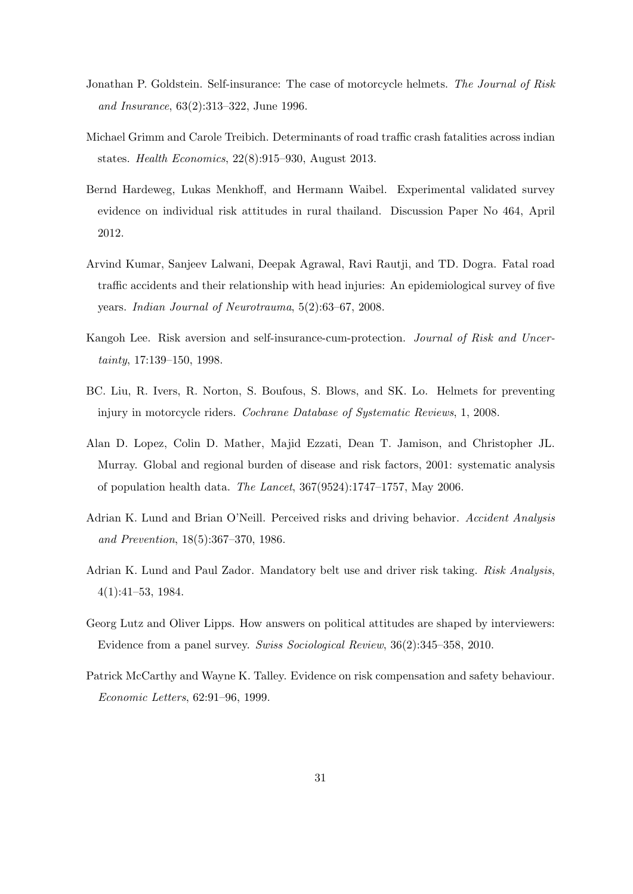- <span id="page-32-8"></span>Jonathan P. Goldstein. Self-insurance: The case of motorcycle helmets. The Journal of Risk and Insurance, 63(2):313–322, June 1996.
- <span id="page-32-2"></span>Michael Grimm and Carole Treibich. Determinants of road traffic crash fatalities across indian states. Health Economics, 22(8):915–930, August 2013.
- <span id="page-32-9"></span>Bernd Hardeweg, Lukas Menkhoff, and Hermann Waibel. Experimental validated survey evidence on individual risk attitudes in rural thailand. Discussion Paper No 464, April 2012.
- <span id="page-32-1"></span>Arvind Kumar, Sanjeev Lalwani, Deepak Agrawal, Ravi Rautji, and TD. Dogra. Fatal road traffic accidents and their relationship with head injuries: An epidemiological survey of five years. Indian Journal of Neurotrauma, 5(2):63–67, 2008.
- <span id="page-32-3"></span>Kangoh Lee. Risk aversion and self-insurance-cum-protection. Journal of Risk and Uncertainty, 17:139–150, 1998.
- <span id="page-32-7"></span>BC. Liu, R. Ivers, R. Norton, S. Boufous, S. Blows, and SK. Lo. Helmets for preventing injury in motorcycle riders. Cochrane Database of Systematic Reviews, 1, 2008.
- <span id="page-32-0"></span>Alan D. Lopez, Colin D. Mather, Majid Ezzati, Dean T. Jamison, and Christopher JL. Murray. Global and regional burden of disease and risk factors, 2001: systematic analysis of population health data. The Lancet, 367(9524):1747–1757, May 2006.
- <span id="page-32-5"></span>Adrian K. Lund and Brian O'Neill. Perceived risks and driving behavior. Accident Analysis and Prevention, 18(5):367–370, 1986.
- <span id="page-32-4"></span>Adrian K. Lund and Paul Zador. Mandatory belt use and driver risk taking. Risk Analysis, 4(1):41–53, 1984.
- <span id="page-32-10"></span>Georg Lutz and Oliver Lipps. How answers on political attitudes are shaped by interviewers: Evidence from a panel survey. Swiss Sociological Review, 36(2):345–358, 2010.
- <span id="page-32-6"></span>Patrick McCarthy and Wayne K. Talley. Evidence on risk compensation and safety behaviour. Economic Letters, 62:91–96, 1999.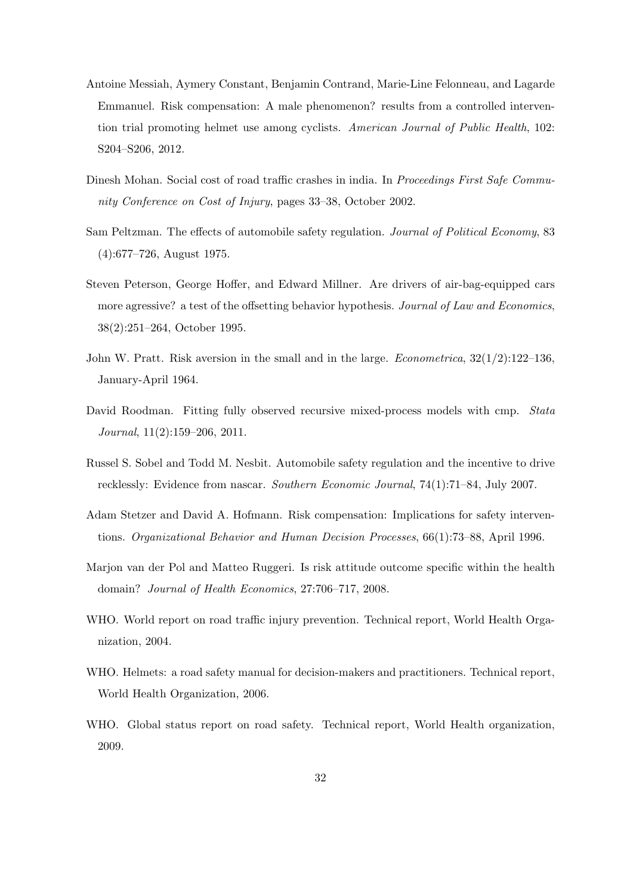- <span id="page-33-8"></span>Antoine Messiah, Aymery Constant, Benjamin Contrand, Marie-Line Felonneau, and Lagarde Emmanuel. Risk compensation: A male phenomenon? results from a controlled intervention trial promoting helmet use among cyclists. American Journal of Public Health, 102: S204–S206, 2012.
- <span id="page-33-1"></span>Dinesh Mohan. Social cost of road traffic crashes in india. In *Proceedings First Safe Commu*nity Conference on Cost of Injury, pages 33–38, October 2002.
- <span id="page-33-4"></span>Sam Peltzman. The effects of automobile safety regulation. *Journal of Political Economy*, 83 (4):677–726, August 1975.
- <span id="page-33-5"></span>Steven Peterson, George Hoffer, and Edward Millner. Are drivers of air-bag-equipped cars more agressive? a test of the offsetting behavior hypothesis. Journal of Law and Economics, 38(2):251–264, October 1995.
- <span id="page-33-9"></span>John W. Pratt. Risk aversion in the small and in the large. *Econometrica*,  $32(1/2):122-136$ , January-April 1964.
- <span id="page-33-11"></span>David Roodman. Fitting fully observed recursive mixed-process models with cmp. Stata Journal, 11(2):159–206, 2011.
- <span id="page-33-6"></span>Russel S. Sobel and Todd M. Nesbit. Automobile safety regulation and the incentive to drive recklessly: Evidence from nascar. Southern Economic Journal, 74(1):71–84, July 2007.
- <span id="page-33-7"></span>Adam Stetzer and David A. Hofmann. Risk compensation: Implications for safety interventions. Organizational Behavior and Human Decision Processes, 66(1):73–88, April 1996.
- <span id="page-33-10"></span>Marjon van der Pol and Matteo Ruggeri. Is risk attitude outcome specific within the health domain? Journal of Health Economics, 27:706–717, 2008.
- <span id="page-33-2"></span>WHO. World report on road traffic injury prevention. Technical report, World Health Organization, 2004.
- <span id="page-33-3"></span>WHO. Helmets: a road safety manual for decision-makers and practitioners. Technical report, World Health Organization, 2006.
- <span id="page-33-0"></span>WHO. Global status report on road safety. Technical report, World Health organization, 2009.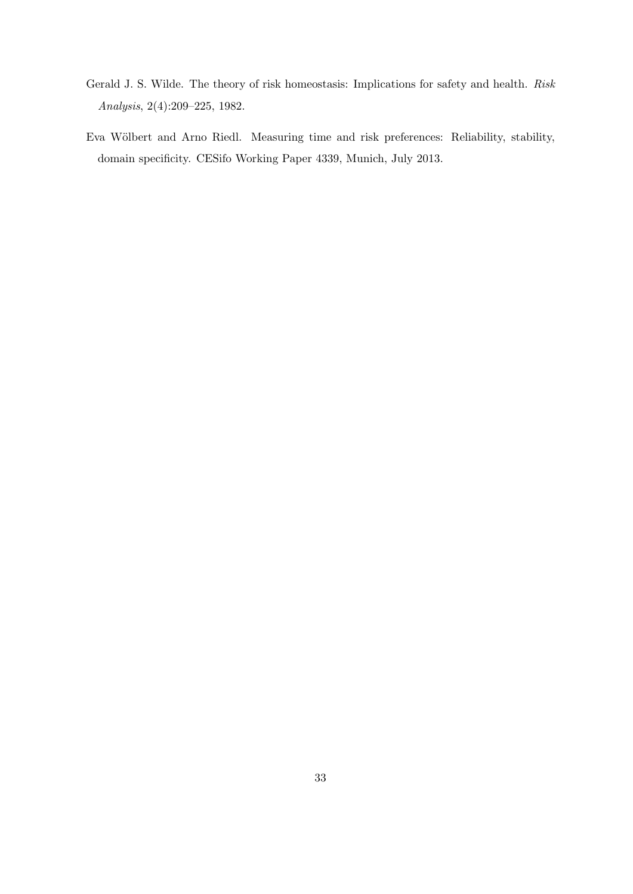- <span id="page-34-0"></span>Gerald J. S. Wilde. The theory of risk homeostasis: Implications for safety and health. Risk Analysis, 2(4):209–225, 1982.
- <span id="page-34-1"></span>Eva Wölbert and Arno Riedl. Measuring time and risk preferences: Reliability, stability, domain specificity. CESifo Working Paper 4339, Munich, July 2013.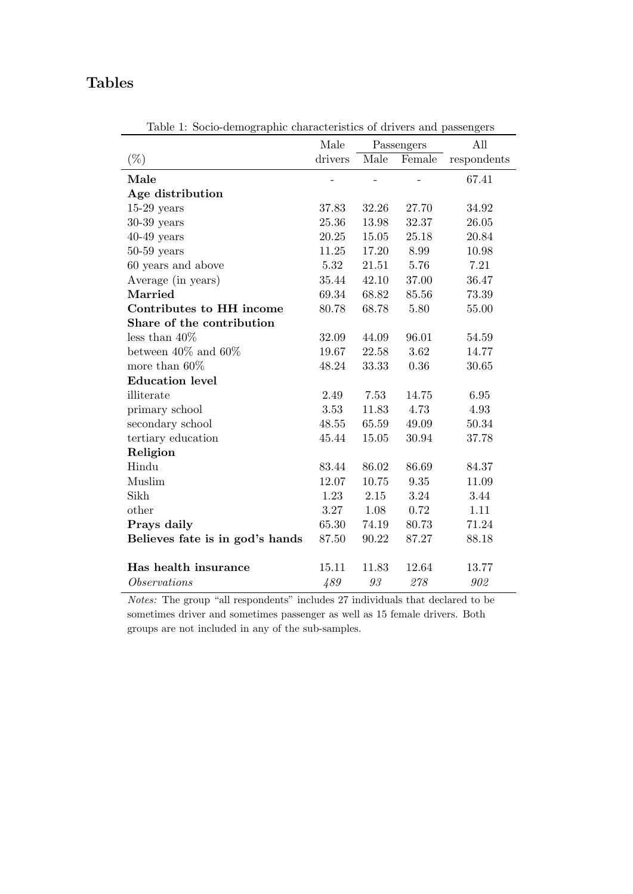# Tables

| Lable 1. Docto-definographic characteristics of drivers and passengers | Male    | All   |        |             |
|------------------------------------------------------------------------|---------|-------|--------|-------------|
| $(\% )$                                                                | drivers | Male  | Female | respondents |
| Male                                                                   |         |       |        | 67.41       |
| Age distribution                                                       |         |       |        |             |
| $15-29$ years                                                          | 37.83   | 32.26 | 27.70  | 34.92       |
| $30-39$ years                                                          | 25.36   | 13.98 | 32.37  | 26.05       |
| $40-49$ years                                                          | 20.25   | 15.05 | 25.18  | 20.84       |
| $50-59$ years                                                          | 11.25   | 17.20 | 8.99   | 10.98       |
| 60 years and above                                                     | 5.32    | 21.51 | 5.76   | 7.21        |
| Average (in years)                                                     | 35.44   | 42.10 | 37.00  | 36.47       |
| Married                                                                | 69.34   | 68.82 | 85.56  | 73.39       |
| Contributes to HH income                                               | 80.78   | 68.78 | 5.80   | 55.00       |
| Share of the contribution                                              |         |       |        |             |
| less than $40\%$                                                       | 32.09   | 44.09 | 96.01  | 54.59       |
| between $40\%$ and $60\%$                                              | 19.67   | 22.58 | 3.62   | 14.77       |
| more than $60\%$                                                       | 48.24   | 33.33 | 0.36   | 30.65       |
| <b>Education level</b>                                                 |         |       |        |             |
| illiterate                                                             | 2.49    | 7.53  | 14.75  | 6.95        |
| primary school                                                         | 3.53    | 11.83 | 4.73   | 4.93        |
| secondary school                                                       | 48.55   | 65.59 | 49.09  | 50.34       |
| tertiary education                                                     | 45.44   | 15.05 | 30.94  | 37.78       |
| Religion                                                               |         |       |        |             |
| Hindu                                                                  | 83.44   | 86.02 | 86.69  | 84.37       |
| Muslim                                                                 | 12.07   | 10.75 | 9.35   | 11.09       |
| Sikh                                                                   | 1.23    | 2.15  | 3.24   | 3.44        |
| other                                                                  | 3.27    | 1.08  | 0.72   | 1.11        |
| Prays daily                                                            | 65.30   | 74.19 | 80.73  | 71.24       |
| Believes fate is in god's hands                                        | 87.50   | 90.22 | 87.27  | 88.18       |
| Has health insurance                                                   | 15.11   | 11.83 | 12.64  | 13.77       |
| <i>Observations</i>                                                    | 489     | 93    | 278    | 902         |

<span id="page-35-0"></span>Table 1: Socio-demographic characteristics of drivers and passengers

Notes: The group "all respondents" includes 27 individuals that declared to be sometimes driver and sometimes passenger as well as 15 female drivers. Both groups are not included in any of the sub-samples.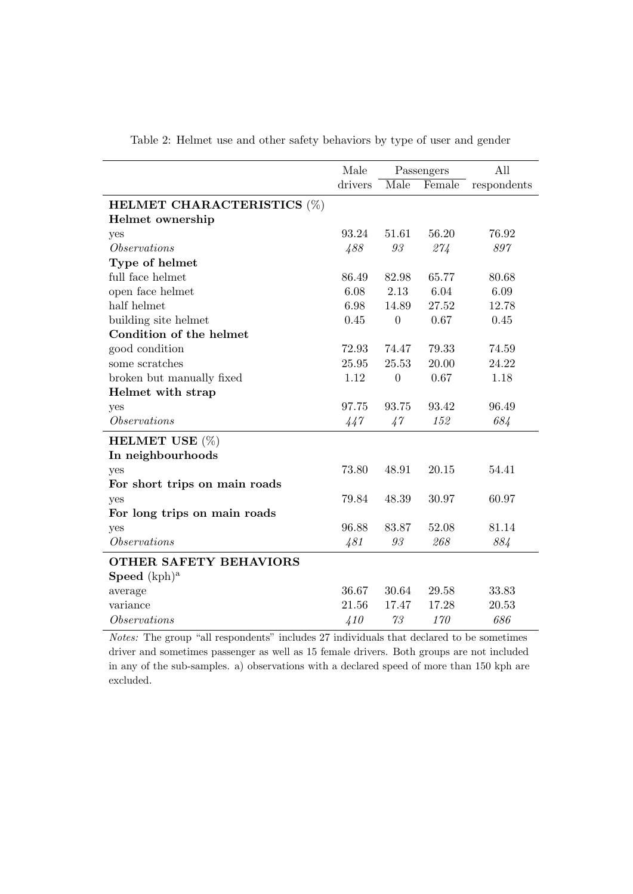|                                   | Male        |                          | Passengers | All         |
|-----------------------------------|-------------|--------------------------|------------|-------------|
|                                   | drivers     | Male                     | Female     | respondents |
| <b>HELMET CHARACTERISTICS (%)</b> |             |                          |            |             |
| Helmet ownership                  |             |                          |            |             |
| yes                               | 93.24       | 51.61                    | 56.20      | 76.92       |
| <i>Observations</i>               | 488         | 93                       | 274        | 897         |
| Type of helmet                    |             |                          |            |             |
| full face helmet                  | 86.49       | 82.98                    | 65.77      | 80.68       |
| open face helmet                  | 6.08        | 2.13                     | 6.04       | 6.09        |
| half helmet                       | 6.98        | 14.89                    | 27.52      | 12.78       |
| building site helmet              | 0.45        | $\overline{0}$           | 0.67       | 0.45        |
| Condition of the helmet           |             |                          |            |             |
| good condition                    | 72.93       | 74.47                    | 79.33      | 74.59       |
| some scratches                    | 25.95       | 25.53                    | 20.00      | 24.22       |
| broken but manually fixed         | 1.12        | $\overline{0}$           | 0.67       | 1.18        |
| Helmet with strap                 |             |                          |            |             |
| yes                               | 97.75       | 93.75                    | 93.42      | 96.49       |
| <i>Observations</i>               | 447         | 47                       | 152        | 684         |
| HELMET USE $(\%)$                 |             |                          |            |             |
| In neighbourhoods                 |             |                          |            |             |
| yes                               | 73.80       | 48.91                    | 20.15      | 54.41       |
| For short trips on main roads     |             |                          |            |             |
| yes                               | 79.84       | 48.39                    | 30.97      | 60.97       |
| For long trips on main roads      |             |                          |            |             |
| yes                               | 96.88       | 83.87                    | 52.08      | 81.14       |
| <i>Observations</i>               | 481         | $\mathcal{G}\mathcal{G}$ | 268        | 884         |
| <b>OTHER SAFETY BEHAVIORS</b>     |             |                          |            |             |
| <b>Speed</b> $(kph)^a$            |             |                          |            |             |
| average                           | 36.67       | 30.64                    | 29.58      | 33.83       |
| variance                          | 21.56       | 17.47                    | 17.28      | 20.53       |
| <i>Observations</i>               | $\angle 10$ | 73                       | 170        | 686         |

<span id="page-36-0"></span>Table 2: Helmet use and other safety behaviors by type of user and gender

Notes: The group "all respondents" includes 27 individuals that declared to be sometimes driver and sometimes passenger as well as 15 female drivers. Both groups are not included in any of the sub-samples. a) observations with a declared speed of more than 150 kph are excluded.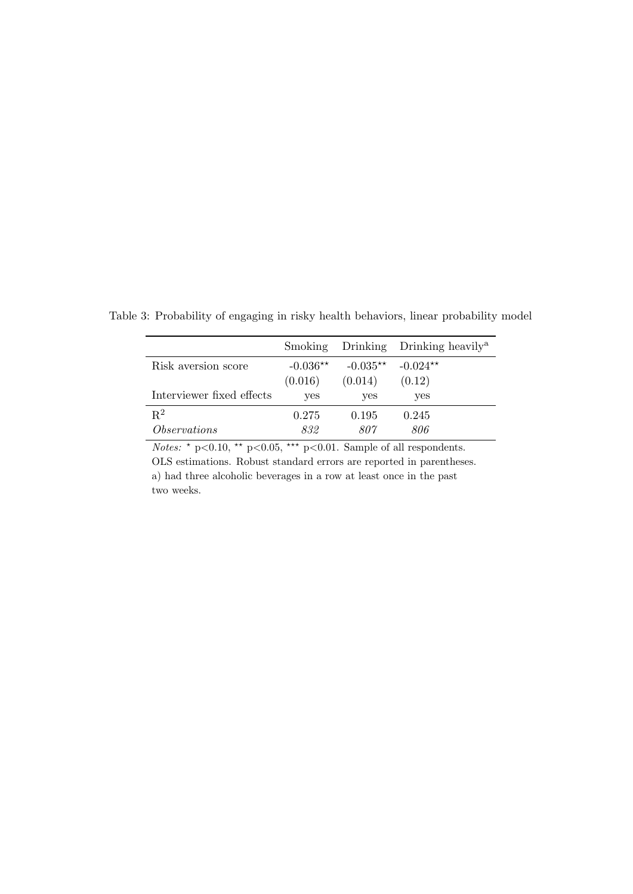<span id="page-37-0"></span>

|                              | <b>Smoking</b>        |                                  | Drinking Drinking heavily <sup>a</sup> |
|------------------------------|-----------------------|----------------------------------|----------------------------------------|
| Risk aversion score          | $-0.036**$<br>(0.016) | $-0.035**$ $-0.024**$<br>(0.014) | (0.12)                                 |
| Interviewer fixed effects    | yes                   | yes                              | yes                                    |
| $R^2$<br><i>Observations</i> | 0.275<br>832          | 0.195<br>807                     | 0.245<br>806                           |

Table 3: Probability of engaging in risky health behaviors, linear probability model

*Notes:*  $\star$  p<0.10,  $\star\star$  p<0.05,  $\star\star\star$  p<0.01. Sample of all respondents. OLS estimations. Robust standard errors are reported in parentheses. a) had three alcoholic beverages in a row at least once in the past two weeks.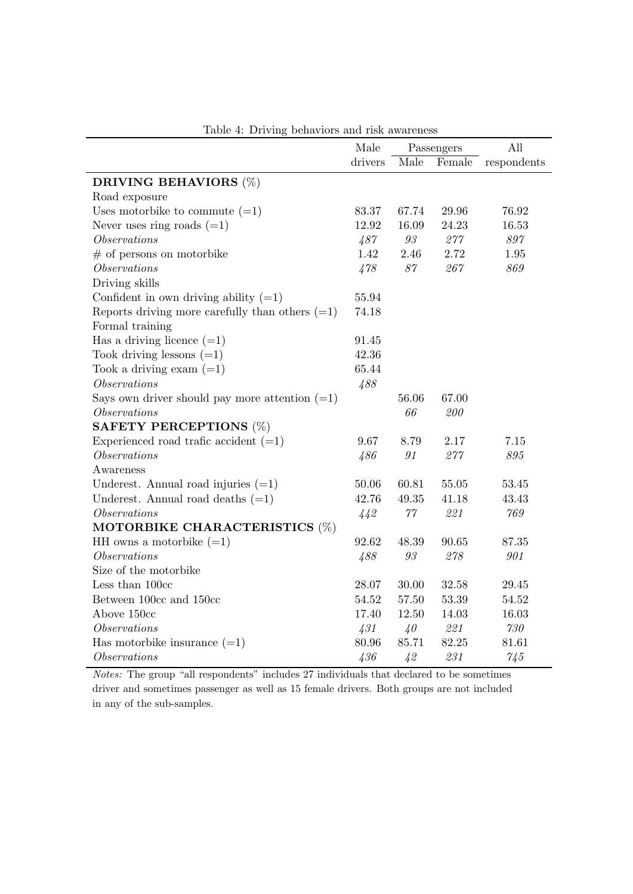| Table 4. DITTING behavious and TISK awaithess     | Male           | Passengers                    |                           | All         |
|---------------------------------------------------|----------------|-------------------------------|---------------------------|-------------|
|                                                   | drivers        | Male                          | Female                    | respondents |
| <b>DRIVING BEHAVIORS (%)</b>                      |                |                               |                           |             |
| Road exposure                                     |                |                               |                           |             |
| Uses motorbike to commute $(=1)$                  | 83.37          | 67.74                         | 29.96                     | 76.92       |
| Never uses ring roads $(=1)$                      | 12.92          | 16.09                         | 24.23                     | 16.53       |
| <i>Observations</i>                               | 487            | $\mathcal{G}\mathcal{G}$      | $277\,$                   | 897         |
| $#$ of persons on motorbike                       | 1.42           | 2.46                          | 2.72                      | 1.95        |
| <i>Observations</i>                               | 478            | $87\,$                        | 267                       | 869         |
| Driving skills                                    |                |                               |                           |             |
| Confident in own driving ability $(=1)$           | 55.94          |                               |                           |             |
| Reports driving more carefully than others $(=1)$ | 74.18          |                               |                           |             |
| Formal training                                   |                |                               |                           |             |
| Has a driving licence $(=1)$                      | 91.45          |                               |                           |             |
| Took driving lessons $(=1)$                       | 42.36          |                               |                           |             |
| Took a driving exam $(=1)$                        | 65.44          |                               |                           |             |
| <i>Observations</i>                               | 488            |                               |                           |             |
| Says own driver should pay more attention $(=1)$  |                | 56.06                         | 67.00                     |             |
| <i>Observations</i>                               |                | 66                            | 200                       |             |
| <b>SAFETY PERCEPTIONS (%)</b>                     |                |                               |                           |             |
| Experienced road trafic accident $(=1)$           | 9.67           | 8.79                          | 2.17                      | 7.15        |
| <i>Observations</i>                               | 486            | $\mathfrak{g}_{\mathfrak{1}}$ | $277\,$                   | $895\,$     |
| Awareness                                         |                |                               |                           |             |
| Underest. Annual road injuries $(=1)$             | $50.06\,$      | 60.81                         | $55.05\,$                 | 53.45       |
| Underest. Annual road deaths $(=1)$               | 42.76          | 49.35                         | 41.18                     | 43.43       |
| <i>Observations</i>                               | 442            | $\gamma\gamma$                | 221                       | 769         |
| MOTORBIKE CHARACTERISTICS (%)                     |                |                               |                           |             |
| HH owns a motorbike $(=1)$                        | 92.62          | 48.39                         | 90.65                     | 87.35       |
| <i>Observations</i>                               | 488            | $\mathfrak{g}_\mathfrak{I}$   | $278\,$                   | 901         |
| Size of the motorbike                             |                |                               |                           |             |
| Less than 100cc                                   | 28.07          | 30.00                         | 32.58                     | 29.45       |
| Between 100cc and 150cc                           | 54.52          | $57.50\,$                     | 53.39                     | 54.52       |
| Above 150cc                                       | 17.40          | 12.50                         | 14.03                     | 16.03       |
| <i>Observations</i>                               | $\frac{1}{31}$ | 40 <sup>°</sup>               | $\mathcal{2}\mathcal{2}1$ | $730\,$     |
| Has motorbike insurance $(=1)$                    | 80.96          | 85.71                         | 82.25                     | 81.61       |
| <i>Observations</i>                               | 436            | $4^{2}$                       | 231                       | 745         |

<span id="page-38-0"></span>Table 4: Driving behaviors and risk awareness

Notes: The group "all respondents" includes 27 individuals that declared to be sometimes driver and sometimes passenger as well as 15 female drivers. Both groups are not included in any of the sub-samples.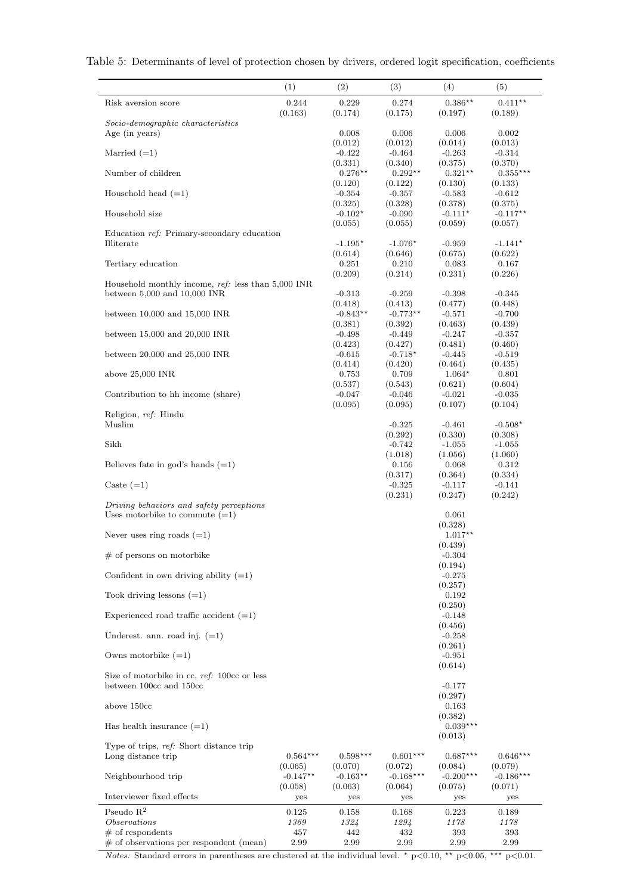|  | Table 5: Determinants of level of protection chosen by drivers, ordered logit specification, coefficients |  |  |  |  |  |  |
|--|-----------------------------------------------------------------------------------------------------------|--|--|--|--|--|--|
|--|-----------------------------------------------------------------------------------------------------------|--|--|--|--|--|--|

<span id="page-39-0"></span>

|                                                                                                                 | (1)                              | (2)                              | (3)                               | (4)                               | (5)                               |
|-----------------------------------------------------------------------------------------------------------------|----------------------------------|----------------------------------|-----------------------------------|-----------------------------------|-----------------------------------|
| Risk aversion score                                                                                             | 0.244<br>(0.163)                 | 0.229<br>(0.174)                 | 0.274<br>(0.175)                  | $0.386**$<br>(0.197)              | $0.411***$<br>(0.189)             |
| Socio-demographic characteristics<br>Age (in years)                                                             |                                  | 0.008                            | 0.006                             | 0.006                             | 0.002                             |
| Married $(=1)$                                                                                                  |                                  | (0.012)<br>$-0.422$              | (0.012)<br>$-0.464$               | (0.014)<br>$-0.263$               | (0.013)<br>$-0.314$               |
| Number of children                                                                                              |                                  | (0.331)<br>$0.276**$             | (0.340)<br>$0.292**$              | (0.375)<br>$0.321***$             | (0.370)<br>$0.355***$             |
| Household head $(=1)$                                                                                           |                                  | (0.120)<br>$-0.354$              | (0.122)<br>$-0.357$               | (0.130)<br>$-0.583$               | (0.133)<br>$-0.612$               |
| Household size                                                                                                  |                                  | (0.325)<br>$-0.102*$             | (0.328)<br>$-0.090$               | (0.378)<br>$-0.111*$              | (0.375)<br>$-0.117**$             |
| Education ref: Primary-secondary education                                                                      |                                  | (0.055)                          | (0.055)                           | (0.059)                           | (0.057)                           |
| Illiterate                                                                                                      |                                  | $-1.195*$<br>(0.614)             | $-1.076*$<br>(0.646)              | $-0.959$<br>(0.675)               | $-1.141*$<br>(0.622)              |
| Tertiary education                                                                                              |                                  | 0.251<br>(0.209)                 | 0.210<br>(0.214)                  | 0.083<br>(0.231)                  | 0.167<br>(0.226)                  |
| Household monthly income, ref. less than 5,000 INR<br>between $5,000$ and $10,000$ INR                          |                                  | $-0.313$                         | $-0.259$                          | $-0.398$                          | $-0.345$                          |
| between $10,000$ and $15,000$ INR                                                                               |                                  | (0.418)<br>$-0.843**$            | (0.413)<br>$-0.773**$             | (0.477)<br>$-0.571$               | (0.448)<br>$-0.700$               |
| between $15,000$ and $20,000$ INR                                                                               |                                  | (0.381)<br>$-0.498$              | (0.392)<br>$-0.449$               | (0.463)<br>$-0.247$               | (0.439)<br>$-0.357$               |
| between $20,000$ and $25,000$ INR                                                                               |                                  | (0.423)<br>$-0.615$              | (0.427)<br>$-0.718*$              | (0.481)<br>-0.445                 | (0.460)<br>$-0.519$               |
| above $25,000$ INR                                                                                              |                                  | (0.414)<br>0.753                 | (0.420)<br>0.709                  | (0.464)<br>$1.064*$               | (0.435)<br>0.801                  |
| Contribution to hh income (share)                                                                               |                                  | (0.537)<br>$-0.047$              | (0.543)<br>$-0.046$               | (0.621)<br>$-0.021$               | (0.604)<br>$-0.035$               |
| Religion, ref: Hindu<br>Muslim                                                                                  |                                  | (0.095)                          | (0.095)<br>$-0.325$               | (0.107)<br>$-0.461$               | (0.104)<br>$-0.508*$              |
| Sikh                                                                                                            |                                  |                                  | (0.292)<br>$-0.742$               | (0.330)<br>$-1.055$               | (0.308)<br>$-1.055$               |
| Believes fate in god's hands $(=1)$                                                                             |                                  |                                  | (1.018)<br>0.156                  | (1.056)<br>0.068                  | (1.060)<br>0.312                  |
| Caste $(=1)$                                                                                                    |                                  |                                  | (0.317)<br>$-0.325$               | (0.364)<br>$-0.117$               | (0.334)<br>$-0.141$               |
| Driving behaviors and safety perceptions<br>Uses motorbike to commute $(=1)$                                    |                                  |                                  | (0.231)                           | (0.247)<br>0.061                  | (0.242)                           |
| Never uses ring roads $(=1)$                                                                                    |                                  |                                  |                                   | (0.328)<br>$1.017**$              |                                   |
| $#$ of persons on motorbike                                                                                     |                                  |                                  |                                   | (0.439)<br>$-0.304$               |                                   |
| Confident in own driving ability $(=1)$                                                                         |                                  |                                  |                                   | (0.194)<br>$-0.275$               |                                   |
| Took driving lessons $(=1)$                                                                                     |                                  |                                  |                                   | (0.257)<br>0.192                  |                                   |
| Experienced road traffic accident $(=1)$                                                                        |                                  |                                  |                                   | (0.250)<br>$-0.148$               |                                   |
| Underest. ann. road inj. $(=1)$                                                                                 |                                  |                                  |                                   | (0.456)<br>$-0.258$               |                                   |
| Owns motorbike $(=1)$                                                                                           |                                  |                                  |                                   | (0.261)<br>$-0.951$               |                                   |
| Size of motorbike in cc, ref: 100cc or less<br>between 100cc and 150cc                                          |                                  |                                  |                                   | (0.614)<br>$-0.177$               |                                   |
| above 150cc                                                                                                     |                                  |                                  |                                   | (0.297)<br>0.163                  |                                   |
| Has health insurance $(=1)$                                                                                     |                                  |                                  |                                   | (0.382)<br>$0.039***$<br>(0.013)  |                                   |
| Type of trips, ref. Short distance trip<br>Long distance trip                                                   | $0.564***$                       | $0.598***$                       | $0.601***$                        | $0.687***$                        | $0.646***$                        |
| Neighbourhood trip                                                                                              | (0.065)<br>$-0.147**$<br>(0.058) | (0.070)<br>$-0.163**$<br>(0.063) | (0.072)<br>$-0.168***$<br>(0.064) | (0.084)<br>$-0.200***$<br>(0.075) | (0.079)<br>$-0.186***$<br>(0.071) |
| Interviewer fixed effects                                                                                       | yes                              | yes                              | yes                               | yes                               | yes                               |
| Pseudo $\mathbf{R}^2$<br><i>Observations</i><br>$#$ of respondents<br>$#$ of observations per respondent (mean) | 0.125<br>1369<br>457<br>2.99     | 0.158<br>1324<br>442<br>2.99     | 0.168<br>1294<br>432<br>2.99      | 0.223<br>1178<br>393<br>2.99      | 0.189<br>1178<br>393<br>2.99      |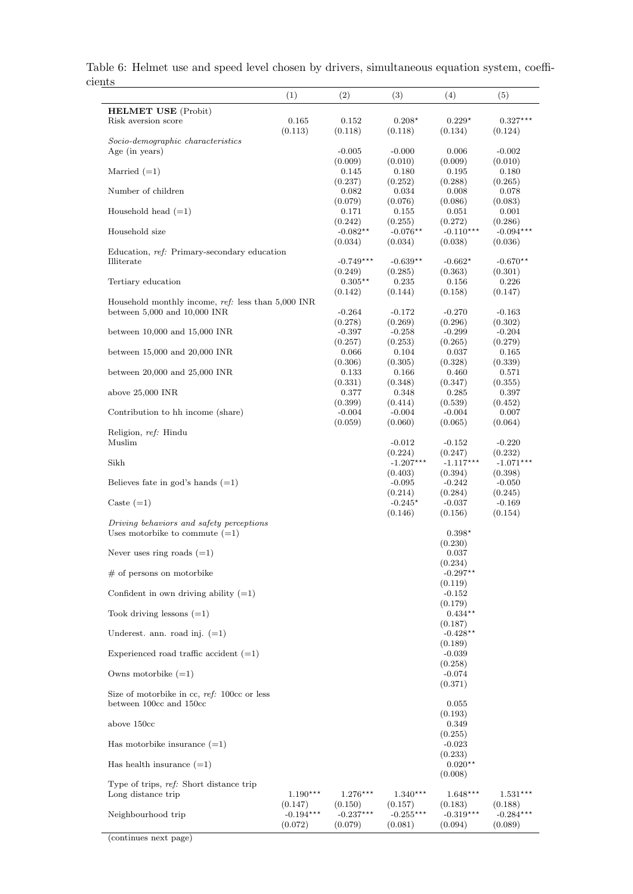<span id="page-40-0"></span>

| ᄔᅛ                                                   | (1)         | (2)                   | (3)                   | (4)                    | (5)                    |
|------------------------------------------------------|-------------|-----------------------|-----------------------|------------------------|------------------------|
|                                                      |             |                       |                       |                        |                        |
| <b>HELMET USE</b> (Probit)                           |             |                       |                       |                        |                        |
| Risk aversion score                                  | 0.165       | 0.152                 | $0.208*$              | $0.229*$               | $0.327***$             |
|                                                      | (0.113)     | (0.118)               | (0.118)               | (0.134)                | (0.124)                |
| Socio-demographic characteristics                    |             |                       |                       |                        |                        |
| Age (in years)                                       |             | $-0.005$              | $-0.000$              | 0.006                  | $-0.002$               |
|                                                      |             | (0.009)               | (0.010)               | (0.009)                | (0.010)                |
| Married $(=1)$                                       |             | 0.145                 | 0.180                 | 0.195                  | 0.180                  |
|                                                      |             | (0.237)               | (0.252)               | (0.288)                | (0.265)                |
| Number of children                                   |             | 0.082                 | 0.034                 | 0.008                  | 0.078                  |
| Household head $(=1)$                                |             | (0.079)               | (0.076)<br>0.155      | (0.086)                | (0.083)<br>0.001       |
|                                                      |             | 0.171                 |                       | 0.051                  |                        |
| Household size                                       |             | (0.242)<br>$-0.082**$ | (0.255)<br>$-0.076**$ | (0.272)<br>$-0.110***$ | (0.286)<br>$-0.094***$ |
|                                                      |             | (0.034)               | (0.034)               | (0.038)                | (0.036)                |
| Education, ref: Primary-secondary education          |             |                       |                       |                        |                        |
| Illiterate                                           |             | $-0.749***$           | $-0.639**$            | $-0.662*$              | $-0.670**$             |
|                                                      |             | (0.249)               | (0.285)               | (0.363)                | (0.301)                |
| Tertiary education                                   |             | $0.305**$             | 0.235                 | 0.156                  | 0.226                  |
|                                                      |             | (0.142)               | (0.144)               | (0.158)                | (0.147)                |
| Household monthly income, $ref:$ less than 5,000 INR |             |                       |                       |                        |                        |
| between $5,000$ and $10,000$ INR                     |             | $-0.264$              | $-0.172$              | $-0.270$               | $-0.163$               |
|                                                      |             | (0.278)               | (0.269)               | (0.296)                | (0.302)                |
| between $10,000$ and $15,000$ INR                    |             | $-0.397$              | $-0.258$              | $-0.299$               | $-0.204$               |
|                                                      |             | (0.257)               | (0.253)               | (0.265)                | (0.279)                |
| between $15,000$ and $20,000$ INR                    |             | 0.066                 | 0.104                 | 0.037                  | 0.165                  |
|                                                      |             | (0.306)               | (0.305)               | (0.328)                | (0.339)                |
| between $20,000$ and $25,000$ INR                    |             | 0.133                 | 0.166                 | 0.460                  | 0.571                  |
|                                                      |             | (0.331)               | (0.348)               | (0.347)                | (0.355)                |
| above $25,000$ INR                                   |             | 0.377                 | 0.348                 | 0.285                  | 0.397                  |
|                                                      |             | (0.399)               | (0.414)               | (0.539)                | (0.452)                |
| Contribution to hh income (share)                    |             | $-0.004$              | $-0.004$              | $-0.004$               | 0.007                  |
|                                                      |             | (0.059)               | (0.060)               | (0.065)                | (0.064)                |
| Religion, ref: Hindu                                 |             |                       |                       |                        |                        |
| Muslim                                               |             |                       | $-0.012$              | $-0.152$               | $-0.220$               |
|                                                      |             |                       | (0.224)               | (0.247)                | (0.232)                |
| Sikh                                                 |             |                       | $-1.207***$           | $-1.117***$            | $-1.071***$            |
|                                                      |             |                       | (0.403)               | (0.394)                | (0.398)                |
| Believes fate in god's hands $(=1)$                  |             |                       | $-0.095$              | $-0.242$               | $-0.050$               |
|                                                      |             |                       | (0.214)               | (0.284)                | (0.245)                |
| Caste $(=1)$                                         |             |                       | $-0.245*$             | $-0.037$               | $-0.169$               |
|                                                      |             |                       | (0.146)               | (0.156)                | (0.154)                |
| Driving behaviors and safety perceptions             |             |                       |                       |                        |                        |
| Uses motorbike to commute $(=1)$                     |             |                       |                       | $0.398*$               |                        |
|                                                      |             |                       |                       | (0.230)                |                        |
| Never uses ring roads $(=1)$                         |             |                       |                       | 0.037                  |                        |
|                                                      |             |                       |                       | (0.234)                |                        |
| $#$ of persons on motorbike                          |             |                       |                       | $-0.297**$             |                        |
|                                                      |             |                       |                       | (0.119)                |                        |
| Confident in own driving ability $(=1)$              |             |                       |                       | $-0.152$               |                        |
|                                                      |             |                       |                       | (0.179)                |                        |
| Took driving lessons $(=1)$                          |             |                       |                       | $0.434**$              |                        |
|                                                      |             |                       |                       | (0.187)                |                        |
| Underest. ann. road inj. $(=1)$                      |             |                       |                       | $-0.428**$             |                        |
|                                                      |             |                       |                       | (0.189)                |                        |
| Experienced road traffic accident $(=1)$             |             |                       |                       | $-0.039$               |                        |
|                                                      |             |                       |                       | (0.258)                |                        |
| Owns motorbike $(=1)$                                |             |                       |                       | $-0.074$<br>(0.371)    |                        |
| Size of motorbike in cc, ref. 100cc or less          |             |                       |                       |                        |                        |
| between 100cc and 150cc                              |             |                       |                       | 0.055                  |                        |
|                                                      |             |                       |                       |                        |                        |
| above 150cc                                          |             |                       |                       | (0.193)<br>0.349       |                        |
|                                                      |             |                       |                       | (0.255)                |                        |
| Has motorbike insurance $(=1)$                       |             |                       |                       | $-0.023$               |                        |
|                                                      |             |                       |                       | (0.233)                |                        |
| Has health insurance $(=1)$                          |             |                       |                       | $0.020**$              |                        |
|                                                      |             |                       |                       | (0.008)                |                        |
| Type of trips, ref. Short distance trip              |             |                       |                       |                        |                        |
| Long distance trip                                   | $1.190***$  | $1.276***$            | $1.340***$            | $1.648***$             | $1.531***$             |
|                                                      | (0.147)     | (0.150)               | (0.157)               | (0.183)                | (0.188)                |
| Neighbourhood trip                                   | $-0.194***$ | $-0.237***$           | $-0.255***$           | $-0.319***$            | $-0.284***$            |
|                                                      | (0.072)     | (0.079)               | (0.081)               | (0.094)                | (0.089)                |

Table 6: Helmet use and speed level chosen by drivers, simultaneous equation system, coefficients

(continues next page)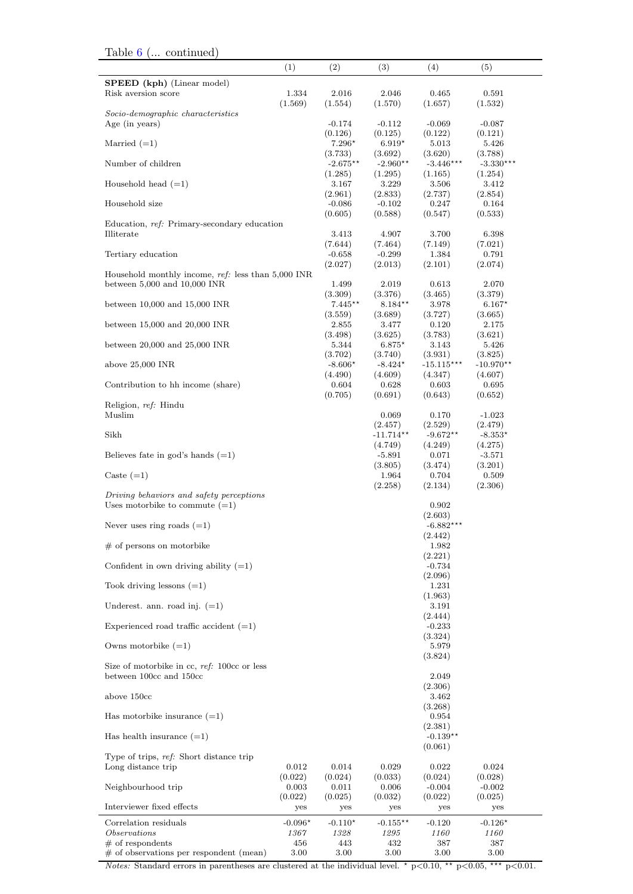|                                                                              | (1)              | (2)                  | (3)                               | (4)                               | (5)                             |  |
|------------------------------------------------------------------------------|------------------|----------------------|-----------------------------------|-----------------------------------|---------------------------------|--|
| <b>SPEED</b> (kph) (Linear model)                                            |                  |                      |                                   |                                   |                                 |  |
| Risk aversion score                                                          | 1.334<br>(1.569) | 2.016                | 2.046                             | 0.465                             | 0.591                           |  |
| Socio-demographic characteristics                                            |                  | (1.554)              | (1.570)                           | (1.657)                           | (1.532)                         |  |
| Age (in years)                                                               |                  | $-0.174$             | $-0.112$                          | $-0.069$                          | $-0.087$                        |  |
| Married $(=1)$                                                               |                  | (0.126)<br>$7.296*$  | (0.125)<br>$6.919*$               | (0.122)<br>5.013                  | (0.121)<br>5.426                |  |
|                                                                              |                  | (3.733)              | (3.692)                           | (3.620)                           | (3.788)                         |  |
| Number of children                                                           |                  | $-2.675**$           | $-2.960**$                        | $-3.446***$                       | $-3.330***$                     |  |
| Household head $(=1)$                                                        |                  | (1.285)<br>3.167     | (1.295)<br>3.229                  | (1.165)<br>3.506                  | (1.254)<br>3.412                |  |
|                                                                              |                  | (2.961)              | (2.833)                           | (2.737)                           | (2.854)                         |  |
| Household size                                                               |                  | $-0.086$<br>(0.605)  | $-0.102$                          | 0.247                             | 0.164                           |  |
| Education, ref: Primary-secondary education<br>Illiterate                    |                  | 3.413                | (0.588)<br>4.907                  | (0.547)<br>3.700                  | (0.533)<br>6.398                |  |
|                                                                              |                  | (7.644)              | (7.464)                           | (7.149)                           | (7.021)                         |  |
| Tertiary education                                                           |                  | $-0.658$             | $-0.299$                          | 1.384                             | 0.791                           |  |
| Household monthly income, $ref:$ less than 5,000 INR                         |                  | (2.027)              | (2.013)                           | (2.101)                           | (2.074)                         |  |
| between $5,000$ and $10,000$ INR                                             |                  | 1.499                | 2.019                             | 0.613                             | 2.070                           |  |
|                                                                              |                  | (3.309)              | (3.376)                           | (3.465)                           | (3.379)                         |  |
| between $10,000$ and $15,000$ INR                                            |                  | $7.445**$<br>(3.559) | $8.184**$<br>(3.689)              | 3.978<br>(3.727)                  | $6.167*$<br>(3.665)             |  |
| between $15,000$ and $20,000$ INR                                            |                  | 2.855                | 3.477                             | 0.120                             | 2.175                           |  |
| between $20,000$ and $25,000$ INR                                            |                  | (3.498)<br>5.344     | (3.625)<br>$6.875*$               | (3.783)<br>3.143                  | (3.621)<br>5.426                |  |
|                                                                              |                  | (3.702)              | (3.740)                           | (3.931)                           | (3.825)                         |  |
| above $25,000$ INR                                                           |                  | $-8.606*$            | $-8.424*$                         | $-15.115***$                      | $-10.970**$                     |  |
| Contribution to hh income (share)                                            |                  | (4.490)<br>0.604     | (4.609)<br>0.628                  | (4.347)<br>0.603                  | (4.607)<br>0.695                |  |
|                                                                              |                  | (0.705)              | (0.691)                           | (0.643)                           | (0.652)                         |  |
| Religion, ref. Hindu<br>Muslim                                               |                  |                      | 0.069                             | 0.170                             | $-1.023$                        |  |
| Sikh                                                                         |                  |                      | (2.457)<br>$-11.714**$<br>(4.749) | (2.529)<br>$-9.672**$<br>(4.249)  | (2.479)<br>$-8.353*$<br>(4.275) |  |
| Believes fate in god's hands $(=1)$                                          |                  |                      | $-5.891$<br>(3.805)               | 0.071<br>(3.474)                  | $-3.571$<br>(3.201)             |  |
| Caste $(=1)$                                                                 |                  |                      | 1.964<br>(2.258)                  | 0.704<br>(2.134)                  | 0.509<br>(2.306)                |  |
| Driving behaviors and safety perceptions<br>Uses motorbike to commute $(=1)$ |                  |                      |                                   | 0.902                             |                                 |  |
| Never uses ring roads $(=1)$                                                 |                  |                      |                                   | (2.603)<br>$-6.882***$<br>(2.442) |                                 |  |
| $#$ of persons on motorbike                                                  |                  |                      |                                   | 1.982<br>(2.221)                  |                                 |  |
| Confident in own driving ability $(=1)$                                      |                  |                      |                                   | $-0.734$<br>(2.096)               |                                 |  |
| Took driving lessons $(=1)$                                                  |                  |                      |                                   | 1.231<br>(1.963)                  |                                 |  |
| Underest. ann. road inj. $(=1)$                                              |                  |                      |                                   | 3.191<br>(2.444)                  |                                 |  |
| Experienced road traffic accident $(=1)$                                     |                  |                      |                                   | $-0.233$<br>(3.324)               |                                 |  |
| Owns motorbike $(=1)$                                                        |                  |                      |                                   | 5.979<br>(3.824)                  |                                 |  |
| Size of motorbike in cc, ref: 100cc or less<br>between 100cc and 150cc       |                  |                      |                                   | 2.049                             |                                 |  |
| above 150cc                                                                  |                  |                      |                                   | (2.306)<br>3.462                  |                                 |  |
| Has motorbike insurance $(=1)$                                               |                  |                      |                                   | (3.268)<br>0.954<br>(2.381)       |                                 |  |
| Has health insurance $(=1)$                                                  |                  |                      |                                   | $-0.139**$<br>(0.061)             |                                 |  |
| Type of trips, ref. Short distance trip<br>Long distance trip                | 0.012            | 0.014                | 0.029                             | 0.022                             | 0.024                           |  |
| Neighbourhood trip                                                           | (0.022)<br>0.003 | (0.024)<br>0.011     | (0.033)<br>0.006                  | (0.024)<br>$-0.004$               | (0.028)<br>$-0.002$             |  |
| Interviewer fixed effects                                                    | (0.022)<br>yes   | (0.025)<br>yes       | (0.032)<br>yes                    | (0.022)<br>yes                    | (0.025)<br>yes                  |  |
| Correlation residuals                                                        | $-0.096*$        | $-0.110*$            | $-0.155**$                        | $-0.120$                          | $-0.126*$                       |  |
| $\it Observations$                                                           | 1367             | 1328                 | 1295                              | <i>1160</i>                       | 1160                            |  |
| $#$ of respondents<br>$#$ of observations per respondent (mean)              | 456<br>3.00      | 443<br>3.00          | 432<br>3.00                       | 387<br>3.00                       | 387<br>3.00                     |  |

Notes: Standard errors in parentheses are clustered at the individual level.  $*$  p<0.10,  $**$  p<0.05,  $***$  p<0.01.

### Table  $6$  (... continued)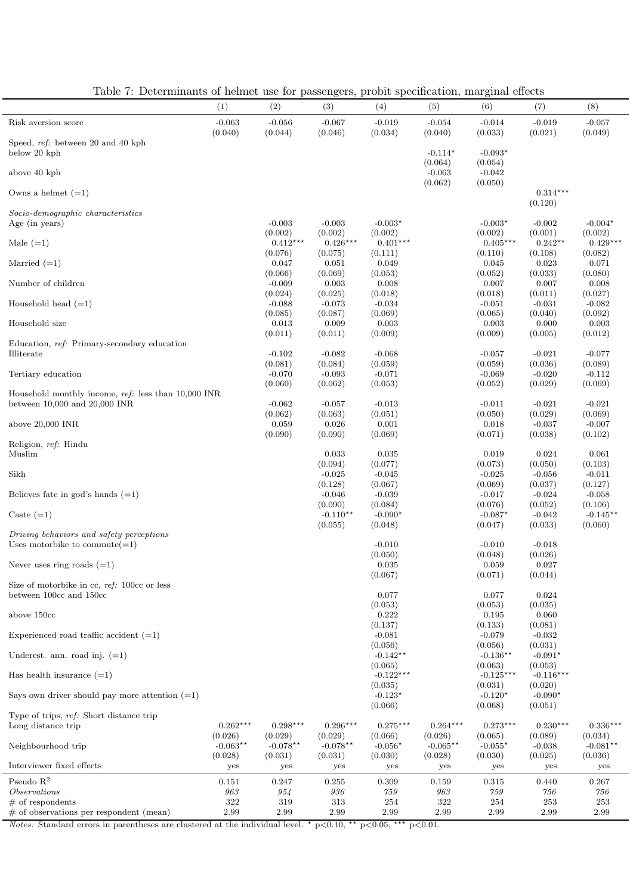| Table T. Determinants of hennet use for passengers, probit specification, marginal effects                                               | (1)                   | (2)                            | (3)                                  | (4)                            | (5)                            | (6)                            | (7)                            | (8)                            |
|------------------------------------------------------------------------------------------------------------------------------------------|-----------------------|--------------------------------|--------------------------------------|--------------------------------|--------------------------------|--------------------------------|--------------------------------|--------------------------------|
|                                                                                                                                          |                       |                                |                                      |                                |                                |                                |                                |                                |
| Risk aversion score                                                                                                                      | $-0.063$<br>(0.040)   | $-0.056$<br>(0.044)            | $-0.067$<br>(0.046)                  | $-0.019$<br>(0.034)            | $-0.054$<br>(0.040)            | $-0.014$<br>(0.033)            | $-0.019$<br>(0.021)            | $-0.057$<br>(0.049)            |
| Speed, ref: between 20 and 40 kph<br>below 20 kph                                                                                        |                       |                                |                                      |                                | $-0.114*$                      | $-0.093*$                      |                                |                                |
| above 40 kph                                                                                                                             |                       |                                |                                      |                                | (0.064)<br>$-0.063$<br>(0.062) | (0.054)<br>$-0.042$<br>(0.050) |                                |                                |
| Owns a helmet $(=1)$                                                                                                                     |                       |                                |                                      |                                |                                |                                | $0.314***$<br>(0.120)          |                                |
| Socio-demographic characteristics<br>Age (in years)                                                                                      |                       | $-0.003$                       | $-0.003$                             | $-0.003*$                      |                                | $-0.003*$                      | $-0.002$                       | $-0.004*$                      |
| Male $(=1)$                                                                                                                              |                       | (0.002)<br>$0.412***$          | (0.002)<br>$0.426^{\star\star\star}$ | (0.002)<br>$0.401***$          |                                | (0.002)<br>$0.405***$          | (0.001)<br>$0.242**$           | (0.002)<br>$0.429***$          |
| Married $(=1)$                                                                                                                           |                       | (0.076)<br>0.047               | (0.075)<br>0.051                     | (0.111)<br>0.049               |                                | (0.110)<br>0.045               | (0.108)<br>0.023               | (0.082)<br>0.071               |
| Number of children                                                                                                                       |                       | (0.066)<br>$-0.009$            | (0.069)<br>0.003                     | (0.053)<br>0.008               |                                | (0.052)<br>0.007               | (0.033)<br>0.007               | (0.080)<br>0.008               |
| Household head $(=1)$                                                                                                                    |                       | (0.024)<br>$-0.088$<br>(0.085) | (0.025)<br>$-0.073$<br>(0.087)       | (0.018)<br>$-0.034$<br>(0.069) |                                | (0.018)<br>$-0.051$<br>(0.065) | (0.011)<br>$-0.031$<br>(0.040) | (0.027)<br>$-0.082$<br>(0.092) |
| Household size                                                                                                                           |                       | 0.013<br>(0.011)               | 0.009<br>(0.011)                     | 0.003<br>(0.009)               |                                | 0.003<br>(0.009)               | 0.000<br>(0.005)               | 0.003<br>(0.012)               |
| Education, ref. Primary-secondary education<br>Illiterate                                                                                |                       | $-0.102$                       | $-0.082$                             | $-0.068$                       |                                | $-0.057$                       | $-0.021$                       | $-0.077$                       |
| Tertiary education                                                                                                                       |                       | (0.081)<br>$-0.070$            | (0.084)<br>$-0.093$                  | (0.059)<br>$-0.071$            |                                | (0.059)<br>$-0.069$            | (0.036)<br>$-0.020$            | (0.089)<br>$-0.112$            |
| Household monthly income, ref: less than 10,000 INR                                                                                      |                       | (0.060)                        | (0.062)                              | (0.053)                        |                                | (0.052)                        | (0.029)                        | (0.069)                        |
| between $10,000$ and $20,000$ INR                                                                                                        |                       | $-0.062$<br>(0.062)            | $-0.057$<br>(0.063)                  | $-0.013$<br>(0.051)            |                                | $-0.011$<br>(0.050)            | $-0.021$<br>(0.029)            | $-0.021$<br>(0.069)            |
| above $20,000$ INR                                                                                                                       |                       | 0.059<br>(0.090)               | 0.026<br>(0.090)                     | 0.001<br>(0.069)               |                                | 0.018<br>(0.071)               | $-0.037$<br>(0.038)            | $-0.007$<br>(0.102)            |
| Religion, ref: Hindu<br>Muslim                                                                                                           |                       |                                | 0.033                                | 0.035<br>(0.077)               |                                | 0.019                          | 0.024                          | 0.061                          |
| Sikh                                                                                                                                     |                       |                                | (0.094)<br>$-0.025$<br>(0.128)       | $-0.045$<br>(0.067)            |                                | (0.073)<br>$-0.025$<br>(0.069) | (0.050)<br>$-0.056$<br>(0.037) | (0.103)<br>$-0.011$<br>(0.127) |
| Believes fate in god's hands $(=1)$                                                                                                      |                       |                                | $-0.046$<br>(0.090)                  | $-0.039$<br>(0.084)            |                                | $-0.017$<br>(0.076)            | $-0.024$<br>(0.052)            | $-0.058$<br>(0.106)            |
| Caste $(=1)$                                                                                                                             |                       |                                | $-0.110**$<br>(0.055)                | $-0.090*$<br>(0.048)           |                                | $-0.087*$<br>(0.047)           | $-0.042$<br>(0.033)            | $-0.145**$<br>(0.060)          |
| Driving behaviors and safety perceptions<br>Uses motorbike to commute $(=1)$                                                             |                       |                                |                                      | $-0.010$                       |                                | $-0.010$                       | $-0.018$                       |                                |
| Never uses ring roads $(=1)$                                                                                                             |                       |                                |                                      | (0.050)<br>0.035               |                                | (0.048)<br>0.059               | (0.026)<br>0.027               |                                |
| Size of motorbike in cc, ref: 100cc or less<br>between 100cc and 150cc                                                                   |                       |                                |                                      | (0.067)<br>0.077               |                                | (0.071)<br>0.077               | (0.044)<br>0.024               |                                |
| above 150cc                                                                                                                              |                       |                                |                                      | (0.053)<br>0.222               |                                | (0.053)<br>0.195               | (0.035)<br>0.060               |                                |
| Experienced road traffic accident $(=1)$                                                                                                 |                       |                                |                                      | (0.137)<br>$-0.081$            |                                | (0.133)<br>$-0.079$            | (0.081)<br>$-0.032$            |                                |
| Underest. ann. road inj. $(=1)$                                                                                                          |                       |                                |                                      | (0.056)<br>$-0.142**$          |                                | (0.056)<br>$-0.136**$          | (0.031)<br>$-0.091*$           |                                |
| Has health insurance $(=1)$                                                                                                              |                       |                                |                                      | (0.065)<br>$-0.122***$         |                                | (0.063)<br>$-0.125***$         | (0.053)<br>$-0.116***$         |                                |
| Says own driver should pay more attention $(=1)$                                                                                         |                       |                                |                                      | (0.035)<br>$-0.123*$           |                                | (0.031)<br>$-0.120*$           | (0.020)<br>$-0.090*$           |                                |
| Type of trips, ref: Short distance trip                                                                                                  |                       |                                |                                      | (0.066)                        |                                | (0.068)                        | (0.051)                        |                                |
| Long distance trip                                                                                                                       | $0.262***$            | $0.298***$                     | $0.296***$                           | $0.275***$                     | $0.264***$                     | $0.273***$                     | $0.230***$                     | $0.336***$                     |
| Neighbourhood trip                                                                                                                       | (0.026)<br>$-0.063**$ | (0.029)<br>$-0.078**$          | (0.029)<br>$-0.078**$                | (0.066)<br>$-0.056*$           | (0.026)<br>$-0.065**$          | (0.065)<br>$-0.055*$           | (0.089)<br>$-0.038$            | (0.034)<br>$-0.081**$          |
| Interviewer fixed effects                                                                                                                | (0.028)<br>yes        | (0.031)<br>yes                 | (0.031)<br>yes                       | (0.030)<br>yes                 | (0.028)<br>yes                 | (0.030)<br>yes                 | (0.025)<br>yes                 | (0.036)<br>yes                 |
| Pseudo $\mathbf{R}^2$                                                                                                                    | 0.151                 | 0.247                          | 0.255                                | 0.309                          | 0.159                          | 0.315                          | 0.440                          | 0.267                          |
| $\label{thm:observation} Observations% \[ D\left( \mathcal{A}\right) =\left( \mathcal{A}\right) \rho _{0}\left( \mathcal{A}\right) . \]$ | 963                   | 954                            | 936                                  | 759                            | 963                            | 759                            | 756                            | 756                            |
| $#$ of respondents                                                                                                                       | $322\,$               | 319                            | 313                                  | 254                            | $322\,$                        | 254                            | 253                            | $253\,$                        |
| $\#$ of observations per respondent (mean)                                                                                               | 2.99                  | 2.99                           | 2.99                                 | 2.99                           | 2.99                           | 2.99                           | 2.99                           | 2.99                           |

<span id="page-42-0"></span>

| Table 7: Determinants of helmet use for passengers, probit specification, marginal effects |  |  |  |  |
|--------------------------------------------------------------------------------------------|--|--|--|--|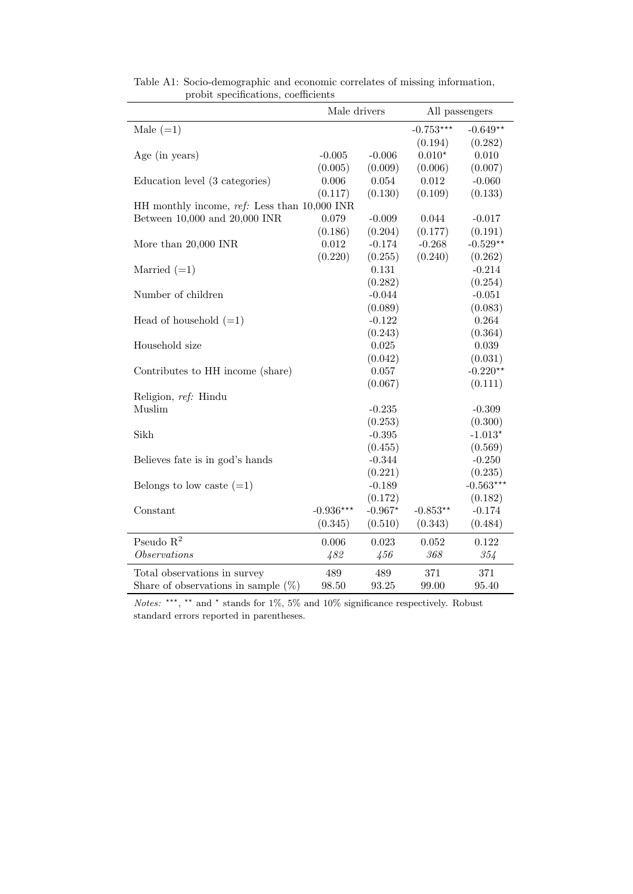|                                                | Male drivers |           | All passengers |             |  |
|------------------------------------------------|--------------|-----------|----------------|-------------|--|
| Male $(=1)$                                    |              |           | $-0.753***$    | $-0.649**$  |  |
|                                                |              |           | (0.194)        | (0.282)     |  |
| Age (in years)                                 | $-0.005$     | $-0.006$  | $0.010*$       | 0.010       |  |
|                                                | (0.005)      | (0.009)   | (0.006)        | (0.007)     |  |
| Education level (3 categories)                 | $0.006\,$    | 0.054     | 0.012          | $-0.060$    |  |
|                                                | (0.117)      | (0.130)   | (0.109)        | (0.133)     |  |
| HH monthly income, $ref:$ Less than 10,000 INR |              |           |                |             |  |
| Between $10,000$ and $20,000$ INR              | 0.079        | $-0.009$  | 0.044          | $-0.017$    |  |
|                                                | (0.186)      | (0.204)   | (0.177)        | (0.191)     |  |
| More than $20,000$ INR                         | 0.012        | $-0.174$  | $-0.268$       | $-0.529**$  |  |
|                                                | (0.220)      | (0.255)   | (0.240)        | (0.262)     |  |
| Married $(=1)$                                 |              | 0.131     |                | $-0.214$    |  |
|                                                |              | (0.282)   |                | (0.254)     |  |
| Number of children                             |              | $-0.044$  |                | $-0.051$    |  |
|                                                |              | (0.089)   |                | (0.083)     |  |
| Head of household $(=1)$                       |              | $-0.122$  |                | 0.264       |  |
|                                                |              | (0.243)   |                | (0.364)     |  |
| Household size                                 |              | 0.025     |                | $\,0.039\,$ |  |
|                                                |              | (0.042)   |                | (0.031)     |  |
| Contributes to HH income (share)               |              | 0.057     |                | $-0.220**$  |  |
|                                                |              | (0.067)   |                | (0.111)     |  |
| Religion, ref: Hindu                           |              |           |                |             |  |
| Muslim                                         |              | $-0.235$  |                | $-0.309$    |  |
|                                                |              | (0.253)   |                | (0.300)     |  |
| Sikh                                           |              | $-0.395$  |                | $-1.013*$   |  |
|                                                |              | (0.455)   |                | (0.569)     |  |
| Believes fate is in god's hands                |              | $-0.344$  |                | $-0.250$    |  |
|                                                |              | (0.221)   |                | (0.235)     |  |
| Belongs to low caste $(=1)$                    |              | $-0.189$  |                | $-0.563***$ |  |
|                                                |              | (0.172)   |                | (0.182)     |  |
| Constant                                       | $-0.936***$  | $-0.967*$ | $-0.853**$     | $-0.174$    |  |
|                                                | (0.345)      | (0.510)   | (0.343)        | (0.484)     |  |
| Pseudo $\mathbb{R}^2$                          | 0.006        | 0.023     | 0.052          | 0.122       |  |
| Observations                                   | 482          | 456       | 368            | 354         |  |
| Total observations in survey                   | 489          | 489       | 371            | 371         |  |
| Share of observations in sample $(\%)$         | 98.50        | 93.25     | 99.00          | 95.40       |  |

*Notes:* \*\*\*, \*\* and \* stands for 1%, 5% and 10% significance respectively. Robust standard errors reported in parentheses.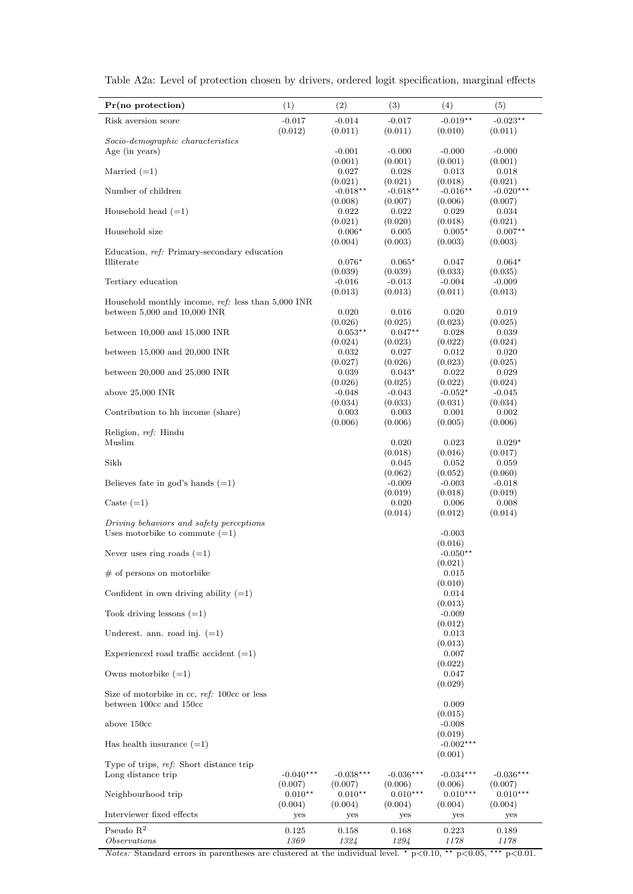| $Pr(no\; protection)$                                                                    | (1)                  | (2)                  | (3)                   | (4)                               | (5)                   |
|------------------------------------------------------------------------------------------|----------------------|----------------------|-----------------------|-----------------------------------|-----------------------|
| Risk aversion score                                                                      | $-0.017$             | $-0.014$             | $-0.017$              | $-0.019**$                        | $-0.023**$            |
| Socio-demographic characteristics                                                        | (0.012)              | (0.011)              | (0.011)               | (0.010)                           | (0.011)               |
| Age (in years)                                                                           |                      | $-0.001$             | $-0.000$              | $-0.000$                          | $-0.000$              |
|                                                                                          |                      | (0.001)              | (0.001)               | (0.001)                           | (0.001)               |
| Married $(=1)$                                                                           |                      | 0.027<br>(0.021)     | 0.028<br>(0.021)      | 0.013<br>(0.018)                  | 0.018<br>(0.021)      |
| Number of children                                                                       |                      | $-0.018**$           | $-0.018**$            | $-0.016**$                        | $-0.020***$           |
| Household head $(=1)$                                                                    |                      | (0.008)<br>0.022     | (0.007)<br>0.022      | (0.006)<br>0.029                  | (0.007)<br>0.034      |
|                                                                                          |                      | (0.021)              | (0.020)               | (0.018)                           | (0.021)               |
| Household size                                                                           |                      | $0.006*$<br>(0.004)  | 0.005<br>(0.003)      | $0.005*$<br>(0.003)               | $0.007**$<br>(0.003)  |
| Education, ref. Primary-secondary education                                              |                      |                      |                       |                                   |                       |
| Illiterate                                                                               |                      | $0.076*$             | $0.065*$              | 0.047                             | $0.064*$              |
| Tertiary education                                                                       |                      | (0.039)<br>$-0.016$  | (0.039)<br>$-0.013$   | (0.033)<br>$-0.004$               | (0.035)<br>$-0.009$   |
|                                                                                          |                      | (0.013)              | (0.013)               | (0.011)                           | (0.013)               |
| Household monthly income, $ref:$ less than 5,000 INR<br>between $5,000$ and $10,000$ INR |                      | 0.020                | 0.016                 | 0.020                             | 0.019                 |
|                                                                                          |                      | (0.026)              | (0.025)               | (0.023)                           | (0.025)               |
| between $10,000$ and $15,000$ INR                                                        |                      | $0.053***$           | $0.047**$             | 0.028                             | 0.039                 |
| between $15,000$ and $20,000$ INR                                                        |                      | (0.024)<br>0.032     | (0.023)<br>0.027      | (0.022)<br>0.012                  | (0.024)<br>0.020      |
|                                                                                          |                      | (0.027)              | (0.026)               | (0.023)                           | (0.025)               |
| between $20,000$ and $25,000$ INR                                                        |                      | 0.039                | $0.043*$              | 0.022                             | 0.029                 |
| above $25,000$ INR                                                                       |                      | (0.026)<br>$-0.048$  | (0.025)<br>$-0.043$   | (0.022)<br>$-0.052*$              | (0.024)<br>$-0.045$   |
|                                                                                          |                      | (0.034)              | (0.033)               | (0.031)                           | (0.034)               |
| Contribution to hh income (share)                                                        |                      | 0.003<br>(0.006)     | 0.003<br>(0.006)      | 0.001<br>(0.005)                  | 0.002<br>(0.006)      |
| Religion, ref: Hindu                                                                     |                      |                      |                       |                                   |                       |
| Muslim                                                                                   |                      |                      | 0.020                 | 0.023                             | $0.029*$              |
| Sikh                                                                                     |                      |                      | (0.018)<br>0.045      | (0.016)<br>0.052                  | (0.017)<br>0.059      |
|                                                                                          |                      |                      | (0.062)               | (0.052)                           | (0.060)               |
| Believes fate in god's hands $(=1)$                                                      |                      |                      | $-0.009$<br>(0.019)   | $-0.003$<br>(0.018)               | $-0.018$<br>(0.019)   |
| Caste $(=1)$                                                                             |                      |                      | 0.020                 | 0.006                             | 0.008                 |
|                                                                                          |                      |                      | (0.014)               | (0.012)                           | (0.014)               |
| Driving behaviors and safety perceptions<br>Uses motorbike to commute $(=1)$             |                      |                      |                       | $-0.003$                          |                       |
|                                                                                          |                      |                      |                       | (0.016)                           |                       |
| Never uses ring roads $(=1)$                                                             |                      |                      |                       | $-0.050**$<br>(0.021)             |                       |
| $#$ of persons on motorbike                                                              |                      |                      |                       | 0.015                             |                       |
|                                                                                          |                      |                      |                       | (0.010)                           |                       |
| Confident in own driving ability $(=1)$                                                  |                      |                      |                       | 0.014<br>(0.013)                  |                       |
| Took driving lessons $(=1)$                                                              |                      |                      |                       | $-0.009$                          |                       |
| Underest. ann. road inj. $(=1)$                                                          |                      |                      |                       | (0.012)<br>0.013                  |                       |
|                                                                                          |                      |                      |                       | (0.013)                           |                       |
| Experienced road traffic accident $(=1)$                                                 |                      |                      |                       | 0.007                             |                       |
| Owns motorbike $(=1)$                                                                    |                      |                      |                       | (0.022)<br>0.047                  |                       |
| Size of motorbike in cc, ref: 100cc or less<br>between 100cc and 150cc                   |                      |                      |                       | (0.029)<br>0.009                  |                       |
| above 150cc                                                                              |                      |                      |                       | (0.015)<br>$-0.008$               |                       |
| Has health insurance $(=1)$                                                              |                      |                      |                       | (0.019)<br>$-0.002***$<br>(0.001) |                       |
| Type of trips, ref. Short distance trip<br>Long distance trip                            | $-0.040***$          | $-0.038***$          | $-0.036***$           | $-0.034***$                       | $-0.036***$           |
| Neighbourhood trip                                                                       | (0.007)<br>$0.010**$ | (0.007)<br>$0.010**$ | (0.006)<br>$0.010***$ | (0.006)<br>$0.010***$             | (0.007)<br>$0.010***$ |
| Interviewer fixed effects                                                                | (0.004)<br>yes       | (0.004)<br>yes       | (0.004)<br>yes        | (0.004)<br>yes                    | (0.004)<br>yes        |
| Pseudo $R^2$<br><i>Observations</i>                                                      | 0.125<br>1369        | 0.158<br>1324        | 0.168<br>1294         | 0.223<br>1178                     | 0.189<br>1178         |

Table A2a: Level of protection chosen by drivers, ordered logit specification, marginal effects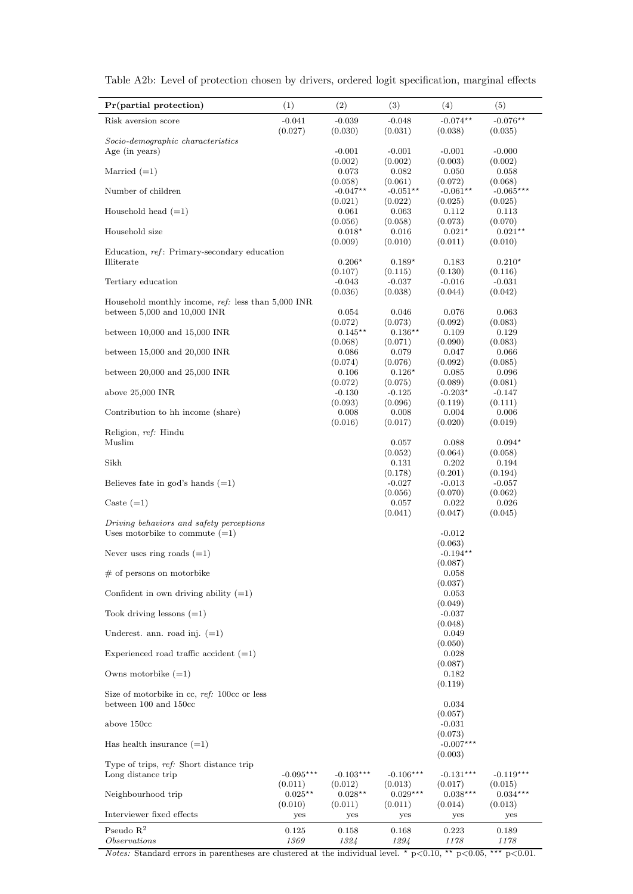| $-0.074**$<br>$-0.041$<br>$-0.039$<br>$-0.048$<br>$-0.076**$<br>Risk aversion score<br>(0.027)<br>(0.030)<br>(0.031)<br>(0.038)<br>(0.035)<br>Socio-demographic characteristics<br>$-0.001$<br>$-0.001$<br>$-0.001$<br>$-0.000$<br>Age (in years)<br>(0.002)<br>(0.003)<br>(0.002)<br>(0.002)<br>Married $(=1)$<br>0.073<br>0.050<br>0.082<br>0.058<br>(0.058)<br>(0.061)<br>(0.072)<br>(0.068)<br>Number of children<br>$-0.047**$<br>$-0.051**$<br>$-0.061**$<br>$-0.065***$<br>(0.021)<br>(0.022)<br>(0.025)<br>(0.025)<br>Household head $(=1)$<br>0.061<br>0.063<br>0.112<br>0.113<br>(0.056)<br>(0.058)<br>(0.073)<br>(0.070)<br>Household size<br>$0.018*$<br>$0.021*$<br>$0.021**$<br>0.016<br>(0.009)<br>(0.010)<br>(0.011)<br>(0.010)<br>Education, ref: Primary-secondary education<br>Illiterate<br>$0.206*$<br>$0.189*$<br>$0.210*$<br>0.183<br>(0.107)<br>(0.115)<br>(0.130)<br>(0.116)<br>Tertiary education<br>$-0.043$<br>$-0.016$<br>$-0.031$<br>$-0.037$<br>(0.036)<br>(0.038)<br>(0.044)<br>(0.042)<br>Household monthly income, ref: less than 5,000 INR<br>between $5,000$ and $10,000$ INR<br>0.054<br>0.046<br>0.076<br>0.063<br>(0.092)<br>(0.072)<br>(0.073)<br>(0.083)<br>$0.145***$<br>between $10,000$ and $15,000$ INR<br>$0.136**$<br>0.109<br>0.129<br>(0.068)<br>(0.071)<br>(0.090)<br>(0.083)<br>between $15,000$ and $20,000$ INR<br>0.086<br>0.047<br>0.079<br>0.066<br>(0.074)<br>(0.076)<br>(0.092)<br>(0.085)<br>0.106<br>$0.126*$<br>0.085<br>between $20,000$ and $25,000$ INR<br>0.096<br>(0.072)<br>(0.075)<br>(0.089)<br>(0.081)<br>above $25,000$ INR<br>$-0.130$<br>$-0.125$<br>$-0.203*$<br>$-0.147$<br>(0.093)<br>(0.096)<br>(0.119)<br>(0.111)<br>0.008<br>0.008<br>0.004<br>0.006<br>Contribution to hh income (share)<br>(0.016)<br>(0.020)<br>(0.017)<br>(0.019)<br>Religion, ref: Hindu<br>Muslim<br>0.057<br>0.088<br>$0.094*$<br>(0.052)<br>(0.064)<br>(0.058)<br>Sikh<br>0.131<br>0.202<br>0.194<br>(0.178)<br>(0.201)<br>(0.194)<br>Believes fate in god's hands $(=1)$<br>$-0.027$<br>$-0.013$<br>$-0.057$<br>(0.056)<br>(0.070)<br>(0.062)<br>Caste $(=1)$<br>0.057<br>0.022<br>0.026<br>(0.041)<br>(0.047)<br>(0.045)<br>Driving behaviors and safety perceptions<br>Uses motorbike to commute $(=1)$<br>$-0.012$<br>(0.063)<br>$-0.194**$<br>Never uses ring roads $(=1)$<br>(0.087)<br>$#$ of persons on motorbike<br>0.058<br>(0.037)<br>Confident in own driving ability $(=1)$<br>0.053<br>(0.049)<br>Took driving lessons $(=1)$<br>$-0.037$<br>(0.048)<br>Underest. ann. road inj. $(=1)$<br>0.049<br>(0.050)<br>Experienced road traffic accident $(=1)$<br>0.028<br>(0.087)<br>Owns motorbike $(=1)$<br>0.182<br>(0.119)<br>Size of motorbike in cc, ref: 100cc or less<br>between 100 and 150cc<br>0.034<br>(0.057)<br>above 150cc<br>$-0.031$<br>(0.073)<br>$-0.007***$<br>Has health insurance $(=1)$<br>(0.003)<br>Type of trips, ref. Short distance trip<br>$-0.095***$<br>$-0.103***$<br>$-0.106***$<br>$-0.131***$<br>$-0.119***$<br>Long distance trip<br>(0.011)<br>(0.012)<br>(0.013)<br>(0.017)<br>(0.015)<br>Neighbourhood trip<br>$0.029***$<br>$0.038***$<br>$0.034***$<br>$0.025**$<br>$0.028**$<br>(0.013)<br>(0.010)<br>(0.011)<br>(0.011)<br>(0.014)<br>Interviewer fixed effects<br>yes<br>yes<br>yes<br>yes<br>yes<br>Pseudo $R^2$<br>0.125<br>0.168<br>0.223<br>0.189<br>0.158 | Pr(partial protection) | (1)  | (2)  | (3)  | (4)  | (5)  |
|---------------------------------------------------------------------------------------------------------------------------------------------------------------------------------------------------------------------------------------------------------------------------------------------------------------------------------------------------------------------------------------------------------------------------------------------------------------------------------------------------------------------------------------------------------------------------------------------------------------------------------------------------------------------------------------------------------------------------------------------------------------------------------------------------------------------------------------------------------------------------------------------------------------------------------------------------------------------------------------------------------------------------------------------------------------------------------------------------------------------------------------------------------------------------------------------------------------------------------------------------------------------------------------------------------------------------------------------------------------------------------------------------------------------------------------------------------------------------------------------------------------------------------------------------------------------------------------------------------------------------------------------------------------------------------------------------------------------------------------------------------------------------------------------------------------------------------------------------------------------------------------------------------------------------------------------------------------------------------------------------------------------------------------------------------------------------------------------------------------------------------------------------------------------------------------------------------------------------------------------------------------------------------------------------------------------------------------------------------------------------------------------------------------------------------------------------------------------------------------------------------------------------------------------------------------------------------------------------------------------------------------------------------------------------------------------------------------------------------------------------------------------------------------------------------------------------------------------------------------------------------------------------------------------------------------------------------------------------------------------------------------------------------------------------------------------------------------------------------------------------------------------------------------------------------------------------------------------------------------------------------------------------------------------------------------------------------------------------------------------------|------------------------|------|------|------|------|------|
|                                                                                                                                                                                                                                                                                                                                                                                                                                                                                                                                                                                                                                                                                                                                                                                                                                                                                                                                                                                                                                                                                                                                                                                                                                                                                                                                                                                                                                                                                                                                                                                                                                                                                                                                                                                                                                                                                                                                                                                                                                                                                                                                                                                                                                                                                                                                                                                                                                                                                                                                                                                                                                                                                                                                                                                                                                                                                                                                                                                                                                                                                                                                                                                                                                                                                                                                                                           |                        |      |      |      |      |      |
|                                                                                                                                                                                                                                                                                                                                                                                                                                                                                                                                                                                                                                                                                                                                                                                                                                                                                                                                                                                                                                                                                                                                                                                                                                                                                                                                                                                                                                                                                                                                                                                                                                                                                                                                                                                                                                                                                                                                                                                                                                                                                                                                                                                                                                                                                                                                                                                                                                                                                                                                                                                                                                                                                                                                                                                                                                                                                                                                                                                                                                                                                                                                                                                                                                                                                                                                                                           |                        |      |      |      |      |      |
|                                                                                                                                                                                                                                                                                                                                                                                                                                                                                                                                                                                                                                                                                                                                                                                                                                                                                                                                                                                                                                                                                                                                                                                                                                                                                                                                                                                                                                                                                                                                                                                                                                                                                                                                                                                                                                                                                                                                                                                                                                                                                                                                                                                                                                                                                                                                                                                                                                                                                                                                                                                                                                                                                                                                                                                                                                                                                                                                                                                                                                                                                                                                                                                                                                                                                                                                                                           |                        |      |      |      |      |      |
|                                                                                                                                                                                                                                                                                                                                                                                                                                                                                                                                                                                                                                                                                                                                                                                                                                                                                                                                                                                                                                                                                                                                                                                                                                                                                                                                                                                                                                                                                                                                                                                                                                                                                                                                                                                                                                                                                                                                                                                                                                                                                                                                                                                                                                                                                                                                                                                                                                                                                                                                                                                                                                                                                                                                                                                                                                                                                                                                                                                                                                                                                                                                                                                                                                                                                                                                                                           |                        |      |      |      |      |      |
|                                                                                                                                                                                                                                                                                                                                                                                                                                                                                                                                                                                                                                                                                                                                                                                                                                                                                                                                                                                                                                                                                                                                                                                                                                                                                                                                                                                                                                                                                                                                                                                                                                                                                                                                                                                                                                                                                                                                                                                                                                                                                                                                                                                                                                                                                                                                                                                                                                                                                                                                                                                                                                                                                                                                                                                                                                                                                                                                                                                                                                                                                                                                                                                                                                                                                                                                                                           |                        |      |      |      |      |      |
|                                                                                                                                                                                                                                                                                                                                                                                                                                                                                                                                                                                                                                                                                                                                                                                                                                                                                                                                                                                                                                                                                                                                                                                                                                                                                                                                                                                                                                                                                                                                                                                                                                                                                                                                                                                                                                                                                                                                                                                                                                                                                                                                                                                                                                                                                                                                                                                                                                                                                                                                                                                                                                                                                                                                                                                                                                                                                                                                                                                                                                                                                                                                                                                                                                                                                                                                                                           |                        |      |      |      |      |      |
|                                                                                                                                                                                                                                                                                                                                                                                                                                                                                                                                                                                                                                                                                                                                                                                                                                                                                                                                                                                                                                                                                                                                                                                                                                                                                                                                                                                                                                                                                                                                                                                                                                                                                                                                                                                                                                                                                                                                                                                                                                                                                                                                                                                                                                                                                                                                                                                                                                                                                                                                                                                                                                                                                                                                                                                                                                                                                                                                                                                                                                                                                                                                                                                                                                                                                                                                                                           |                        |      |      |      |      |      |
|                                                                                                                                                                                                                                                                                                                                                                                                                                                                                                                                                                                                                                                                                                                                                                                                                                                                                                                                                                                                                                                                                                                                                                                                                                                                                                                                                                                                                                                                                                                                                                                                                                                                                                                                                                                                                                                                                                                                                                                                                                                                                                                                                                                                                                                                                                                                                                                                                                                                                                                                                                                                                                                                                                                                                                                                                                                                                                                                                                                                                                                                                                                                                                                                                                                                                                                                                                           |                        |      |      |      |      |      |
|                                                                                                                                                                                                                                                                                                                                                                                                                                                                                                                                                                                                                                                                                                                                                                                                                                                                                                                                                                                                                                                                                                                                                                                                                                                                                                                                                                                                                                                                                                                                                                                                                                                                                                                                                                                                                                                                                                                                                                                                                                                                                                                                                                                                                                                                                                                                                                                                                                                                                                                                                                                                                                                                                                                                                                                                                                                                                                                                                                                                                                                                                                                                                                                                                                                                                                                                                                           |                        |      |      |      |      |      |
|                                                                                                                                                                                                                                                                                                                                                                                                                                                                                                                                                                                                                                                                                                                                                                                                                                                                                                                                                                                                                                                                                                                                                                                                                                                                                                                                                                                                                                                                                                                                                                                                                                                                                                                                                                                                                                                                                                                                                                                                                                                                                                                                                                                                                                                                                                                                                                                                                                                                                                                                                                                                                                                                                                                                                                                                                                                                                                                                                                                                                                                                                                                                                                                                                                                                                                                                                                           |                        |      |      |      |      |      |
|                                                                                                                                                                                                                                                                                                                                                                                                                                                                                                                                                                                                                                                                                                                                                                                                                                                                                                                                                                                                                                                                                                                                                                                                                                                                                                                                                                                                                                                                                                                                                                                                                                                                                                                                                                                                                                                                                                                                                                                                                                                                                                                                                                                                                                                                                                                                                                                                                                                                                                                                                                                                                                                                                                                                                                                                                                                                                                                                                                                                                                                                                                                                                                                                                                                                                                                                                                           |                        |      |      |      |      |      |
|                                                                                                                                                                                                                                                                                                                                                                                                                                                                                                                                                                                                                                                                                                                                                                                                                                                                                                                                                                                                                                                                                                                                                                                                                                                                                                                                                                                                                                                                                                                                                                                                                                                                                                                                                                                                                                                                                                                                                                                                                                                                                                                                                                                                                                                                                                                                                                                                                                                                                                                                                                                                                                                                                                                                                                                                                                                                                                                                                                                                                                                                                                                                                                                                                                                                                                                                                                           |                        |      |      |      |      |      |
|                                                                                                                                                                                                                                                                                                                                                                                                                                                                                                                                                                                                                                                                                                                                                                                                                                                                                                                                                                                                                                                                                                                                                                                                                                                                                                                                                                                                                                                                                                                                                                                                                                                                                                                                                                                                                                                                                                                                                                                                                                                                                                                                                                                                                                                                                                                                                                                                                                                                                                                                                                                                                                                                                                                                                                                                                                                                                                                                                                                                                                                                                                                                                                                                                                                                                                                                                                           |                        |      |      |      |      |      |
|                                                                                                                                                                                                                                                                                                                                                                                                                                                                                                                                                                                                                                                                                                                                                                                                                                                                                                                                                                                                                                                                                                                                                                                                                                                                                                                                                                                                                                                                                                                                                                                                                                                                                                                                                                                                                                                                                                                                                                                                                                                                                                                                                                                                                                                                                                                                                                                                                                                                                                                                                                                                                                                                                                                                                                                                                                                                                                                                                                                                                                                                                                                                                                                                                                                                                                                                                                           |                        |      |      |      |      |      |
|                                                                                                                                                                                                                                                                                                                                                                                                                                                                                                                                                                                                                                                                                                                                                                                                                                                                                                                                                                                                                                                                                                                                                                                                                                                                                                                                                                                                                                                                                                                                                                                                                                                                                                                                                                                                                                                                                                                                                                                                                                                                                                                                                                                                                                                                                                                                                                                                                                                                                                                                                                                                                                                                                                                                                                                                                                                                                                                                                                                                                                                                                                                                                                                                                                                                                                                                                                           |                        |      |      |      |      |      |
|                                                                                                                                                                                                                                                                                                                                                                                                                                                                                                                                                                                                                                                                                                                                                                                                                                                                                                                                                                                                                                                                                                                                                                                                                                                                                                                                                                                                                                                                                                                                                                                                                                                                                                                                                                                                                                                                                                                                                                                                                                                                                                                                                                                                                                                                                                                                                                                                                                                                                                                                                                                                                                                                                                                                                                                                                                                                                                                                                                                                                                                                                                                                                                                                                                                                                                                                                                           |                        |      |      |      |      |      |
|                                                                                                                                                                                                                                                                                                                                                                                                                                                                                                                                                                                                                                                                                                                                                                                                                                                                                                                                                                                                                                                                                                                                                                                                                                                                                                                                                                                                                                                                                                                                                                                                                                                                                                                                                                                                                                                                                                                                                                                                                                                                                                                                                                                                                                                                                                                                                                                                                                                                                                                                                                                                                                                                                                                                                                                                                                                                                                                                                                                                                                                                                                                                                                                                                                                                                                                                                                           |                        |      |      |      |      |      |
|                                                                                                                                                                                                                                                                                                                                                                                                                                                                                                                                                                                                                                                                                                                                                                                                                                                                                                                                                                                                                                                                                                                                                                                                                                                                                                                                                                                                                                                                                                                                                                                                                                                                                                                                                                                                                                                                                                                                                                                                                                                                                                                                                                                                                                                                                                                                                                                                                                                                                                                                                                                                                                                                                                                                                                                                                                                                                                                                                                                                                                                                                                                                                                                                                                                                                                                                                                           |                        |      |      |      |      |      |
|                                                                                                                                                                                                                                                                                                                                                                                                                                                                                                                                                                                                                                                                                                                                                                                                                                                                                                                                                                                                                                                                                                                                                                                                                                                                                                                                                                                                                                                                                                                                                                                                                                                                                                                                                                                                                                                                                                                                                                                                                                                                                                                                                                                                                                                                                                                                                                                                                                                                                                                                                                                                                                                                                                                                                                                                                                                                                                                                                                                                                                                                                                                                                                                                                                                                                                                                                                           |                        |      |      |      |      |      |
|                                                                                                                                                                                                                                                                                                                                                                                                                                                                                                                                                                                                                                                                                                                                                                                                                                                                                                                                                                                                                                                                                                                                                                                                                                                                                                                                                                                                                                                                                                                                                                                                                                                                                                                                                                                                                                                                                                                                                                                                                                                                                                                                                                                                                                                                                                                                                                                                                                                                                                                                                                                                                                                                                                                                                                                                                                                                                                                                                                                                                                                                                                                                                                                                                                                                                                                                                                           |                        |      |      |      |      |      |
|                                                                                                                                                                                                                                                                                                                                                                                                                                                                                                                                                                                                                                                                                                                                                                                                                                                                                                                                                                                                                                                                                                                                                                                                                                                                                                                                                                                                                                                                                                                                                                                                                                                                                                                                                                                                                                                                                                                                                                                                                                                                                                                                                                                                                                                                                                                                                                                                                                                                                                                                                                                                                                                                                                                                                                                                                                                                                                                                                                                                                                                                                                                                                                                                                                                                                                                                                                           |                        |      |      |      |      |      |
|                                                                                                                                                                                                                                                                                                                                                                                                                                                                                                                                                                                                                                                                                                                                                                                                                                                                                                                                                                                                                                                                                                                                                                                                                                                                                                                                                                                                                                                                                                                                                                                                                                                                                                                                                                                                                                                                                                                                                                                                                                                                                                                                                                                                                                                                                                                                                                                                                                                                                                                                                                                                                                                                                                                                                                                                                                                                                                                                                                                                                                                                                                                                                                                                                                                                                                                                                                           |                        |      |      |      |      |      |
|                                                                                                                                                                                                                                                                                                                                                                                                                                                                                                                                                                                                                                                                                                                                                                                                                                                                                                                                                                                                                                                                                                                                                                                                                                                                                                                                                                                                                                                                                                                                                                                                                                                                                                                                                                                                                                                                                                                                                                                                                                                                                                                                                                                                                                                                                                                                                                                                                                                                                                                                                                                                                                                                                                                                                                                                                                                                                                                                                                                                                                                                                                                                                                                                                                                                                                                                                                           |                        |      |      |      |      |      |
|                                                                                                                                                                                                                                                                                                                                                                                                                                                                                                                                                                                                                                                                                                                                                                                                                                                                                                                                                                                                                                                                                                                                                                                                                                                                                                                                                                                                                                                                                                                                                                                                                                                                                                                                                                                                                                                                                                                                                                                                                                                                                                                                                                                                                                                                                                                                                                                                                                                                                                                                                                                                                                                                                                                                                                                                                                                                                                                                                                                                                                                                                                                                                                                                                                                                                                                                                                           |                        |      |      |      |      |      |
|                                                                                                                                                                                                                                                                                                                                                                                                                                                                                                                                                                                                                                                                                                                                                                                                                                                                                                                                                                                                                                                                                                                                                                                                                                                                                                                                                                                                                                                                                                                                                                                                                                                                                                                                                                                                                                                                                                                                                                                                                                                                                                                                                                                                                                                                                                                                                                                                                                                                                                                                                                                                                                                                                                                                                                                                                                                                                                                                                                                                                                                                                                                                                                                                                                                                                                                                                                           |                        |      |      |      |      |      |
|                                                                                                                                                                                                                                                                                                                                                                                                                                                                                                                                                                                                                                                                                                                                                                                                                                                                                                                                                                                                                                                                                                                                                                                                                                                                                                                                                                                                                                                                                                                                                                                                                                                                                                                                                                                                                                                                                                                                                                                                                                                                                                                                                                                                                                                                                                                                                                                                                                                                                                                                                                                                                                                                                                                                                                                                                                                                                                                                                                                                                                                                                                                                                                                                                                                                                                                                                                           |                        |      |      |      |      |      |
|                                                                                                                                                                                                                                                                                                                                                                                                                                                                                                                                                                                                                                                                                                                                                                                                                                                                                                                                                                                                                                                                                                                                                                                                                                                                                                                                                                                                                                                                                                                                                                                                                                                                                                                                                                                                                                                                                                                                                                                                                                                                                                                                                                                                                                                                                                                                                                                                                                                                                                                                                                                                                                                                                                                                                                                                                                                                                                                                                                                                                                                                                                                                                                                                                                                                                                                                                                           |                        |      |      |      |      |      |
|                                                                                                                                                                                                                                                                                                                                                                                                                                                                                                                                                                                                                                                                                                                                                                                                                                                                                                                                                                                                                                                                                                                                                                                                                                                                                                                                                                                                                                                                                                                                                                                                                                                                                                                                                                                                                                                                                                                                                                                                                                                                                                                                                                                                                                                                                                                                                                                                                                                                                                                                                                                                                                                                                                                                                                                                                                                                                                                                                                                                                                                                                                                                                                                                                                                                                                                                                                           |                        |      |      |      |      |      |
|                                                                                                                                                                                                                                                                                                                                                                                                                                                                                                                                                                                                                                                                                                                                                                                                                                                                                                                                                                                                                                                                                                                                                                                                                                                                                                                                                                                                                                                                                                                                                                                                                                                                                                                                                                                                                                                                                                                                                                                                                                                                                                                                                                                                                                                                                                                                                                                                                                                                                                                                                                                                                                                                                                                                                                                                                                                                                                                                                                                                                                                                                                                                                                                                                                                                                                                                                                           |                        |      |      |      |      |      |
|                                                                                                                                                                                                                                                                                                                                                                                                                                                                                                                                                                                                                                                                                                                                                                                                                                                                                                                                                                                                                                                                                                                                                                                                                                                                                                                                                                                                                                                                                                                                                                                                                                                                                                                                                                                                                                                                                                                                                                                                                                                                                                                                                                                                                                                                                                                                                                                                                                                                                                                                                                                                                                                                                                                                                                                                                                                                                                                                                                                                                                                                                                                                                                                                                                                                                                                                                                           |                        |      |      |      |      |      |
|                                                                                                                                                                                                                                                                                                                                                                                                                                                                                                                                                                                                                                                                                                                                                                                                                                                                                                                                                                                                                                                                                                                                                                                                                                                                                                                                                                                                                                                                                                                                                                                                                                                                                                                                                                                                                                                                                                                                                                                                                                                                                                                                                                                                                                                                                                                                                                                                                                                                                                                                                                                                                                                                                                                                                                                                                                                                                                                                                                                                                                                                                                                                                                                                                                                                                                                                                                           |                        |      |      |      |      |      |
|                                                                                                                                                                                                                                                                                                                                                                                                                                                                                                                                                                                                                                                                                                                                                                                                                                                                                                                                                                                                                                                                                                                                                                                                                                                                                                                                                                                                                                                                                                                                                                                                                                                                                                                                                                                                                                                                                                                                                                                                                                                                                                                                                                                                                                                                                                                                                                                                                                                                                                                                                                                                                                                                                                                                                                                                                                                                                                                                                                                                                                                                                                                                                                                                                                                                                                                                                                           |                        |      |      |      |      |      |
|                                                                                                                                                                                                                                                                                                                                                                                                                                                                                                                                                                                                                                                                                                                                                                                                                                                                                                                                                                                                                                                                                                                                                                                                                                                                                                                                                                                                                                                                                                                                                                                                                                                                                                                                                                                                                                                                                                                                                                                                                                                                                                                                                                                                                                                                                                                                                                                                                                                                                                                                                                                                                                                                                                                                                                                                                                                                                                                                                                                                                                                                                                                                                                                                                                                                                                                                                                           |                        |      |      |      |      |      |
|                                                                                                                                                                                                                                                                                                                                                                                                                                                                                                                                                                                                                                                                                                                                                                                                                                                                                                                                                                                                                                                                                                                                                                                                                                                                                                                                                                                                                                                                                                                                                                                                                                                                                                                                                                                                                                                                                                                                                                                                                                                                                                                                                                                                                                                                                                                                                                                                                                                                                                                                                                                                                                                                                                                                                                                                                                                                                                                                                                                                                                                                                                                                                                                                                                                                                                                                                                           |                        |      |      |      |      |      |
|                                                                                                                                                                                                                                                                                                                                                                                                                                                                                                                                                                                                                                                                                                                                                                                                                                                                                                                                                                                                                                                                                                                                                                                                                                                                                                                                                                                                                                                                                                                                                                                                                                                                                                                                                                                                                                                                                                                                                                                                                                                                                                                                                                                                                                                                                                                                                                                                                                                                                                                                                                                                                                                                                                                                                                                                                                                                                                                                                                                                                                                                                                                                                                                                                                                                                                                                                                           |                        |      |      |      |      |      |
|                                                                                                                                                                                                                                                                                                                                                                                                                                                                                                                                                                                                                                                                                                                                                                                                                                                                                                                                                                                                                                                                                                                                                                                                                                                                                                                                                                                                                                                                                                                                                                                                                                                                                                                                                                                                                                                                                                                                                                                                                                                                                                                                                                                                                                                                                                                                                                                                                                                                                                                                                                                                                                                                                                                                                                                                                                                                                                                                                                                                                                                                                                                                                                                                                                                                                                                                                                           |                        |      |      |      |      |      |
|                                                                                                                                                                                                                                                                                                                                                                                                                                                                                                                                                                                                                                                                                                                                                                                                                                                                                                                                                                                                                                                                                                                                                                                                                                                                                                                                                                                                                                                                                                                                                                                                                                                                                                                                                                                                                                                                                                                                                                                                                                                                                                                                                                                                                                                                                                                                                                                                                                                                                                                                                                                                                                                                                                                                                                                                                                                                                                                                                                                                                                                                                                                                                                                                                                                                                                                                                                           |                        |      |      |      |      |      |
|                                                                                                                                                                                                                                                                                                                                                                                                                                                                                                                                                                                                                                                                                                                                                                                                                                                                                                                                                                                                                                                                                                                                                                                                                                                                                                                                                                                                                                                                                                                                                                                                                                                                                                                                                                                                                                                                                                                                                                                                                                                                                                                                                                                                                                                                                                                                                                                                                                                                                                                                                                                                                                                                                                                                                                                                                                                                                                                                                                                                                                                                                                                                                                                                                                                                                                                                                                           |                        |      |      |      |      |      |
|                                                                                                                                                                                                                                                                                                                                                                                                                                                                                                                                                                                                                                                                                                                                                                                                                                                                                                                                                                                                                                                                                                                                                                                                                                                                                                                                                                                                                                                                                                                                                                                                                                                                                                                                                                                                                                                                                                                                                                                                                                                                                                                                                                                                                                                                                                                                                                                                                                                                                                                                                                                                                                                                                                                                                                                                                                                                                                                                                                                                                                                                                                                                                                                                                                                                                                                                                                           |                        |      |      |      |      |      |
|                                                                                                                                                                                                                                                                                                                                                                                                                                                                                                                                                                                                                                                                                                                                                                                                                                                                                                                                                                                                                                                                                                                                                                                                                                                                                                                                                                                                                                                                                                                                                                                                                                                                                                                                                                                                                                                                                                                                                                                                                                                                                                                                                                                                                                                                                                                                                                                                                                                                                                                                                                                                                                                                                                                                                                                                                                                                                                                                                                                                                                                                                                                                                                                                                                                                                                                                                                           |                        |      |      |      |      |      |
|                                                                                                                                                                                                                                                                                                                                                                                                                                                                                                                                                                                                                                                                                                                                                                                                                                                                                                                                                                                                                                                                                                                                                                                                                                                                                                                                                                                                                                                                                                                                                                                                                                                                                                                                                                                                                                                                                                                                                                                                                                                                                                                                                                                                                                                                                                                                                                                                                                                                                                                                                                                                                                                                                                                                                                                                                                                                                                                                                                                                                                                                                                                                                                                                                                                                                                                                                                           |                        |      |      |      |      |      |
|                                                                                                                                                                                                                                                                                                                                                                                                                                                                                                                                                                                                                                                                                                                                                                                                                                                                                                                                                                                                                                                                                                                                                                                                                                                                                                                                                                                                                                                                                                                                                                                                                                                                                                                                                                                                                                                                                                                                                                                                                                                                                                                                                                                                                                                                                                                                                                                                                                                                                                                                                                                                                                                                                                                                                                                                                                                                                                                                                                                                                                                                                                                                                                                                                                                                                                                                                                           |                        |      |      |      |      |      |
|                                                                                                                                                                                                                                                                                                                                                                                                                                                                                                                                                                                                                                                                                                                                                                                                                                                                                                                                                                                                                                                                                                                                                                                                                                                                                                                                                                                                                                                                                                                                                                                                                                                                                                                                                                                                                                                                                                                                                                                                                                                                                                                                                                                                                                                                                                                                                                                                                                                                                                                                                                                                                                                                                                                                                                                                                                                                                                                                                                                                                                                                                                                                                                                                                                                                                                                                                                           |                        |      |      |      |      |      |
|                                                                                                                                                                                                                                                                                                                                                                                                                                                                                                                                                                                                                                                                                                                                                                                                                                                                                                                                                                                                                                                                                                                                                                                                                                                                                                                                                                                                                                                                                                                                                                                                                                                                                                                                                                                                                                                                                                                                                                                                                                                                                                                                                                                                                                                                                                                                                                                                                                                                                                                                                                                                                                                                                                                                                                                                                                                                                                                                                                                                                                                                                                                                                                                                                                                                                                                                                                           |                        |      |      |      |      |      |
|                                                                                                                                                                                                                                                                                                                                                                                                                                                                                                                                                                                                                                                                                                                                                                                                                                                                                                                                                                                                                                                                                                                                                                                                                                                                                                                                                                                                                                                                                                                                                                                                                                                                                                                                                                                                                                                                                                                                                                                                                                                                                                                                                                                                                                                                                                                                                                                                                                                                                                                                                                                                                                                                                                                                                                                                                                                                                                                                                                                                                                                                                                                                                                                                                                                                                                                                                                           |                        |      |      |      |      |      |
|                                                                                                                                                                                                                                                                                                                                                                                                                                                                                                                                                                                                                                                                                                                                                                                                                                                                                                                                                                                                                                                                                                                                                                                                                                                                                                                                                                                                                                                                                                                                                                                                                                                                                                                                                                                                                                                                                                                                                                                                                                                                                                                                                                                                                                                                                                                                                                                                                                                                                                                                                                                                                                                                                                                                                                                                                                                                                                                                                                                                                                                                                                                                                                                                                                                                                                                                                                           |                        |      |      |      |      |      |
|                                                                                                                                                                                                                                                                                                                                                                                                                                                                                                                                                                                                                                                                                                                                                                                                                                                                                                                                                                                                                                                                                                                                                                                                                                                                                                                                                                                                                                                                                                                                                                                                                                                                                                                                                                                                                                                                                                                                                                                                                                                                                                                                                                                                                                                                                                                                                                                                                                                                                                                                                                                                                                                                                                                                                                                                                                                                                                                                                                                                                                                                                                                                                                                                                                                                                                                                                                           |                        |      |      |      |      |      |
|                                                                                                                                                                                                                                                                                                                                                                                                                                                                                                                                                                                                                                                                                                                                                                                                                                                                                                                                                                                                                                                                                                                                                                                                                                                                                                                                                                                                                                                                                                                                                                                                                                                                                                                                                                                                                                                                                                                                                                                                                                                                                                                                                                                                                                                                                                                                                                                                                                                                                                                                                                                                                                                                                                                                                                                                                                                                                                                                                                                                                                                                                                                                                                                                                                                                                                                                                                           |                        |      |      |      |      |      |
|                                                                                                                                                                                                                                                                                                                                                                                                                                                                                                                                                                                                                                                                                                                                                                                                                                                                                                                                                                                                                                                                                                                                                                                                                                                                                                                                                                                                                                                                                                                                                                                                                                                                                                                                                                                                                                                                                                                                                                                                                                                                                                                                                                                                                                                                                                                                                                                                                                                                                                                                                                                                                                                                                                                                                                                                                                                                                                                                                                                                                                                                                                                                                                                                                                                                                                                                                                           |                        |      |      |      |      |      |
|                                                                                                                                                                                                                                                                                                                                                                                                                                                                                                                                                                                                                                                                                                                                                                                                                                                                                                                                                                                                                                                                                                                                                                                                                                                                                                                                                                                                                                                                                                                                                                                                                                                                                                                                                                                                                                                                                                                                                                                                                                                                                                                                                                                                                                                                                                                                                                                                                                                                                                                                                                                                                                                                                                                                                                                                                                                                                                                                                                                                                                                                                                                                                                                                                                                                                                                                                                           |                        |      |      |      |      |      |
|                                                                                                                                                                                                                                                                                                                                                                                                                                                                                                                                                                                                                                                                                                                                                                                                                                                                                                                                                                                                                                                                                                                                                                                                                                                                                                                                                                                                                                                                                                                                                                                                                                                                                                                                                                                                                                                                                                                                                                                                                                                                                                                                                                                                                                                                                                                                                                                                                                                                                                                                                                                                                                                                                                                                                                                                                                                                                                                                                                                                                                                                                                                                                                                                                                                                                                                                                                           |                        |      |      |      |      |      |
|                                                                                                                                                                                                                                                                                                                                                                                                                                                                                                                                                                                                                                                                                                                                                                                                                                                                                                                                                                                                                                                                                                                                                                                                                                                                                                                                                                                                                                                                                                                                                                                                                                                                                                                                                                                                                                                                                                                                                                                                                                                                                                                                                                                                                                                                                                                                                                                                                                                                                                                                                                                                                                                                                                                                                                                                                                                                                                                                                                                                                                                                                                                                                                                                                                                                                                                                                                           |                        |      |      |      |      |      |
|                                                                                                                                                                                                                                                                                                                                                                                                                                                                                                                                                                                                                                                                                                                                                                                                                                                                                                                                                                                                                                                                                                                                                                                                                                                                                                                                                                                                                                                                                                                                                                                                                                                                                                                                                                                                                                                                                                                                                                                                                                                                                                                                                                                                                                                                                                                                                                                                                                                                                                                                                                                                                                                                                                                                                                                                                                                                                                                                                                                                                                                                                                                                                                                                                                                                                                                                                                           |                        |      |      |      |      |      |
|                                                                                                                                                                                                                                                                                                                                                                                                                                                                                                                                                                                                                                                                                                                                                                                                                                                                                                                                                                                                                                                                                                                                                                                                                                                                                                                                                                                                                                                                                                                                                                                                                                                                                                                                                                                                                                                                                                                                                                                                                                                                                                                                                                                                                                                                                                                                                                                                                                                                                                                                                                                                                                                                                                                                                                                                                                                                                                                                                                                                                                                                                                                                                                                                                                                                                                                                                                           |                        |      |      |      |      |      |
|                                                                                                                                                                                                                                                                                                                                                                                                                                                                                                                                                                                                                                                                                                                                                                                                                                                                                                                                                                                                                                                                                                                                                                                                                                                                                                                                                                                                                                                                                                                                                                                                                                                                                                                                                                                                                                                                                                                                                                                                                                                                                                                                                                                                                                                                                                                                                                                                                                                                                                                                                                                                                                                                                                                                                                                                                                                                                                                                                                                                                                                                                                                                                                                                                                                                                                                                                                           |                        |      |      |      |      |      |
|                                                                                                                                                                                                                                                                                                                                                                                                                                                                                                                                                                                                                                                                                                                                                                                                                                                                                                                                                                                                                                                                                                                                                                                                                                                                                                                                                                                                                                                                                                                                                                                                                                                                                                                                                                                                                                                                                                                                                                                                                                                                                                                                                                                                                                                                                                                                                                                                                                                                                                                                                                                                                                                                                                                                                                                                                                                                                                                                                                                                                                                                                                                                                                                                                                                                                                                                                                           | Observations           | 1369 | 1324 | 1294 | 1178 | 1178 |

Table A2b: Level of protection chosen by drivers, ordered logit specification, marginal effects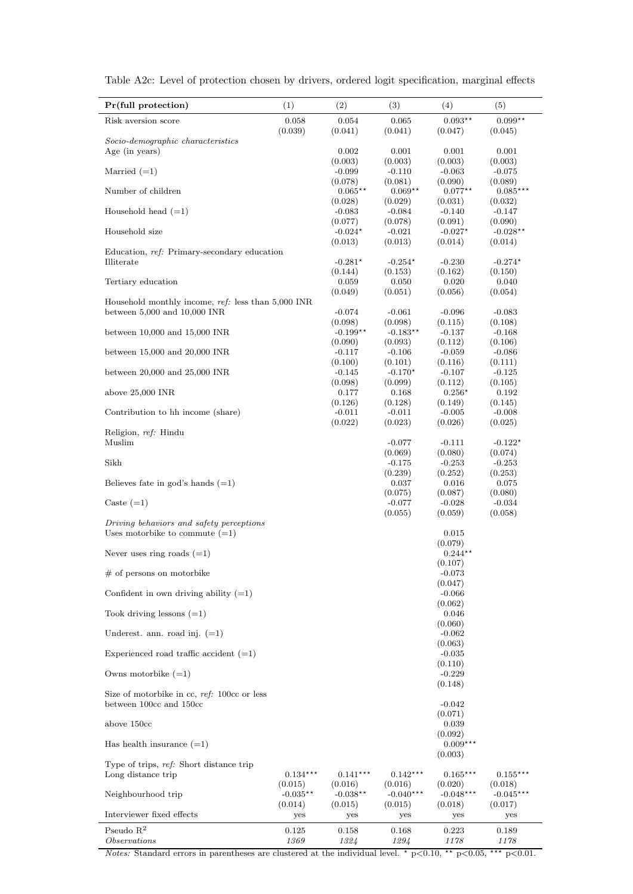| Pr(full protection)                                  | (1)            | (2)                   | (3)                   | (4)                  | (5)                   |
|------------------------------------------------------|----------------|-----------------------|-----------------------|----------------------|-----------------------|
| Risk aversion score                                  | 0.058          | 0.054                 | 0.065                 | $0.093**$            | $0.099**$             |
|                                                      | (0.039)        | (0.041)               | (0.041)               | (0.047)              | (0.045)               |
| Socio-demographic characteristics<br>Age (in years)  |                | 0.002                 | 0.001                 | 0.001                | 0.001                 |
|                                                      |                | (0.003)               | (0.003)               | (0.003)              | (0.003)               |
| Married $(=1)$                                       |                | $-0.099$              | $-0.110$              | $-0.063$             | $-0.075$              |
|                                                      |                | (0.078)               | (0.081)               | (0.090)              | (0.089)               |
| Number of children                                   |                | $0.065**$<br>(0.028)  | $0.069**$<br>(0.029)  | $0.077**$<br>(0.031) | $0.085***$<br>(0.032) |
| Household head $(=1)$                                |                | $-0.083$              | $-0.084$              | $-0.140$             | $-0.147$              |
|                                                      |                | (0.077)               | (0.078)               | (0.091)              | (0.090)               |
| Household size                                       |                | $-0.024*$<br>(0.013)  | $-0.021$<br>(0.013)   | $-0.027*$<br>(0.014) | $-0.028**$<br>(0.014) |
| Education, ref. Primary-secondary education          |                |                       |                       |                      |                       |
| Illiterate                                           |                | $-0.281*$             | $-0.254*$             | $-0.230$             | $-0.274*$             |
|                                                      |                | (0.144)               | (0.153)               | (0.162)              | (0.150)               |
| Tertiary education                                   |                | 0.059<br>(0.049)      | 0.050<br>(0.051)      | 0.020<br>(0.056)     | 0.040<br>(0.054)      |
| Household monthly income, $ref:$ less than 5,000 INR |                |                       |                       |                      |                       |
| between $5,000$ and $10,000$ INR                     |                | $-0.074$              | $-0.061$              | $-0.096$             | $-0.083$              |
| between $10,000$ and $15,000$ INR                    |                | (0.098)<br>$-0.199**$ | (0.098)<br>$-0.183**$ | (0.115)<br>$-0.137$  | (0.108)               |
|                                                      |                | (0.090)               | (0.093)               | (0.112)              | $-0.168$<br>(0.106)   |
| between $15,000$ and $20,000$ INR                    |                | $-0.117$              | $-0.106$              | $-0.059$             | $-0.086$              |
|                                                      |                | (0.100)               | (0.101)               | (0.116)              | (0.111)               |
| between $20,000$ and $25,000$ INR                    |                | $-0.145$<br>(0.098)   | $-0.170*$<br>(0.099)  | $-0.107$<br>(0.112)  | $-0.125$<br>(0.105)   |
| above $25,000$ INR                                   |                | 0.177                 | 0.168                 | $0.256*$             | 0.192                 |
|                                                      |                | (0.126)               | (0.128)               | (0.149)              | (0.145)               |
| Contribution to hh income (share)                    |                | $-0.011$              | $-0.011$              | $-0.005$             | $-0.008$              |
| Religion, ref: Hindu                                 |                | (0.022)               | (0.023)               | (0.026)              | (0.025)               |
| Muslim                                               |                |                       | $-0.077$              | $-0.111$             | $-0.122*$             |
|                                                      |                |                       | (0.069)               | (0.080)              | (0.074)               |
| Sikh                                                 |                |                       | $-0.175$              | $-0.253$             | $-0.253$              |
| Believes fate in god's hands $(=1)$                  |                |                       | (0.239)<br>0.037      | (0.252)<br>0.016     | (0.253)<br>0.075      |
|                                                      |                |                       | (0.075)               | (0.087)              | (0.080)               |
| Caste $(=1)$                                         |                |                       | $-0.077$              | $-0.028$             | $-0.034$              |
| Driving behaviors and safety perceptions             |                |                       | (0.055)               | (0.059)              | (0.058)               |
| Uses motorbike to commute $(=1)$                     |                |                       |                       | 0.015                |                       |
|                                                      |                |                       |                       | (0.079)              |                       |
| Never uses ring roads $(=1)$                         |                |                       |                       | $0.244**$            |                       |
| $#$ of persons on motorbike                          |                |                       |                       | (0.107)<br>$-0.073$  |                       |
|                                                      |                |                       |                       | (0.047)              |                       |
| Confident in own driving ability $(=1)$              |                |                       |                       | $-0.066$             |                       |
| Took driving lessons $(=1)$                          |                |                       |                       | (0.062)<br>0.046     |                       |
|                                                      |                |                       |                       | (0.060)              |                       |
| Underest. ann. road inj. $(=1)$                      |                |                       |                       | $-0.062$             |                       |
|                                                      |                |                       |                       | (0.063)              |                       |
| Experienced road traffic accident $(=1)$             |                |                       |                       | $-0.035$<br>(0.110)  |                       |
| Owns motorbike $(=1)$                                |                |                       |                       | $-0.229$             |                       |
| Size of motorbike in cc, ref: 100cc or less          |                |                       |                       | (0.148)              |                       |
| between 100cc and 150cc                              |                |                       |                       | $-0.042$             |                       |
|                                                      |                |                       |                       | (0.071)              |                       |
| above 150cc                                          |                |                       |                       | 0.039<br>(0.092)     |                       |
| Has health insurance $(=1)$                          |                |                       |                       | $0.009***$           |                       |
| Type of trips, ref. Short distance trip              |                |                       |                       | (0.003)              |                       |
| Long distance trip                                   | $0.134***$     | $0.141***$            | $0.142***$            | $0.165***$           | $0.155***$            |
|                                                      | (0.015)        | (0.016)               | (0.016)               | (0.020)              | (0.018)               |
| Neighbourhood trip                                   | $-0.035**$     | $-0.038**$            | $-0.040***$           | $-0.048***$          | $-0.045***$           |
| Interviewer fixed effects                            | (0.014)<br>yes | (0.015)<br>yes        | (0.015)<br>yes        | (0.018)<br>yes       | (0.017)<br>yes        |
| Pseudo $R^2$                                         | 0.125          | 0.158                 | 0.168                 | 0.223                | 0.189                 |
| Observations                                         | 1369           | 1324                  | 1294                  | 1178                 | 1178                  |

Table A2c: Level of protection chosen by drivers, ordered logit specification, marginal effects